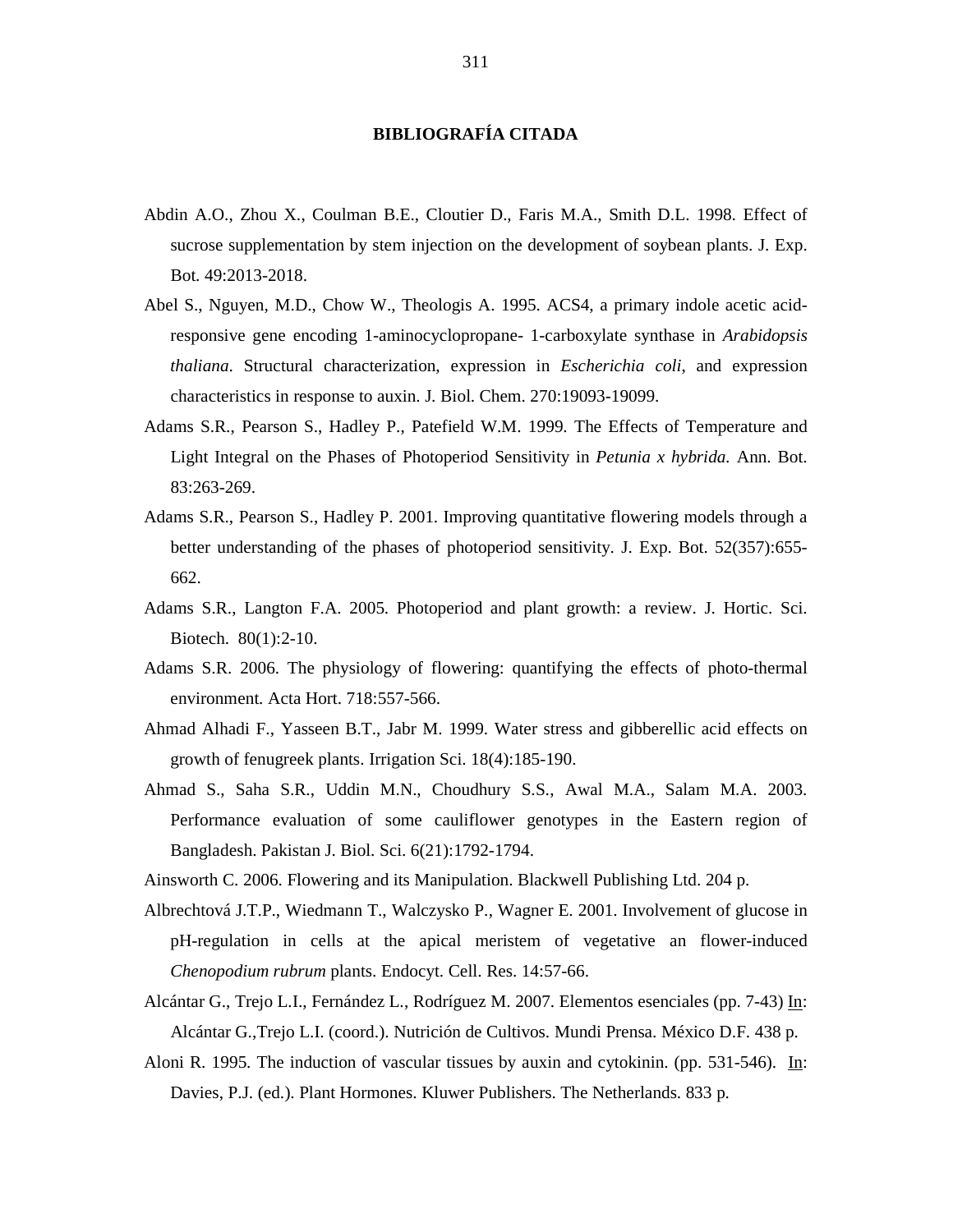## **BIBLIOGRAFÍA CITADA**

- Abdin A.O., Zhou X., Coulman B.E., Cloutier D., Faris M.A., Smith D.L. 1998. Effect of sucrose supplementation by stem injection on the development of soybean plants. J. Exp. Bot. 49:2013-2018.
- Abel S., Nguyen, M.D., Chow W., Theologis A. 1995. ACS4, a primary indole acetic acidresponsive gene encoding 1-aminocyclopropane- 1-carboxylate synthase in *Arabidopsis thaliana*. Structural characterization, expression in *Escherichia coli*, and expression characteristics in response to auxin. J. Biol. Chem. 270:19093-19099.
- Adams S.R., Pearson S., Hadley P., Patefield W.M. 1999. The Effects of Temperature and Light Integral on the Phases of Photoperiod Sensitivity in *Petunia x hybrida.* Ann. Bot. 83:263-269.
- Adams S.R., Pearson S., Hadley P. 2001. Improving quantitative flowering models through a better understanding of the phases of photoperiod sensitivity. J. Exp. Bot. 52(357):655- 662.
- Adams S.R., Langton F.A. 2005. Photoperiod and plant growth: a review. J. Hortic. Sci. Biotech. 80(1):2-10.
- Adams S.R. 2006. The physiology of flowering: quantifying the effects of photo-thermal environment. Acta Hort. 718:557-566.
- Ahmad Alhadi F., Yasseen B.T., Jabr M. 1999. Water stress and gibberellic acid effects on growth of fenugreek plants. Irrigation Sci. 18(4):185-190.
- Ahmad S., Saha S.R., Uddin M.N., Choudhury S.S., Awal M.A., Salam M.A. 2003. Performance evaluation of some cauliflower genotypes in the Eastern region of Bangladesh. Pakistan J. Biol. Sci. 6(21):1792-1794.
- Ainsworth C. 2006. Flowering and its Manipulation. Blackwell Publishing Ltd. 204 p.
- Albrechtová J.T.P., Wiedmann T., Walczysko P., Wagner E. 2001. Involvement of glucose in pH-regulation in cells at the apical meristem of vegetative an flower-induced *Chenopodium rubrum* plants. Endocyt. Cell. Res. 14:57-66.
- Alcántar G., Trejo L.I., Fernández L., Rodríguez M. 2007. Elementos esenciales (pp. 7-43) In: Alcántar G.,Trejo L.I. (coord.). Nutrición de Cultivos. Mundi Prensa. México D.F. 438 p.
- Aloni R. 1995. The induction of vascular tissues by auxin and cytokinin. (pp. 531-546). In: Davies, P.J. (ed.). Plant Hormones. Kluwer Publishers. The Netherlands. 833 p.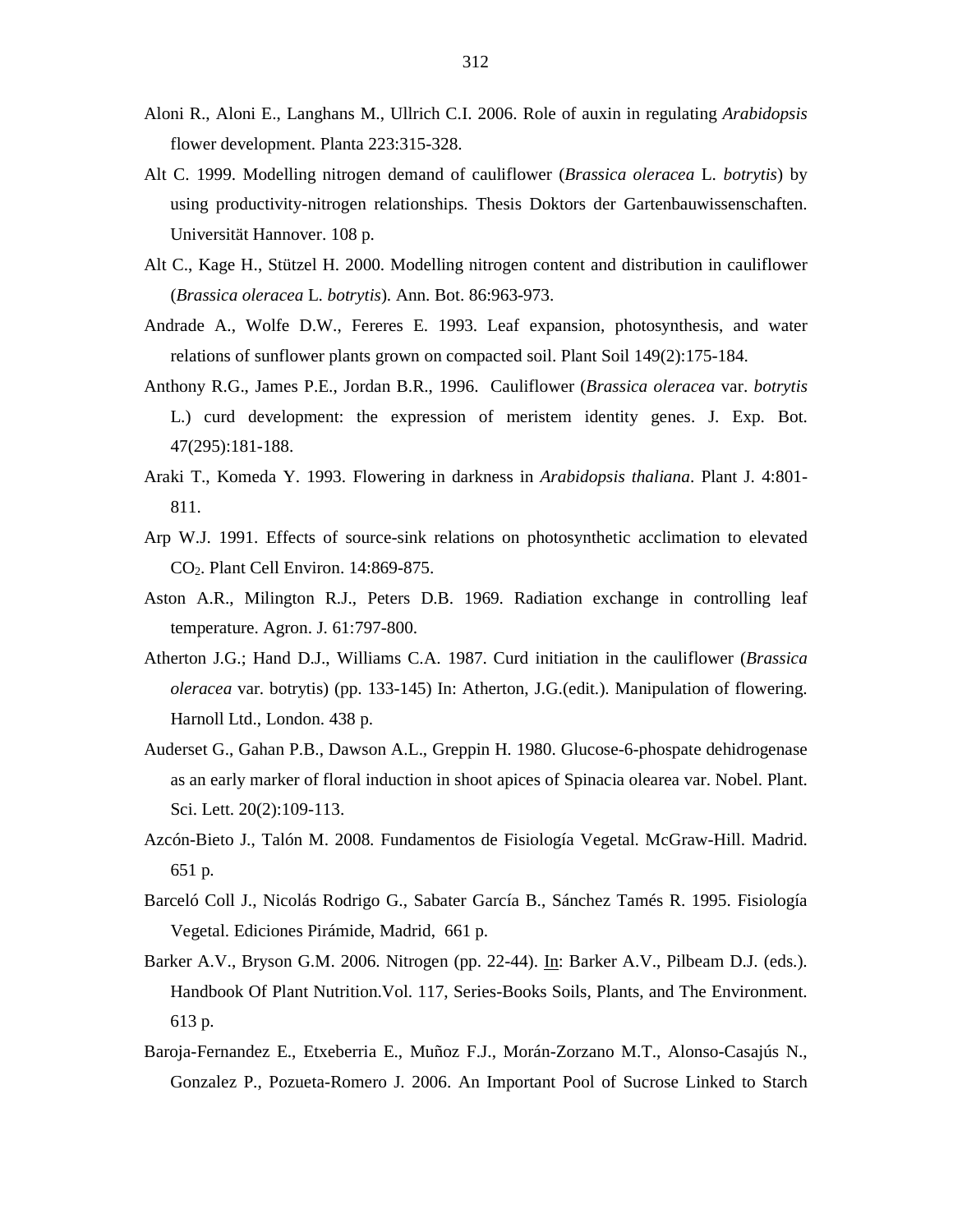- Aloni R., Aloni E., Langhans M., Ullrich C.I. 2006. Role of auxin in regulating *Arabidopsis* flower development. Planta 223:315-328.
- Alt C. 1999. Modelling nitrogen demand of cauliflower (*Brassica oleracea* L. *botrytis*) by using productivity-nitrogen relationships. Thesis Doktors der Gartenbauwissenschaften. Universität Hannover. 108 p.
- Alt C., Kage H., Stützel H. 2000. Modelling nitrogen content and distribution in cauliflower (*Brassica oleracea* L. *botrytis*). Ann. Bot. 86:963-973.
- Andrade A., Wolfe D.W., Fereres E. 1993. Leaf expansion, photosynthesis, and water relations of sunflower plants grown on compacted soil. Plant Soil 149(2):175-184.
- Anthony R.G., James P.E., Jordan B.R., 1996. Cauliflower (*Brassica oleracea* var. *botrytis* L.) curd development: the expression of meristem identity genes. J. Exp. Bot. 47(295):181-188.
- Araki T., Komeda Y. 1993. Flowering in darkness in *Arabidopsis thaliana*. Plant J. 4:801- 811.
- Arp W.J. 1991. Effects of source-sink relations on photosynthetic acclimation to elevated CO2. Plant Cell Environ. 14:869-875.
- Aston A.R., Milington R.J., Peters D.B. 1969. Radiation exchange in controlling leaf temperature. Agron. J. 61:797-800.
- Atherton J.G.; Hand D.J., Williams C.A. 1987. Curd initiation in the cauliflower (*Brassica oleracea* var. botrytis) (pp. 133-145) In: Atherton, J.G.(edit.). Manipulation of flowering. Harnoll Ltd., London. 438 p.
- Auderset G., Gahan P.B., Dawson A.L., Greppin H. 1980. Glucose-6-phospate dehidrogenase as an early marker of floral induction in shoot apices of Spinacia olearea var. Nobel. Plant. Sci. Lett. 20(2):109-113.
- Azcón-Bieto J., Talón M. 2008. Fundamentos de Fisiología Vegetal. McGraw-Hill. Madrid. 651 p.
- Barceló Coll J., Nicolás Rodrigo G., Sabater García B., Sánchez Tamés R. 1995. Fisiología Vegetal. Ediciones Pirámide, Madrid, 661 p.
- Barker A.V., Bryson G.M. 2006. Nitrogen (pp. 22-44). In: Barker A.V., Pilbeam D.J. (eds.). Handbook Of Plant Nutrition.Vol. 117, Series-Books Soils, Plants, and The Environment. 613 p.
- Baroja-Fernandez E., Etxeberria E., Muñoz F.J., Morán-Zorzano M.T., Alonso-Casajús N., Gonzalez P., Pozueta-Romero J. 2006. An Important Pool of Sucrose Linked to Starch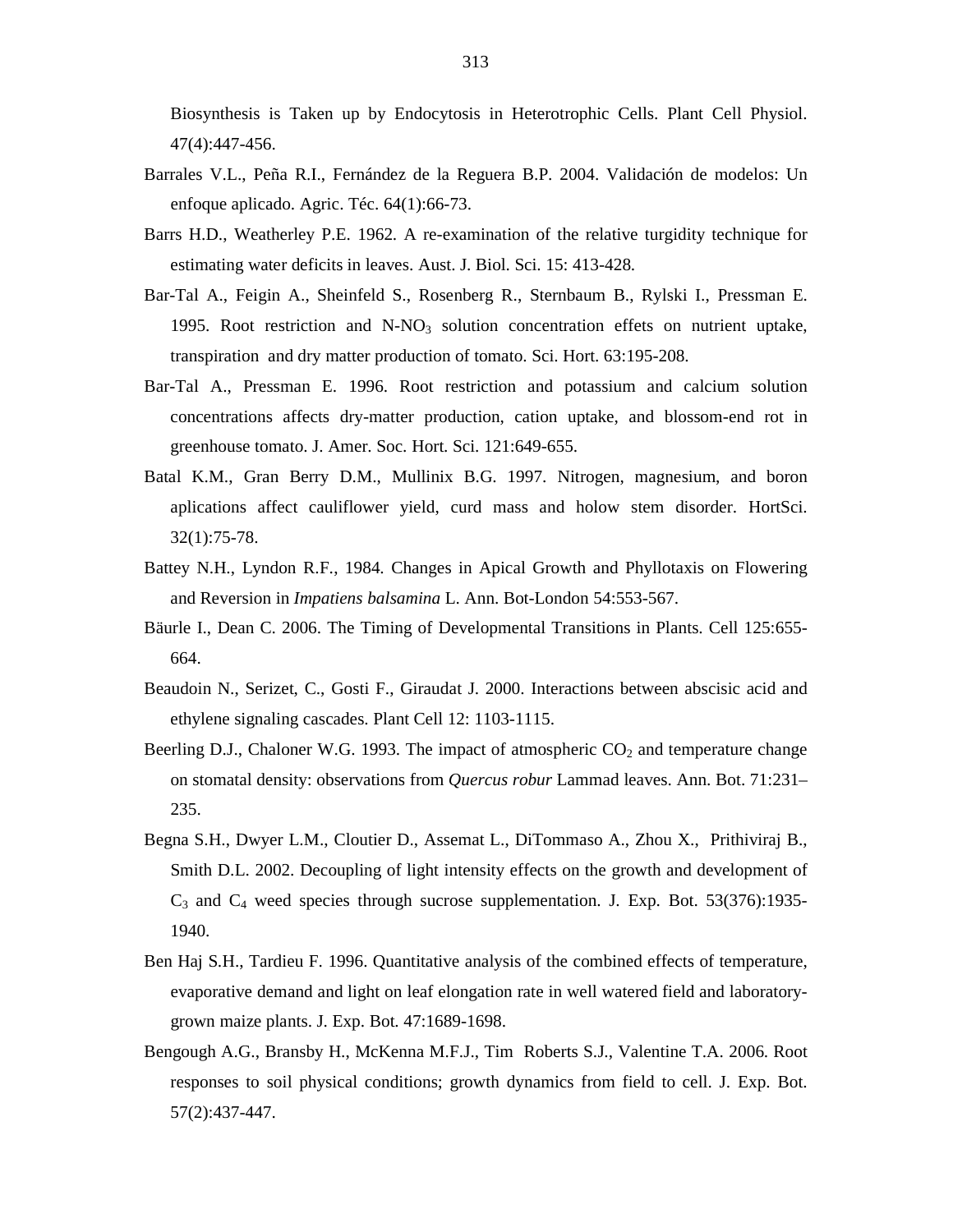Biosynthesis is Taken up by Endocytosis in Heterotrophic Cells. Plant Cell Physiol. 47(4):447-456.

- Barrales V.L., Peña R.I., Fernández de la Reguera B.P. 2004. Validación de modelos: Un enfoque aplicado. Agric. Téc. 64(1):66-73.
- Barrs H.D., Weatherley P.E. 1962. A re-examination of the relative turgidity technique for estimating water deficits in leaves. Aust. J. Biol. Sci. 15: 413-428.
- Bar-Tal A., Feigin A., Sheinfeld S., Rosenberg R., Sternbaum B., Rylski I., Pressman E. 1995. Root restriction and  $N-NO<sub>3</sub>$  solution concentration effets on nutrient uptake, transpiration and dry matter production of tomato. Sci. Hort. 63:195-208.
- Bar-Tal A., Pressman E. 1996. Root restriction and potassium and calcium solution concentrations affects dry-matter production, cation uptake, and blossom-end rot in greenhouse tomato. J. Amer. Soc. Hort. Sci. 121:649-655.
- Batal K.M., Gran Berry D.M., Mullinix B.G. 1997. Nitrogen, magnesium, and boron aplications affect cauliflower yield, curd mass and holow stem disorder. HortSci. 32(1):75-78.
- Battey N.H., Lyndon R.F., 1984. Changes in Apical Growth and Phyllotaxis on Flowering and Reversion in *Impatiens balsamina* L. Ann. Bot-London 54:553-567.
- Bäurle I., Dean C. 2006. The Timing of Developmental Transitions in Plants. Cell 125:655- 664.
- Beaudoin N., Serizet, C., Gosti F., Giraudat J. 2000. Interactions between abscisic acid and ethylene signaling cascades. Plant Cell 12: 1103-1115.
- Beerling D.J., Chaloner W.G. 1993. The impact of atmospheric  $CO<sub>2</sub>$  and temperature change on stomatal density: observations from *Quercus robur* Lammad leaves. Ann. Bot. 71:231– 235.
- Begna S.H., Dwyer L.M., Cloutier D., Assemat L., DiTommaso A., Zhou X., Prithiviraj B., Smith D.L. 2002. Decoupling of light intensity effects on the growth and development of  $C_3$  and  $C_4$  weed species through sucrose supplementation. J. Exp. Bot. 53(376):1935-1940.
- Ben Haj S.H., Tardieu F. 1996. Quantitative analysis of the combined effects of temperature, evaporative demand and light on leaf elongation rate in well watered field and laboratorygrown maize plants. J. Exp. Bot. 47:1689-1698.
- Bengough A.G., Bransby H., McKenna M.F.J., Tim Roberts S.J., Valentine T.A. 2006. Root responses to soil physical conditions; growth dynamics from field to cell. J. Exp. Bot. 57(2):437-447.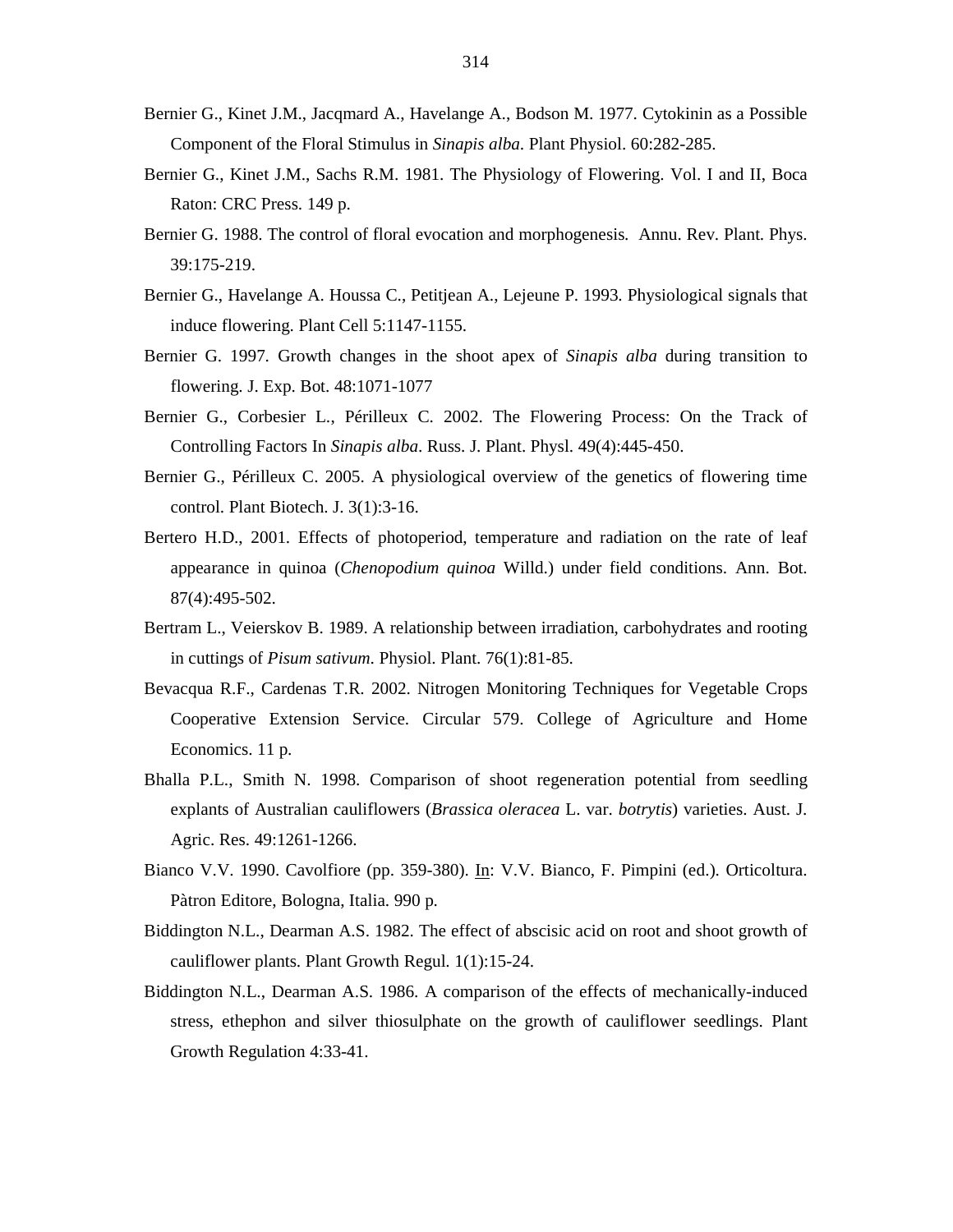- Bernier G., Kinet J.M., Jacqmard A., Havelange A., Bodson M. 1977. Cytokinin as a Possible Component of the Floral Stimulus in *Sinapis alba*. Plant Physiol. 60:282-285.
- Bernier G., Kinet J.M., Sachs R.M. 1981. The Physiology of Flowering. Vol. I and II, Boca Raton: CRC Press. 149 p.
- Bernier G. 1988. The control of floral evocation and morphogenesis. Annu. Rev. Plant. Phys. 39:175-219.
- Bernier G., Havelange A. Houssa C., Petitjean A., Lejeune P. 1993. Physiological signals that induce flowering. Plant Cell 5:1147-1155.
- Bernier G. 1997. Growth changes in the shoot apex of *Sinapis alba* during transition to flowering. J. Exp. Bot. 48:1071-1077
- Bernier G., Corbesier L., Périlleux C. 2002. The Flowering Process: On the Track of Controlling Factors In *Sinapis alba*. Russ. J. Plant. Physl. 49(4):445-450.
- Bernier G., Périlleux C. 2005. A physiological overview of the genetics of flowering time control. Plant Biotech. J. 3(1):3-16.
- Bertero H.D., 2001. Effects of photoperiod, temperature and radiation on the rate of leaf appearance in quinoa (*Chenopodium quinoa* Willd.) under field conditions. Ann. Bot. 87(4):495-502.
- Bertram L., Veierskov B. 1989. A relationship between irradiation, carbohydrates and rooting in cuttings of *Pisum sativum*. Physiol. Plant. 76(1):81-85.
- Bevacqua R.F., Cardenas T.R. 2002. Nitrogen Monitoring Techniques for Vegetable Crops Cooperative Extension Service. Circular 579. College of Agriculture and Home Economics. 11 p.
- Bhalla P.L., Smith N. 1998. Comparison of shoot regeneration potential from seedling explants of Australian cauliflowers (*Brassica oleracea* L. var. *botrytis*) varieties. Aust. J. Agric. Res. 49:1261-1266.
- Bianco V.V. 1990. Cavolfiore (pp. 359-380). In: V.V. Bianco, F. Pimpini (ed.). Orticoltura. Pàtron Editore, Bologna, Italia. 990 p.
- Biddington N.L., Dearman A.S. 1982. The effect of abscisic acid on root and shoot growth of cauliflower plants. Plant Growth Regul. 1(1):15-24.
- Biddington N.L., Dearman A.S. 1986. A comparison of the effects of mechanically-induced stress, ethephon and silver thiosulphate on the growth of cauliflower seedlings. Plant Growth Regulation 4:33-41.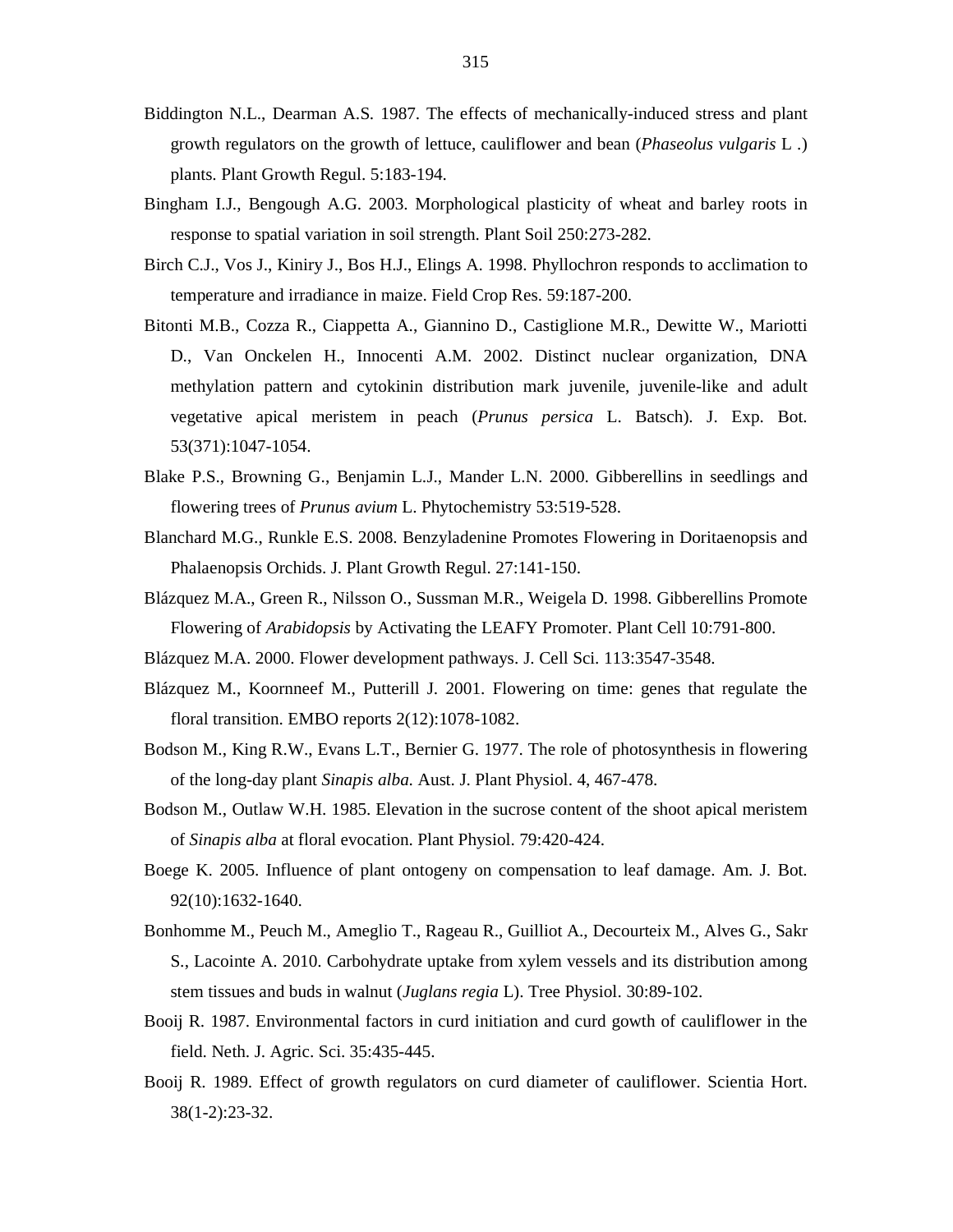- Biddington N.L., Dearman A.S. 1987. The effects of mechanically-induced stress and plant growth regulators on the growth of lettuce, cauliflower and bean (*Phaseolus vulgaris* L .) plants. Plant Growth Regul. 5:183-194.
- Bingham I.J., Bengough A.G. 2003. Morphological plasticity of wheat and barley roots in response to spatial variation in soil strength. Plant Soil 250:273-282.
- Birch C.J., Vos J., Kiniry J., Bos H.J., Elings A. 1998. Phyllochron responds to acclimation to temperature and irradiance in maize. Field Crop Res. 59:187-200.
- Bitonti M.B., Cozza R., Ciappetta A., Giannino D., Castiglione M.R., Dewitte W., Mariotti D., Van Onckelen H., Innocenti A.M. 2002. Distinct nuclear organization, DNA methylation pattern and cytokinin distribution mark juvenile, juvenile-like and adult vegetative apical meristem in peach (*Prunus persica* L. Batsch). J. Exp. Bot. 53(371):1047-1054.
- Blake P.S., Browning G., Benjamin L.J., Mander L.N. 2000. Gibberellins in seedlings and flowering trees of *Prunus avium* L. Phytochemistry 53:519-528.
- Blanchard M.G., Runkle E.S. 2008. Benzyladenine Promotes Flowering in Doritaenopsis and Phalaenopsis Orchids. J. Plant Growth Regul. 27:141-150.
- Blázquez M.A., Green R., Nilsson O., Sussman M.R., Weigela D. 1998. Gibberellins Promote Flowering of *Arabidopsis* by Activating the LEAFY Promoter. Plant Cell 10:791-800.
- Blázquez M.A. 2000. Flower development pathways. J. Cell Sci. 113:3547-3548.
- Blázquez M., Koornneef M., Putterill J. 2001. Flowering on time: genes that regulate the floral transition. EMBO reports 2(12):1078-1082.
- Bodson M., King R.W., Evans L.T., Bernier G. 1977. The role of photosynthesis in flowering of the long-day plant *Sinapis alba*. Aust. J. Plant Physiol. 4, 467-478.
- Bodson M., Outlaw W.H. 1985. Elevation in the sucrose content of the shoot apical meristem of *Sinapis alba* at floral evocation. Plant Physiol. 79:420-424.
- Boege K. 2005. Influence of plant ontogeny on compensation to leaf damage. Am. J. Bot. 92(10):1632-1640.
- Bonhomme M., Peuch M., Ameglio T., Rageau R., Guilliot A., Decourteix M., Alves G., Sakr S., Lacointe A. 2010. Carbohydrate uptake from xylem vessels and its distribution among stem tissues and buds in walnut (*Juglans regia* L). Tree Physiol. 30:89-102.
- Booij R. 1987. Environmental factors in curd initiation and curd gowth of cauliflower in the field. Neth. J. Agric. Sci. 35:435-445.
- Booij R. 1989. Effect of growth regulators on curd diameter of cauliflower. Scientia Hort. 38(1-2):23-32.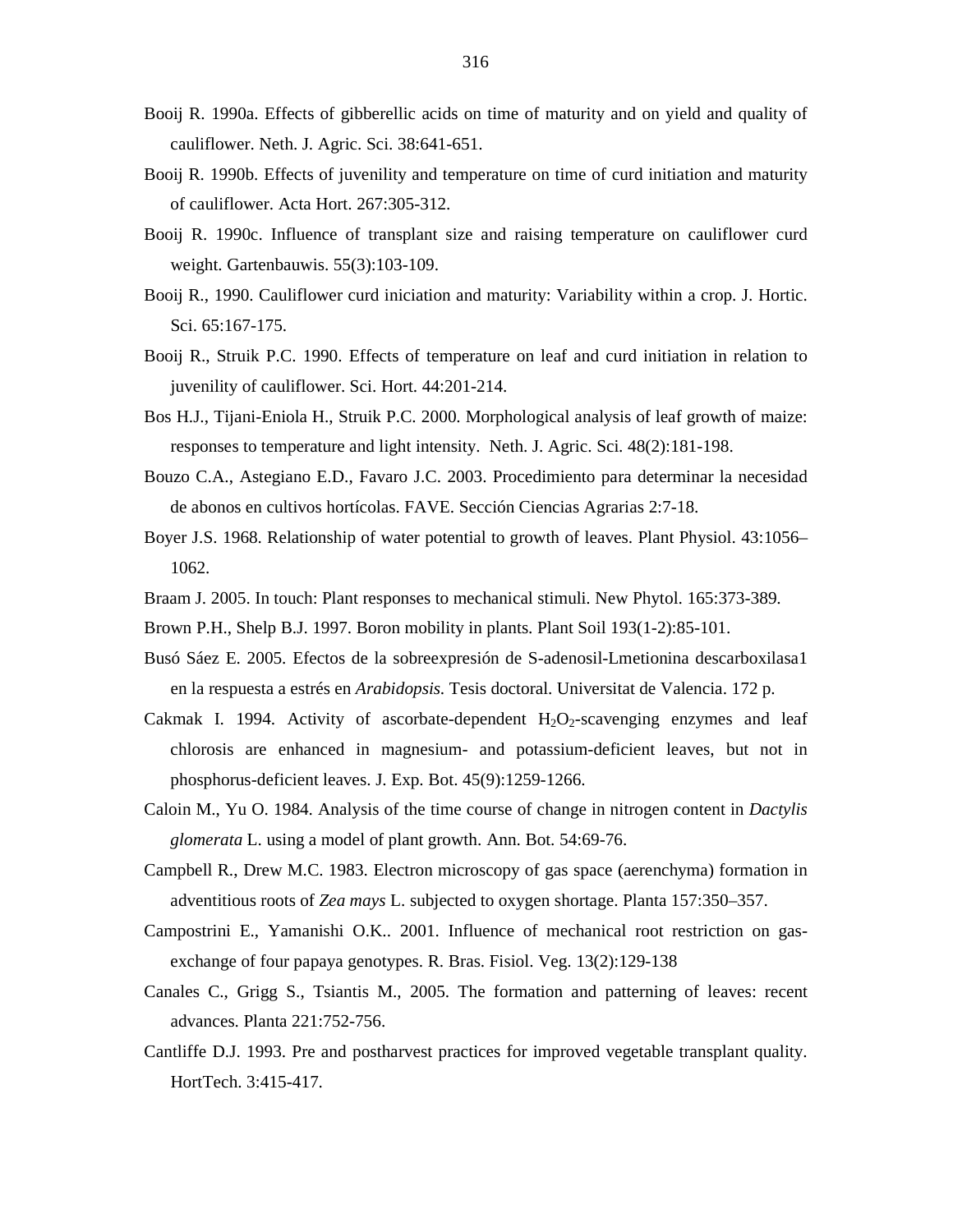- Booij R. 1990a. Effects of gibberellic acids on time of maturity and on yield and quality of cauliflower. Neth. J. Agric. Sci. 38:641-651.
- Booij R. 1990b. Effects of juvenility and temperature on time of curd initiation and maturity of cauliflower. Acta Hort. 267:305-312.
- Booij R. 1990c. Influence of transplant size and raising temperature on cauliflower curd weight. Gartenbauwis. 55(3):103-109.
- Booij R., 1990. Cauliflower curd iniciation and maturity: Variability within a crop. J. Hortic. Sci. 65:167-175.
- Booij R., Struik P.C. 1990. Effects of temperature on leaf and curd initiation in relation to juvenility of cauliflower. Sci. Hort. 44:201-214.
- Bos H.J., Tijani-Eniola H., Struik P.C. 2000. Morphological analysis of leaf growth of maize: responses to temperature and light intensity. Neth. J. Agric. Sci. 48(2):181-198.
- Bouzo C.A., Astegiano E.D., Favaro J.C. 2003. Procedimiento para determinar la necesidad de abonos en cultivos hortícolas. FAVE. Sección Ciencias Agrarias 2:7-18.
- Boyer J.S. 1968. Relationship of water potential to growth of leaves. Plant Physiol. 43:1056– 1062.
- Braam J. 2005. In touch: Plant responses to mechanical stimuli. New Phytol. 165:373-389.
- Brown P.H., Shelp B.J. 1997. Boron mobility in plants. Plant Soil 193(1-2):85-101.
- Busó Sáez E. 2005. Efectos de la sobreexpresión de S-adenosil-Lmetionina descarboxilasa1 en la respuesta a estrés en *Arabidopsis*. Tesis doctoral. Universitat de Valencia. 172 p.
- Cakmak I. 1994. Activity of ascorbate-dependent  $H_2O_2$ -scavenging enzymes and leaf chlorosis are enhanced in magnesium- and potassium-deficient leaves, but not in phosphorus-deficient leaves. J. Exp. Bot. 45(9):1259-1266.
- Caloin M., Yu O. 1984. Analysis of the time course of change in nitrogen content in *Dactylis glomerata* L. using a model of plant growth. Ann. Bot. 54:69-76.
- Campbell R., Drew M.C. 1983. Electron microscopy of gas space (aerenchyma) formation in adventitious roots of *Zea mays* L. subjected to oxygen shortage. Planta 157:350–357.
- Campostrini E., Yamanishi O.K.. 2001. Influence of mechanical root restriction on gasexchange of four papaya genotypes. R. Bras. Fisiol. Veg. 13(2):129-138
- Canales C., Grigg S., Tsiantis M., 2005. The formation and patterning of leaves: recent advances. Planta 221:752-756.
- Cantliffe D.J. 1993. Pre and postharvest practices for improved vegetable transplant quality. HortTech. 3:415-417.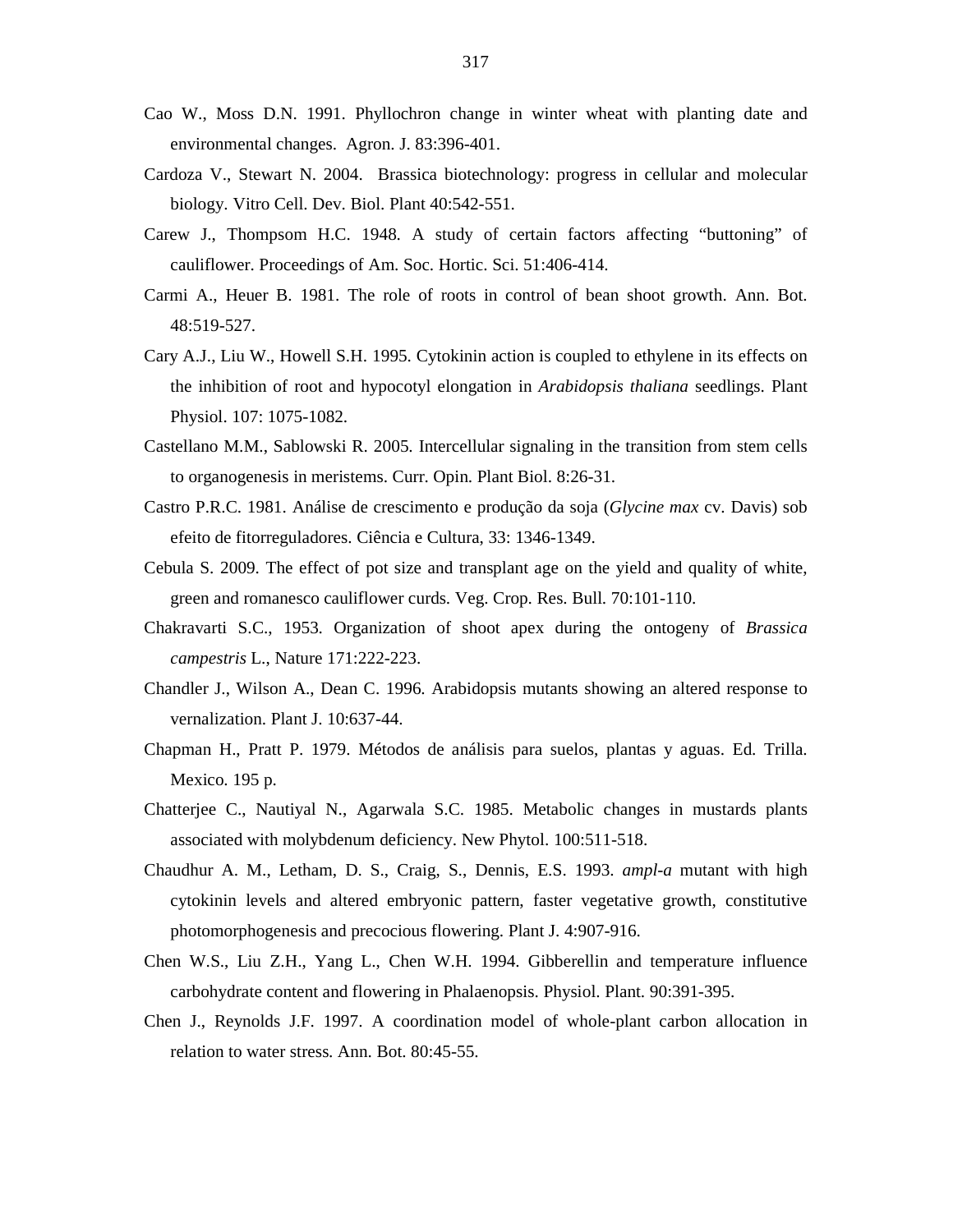- Cao W., Moss D.N. 1991. Phyllochron change in winter wheat with planting date and environmental changes. Agron. J. 83:396-401.
- Cardoza V., Stewart N. 2004. Brassica biotechnology: progress in cellular and molecular biology. Vitro Cell. Dev. Biol. Plant 40:542-551.
- Carew J., Thompsom H.C. 1948. A study of certain factors affecting "buttoning" of cauliflower. Proceedings of Am. Soc. Hortic. Sci. 51:406-414.
- Carmi A., Heuer B. 1981. The role of roots in control of bean shoot growth. Ann. Bot. 48:519-527.
- Cary A.J., Liu W., Howell S.H. 1995. Cytokinin action is coupled to ethylene in its effects on the inhibition of root and hypocotyl elongation in *Arabidopsis thaliana* seedlings. Plant Physiol. 107: 1075-1082.
- Castellano M.M., Sablowski R. 2005. Intercellular signaling in the transition from stem cells to organogenesis in meristems. Curr. Opin. Plant Biol. 8:26-31.
- Castro P.R.C. 1981. Análise de crescimento e produção da soja (*Glycine max* cv. Davis) sob efeito de fitorreguladores. Ciência e Cultura, 33: 1346-1349.
- Cebula S. 2009. The effect of pot size and transplant age on the yield and quality of white, green and romanesco cauliflower curds. Veg. Crop. Res. Bull. 70:101-110.
- Chakravarti S.C., 1953. Organization of shoot apex during the ontogeny of *Brassica campestris* L., Nature 171:222-223.
- Chandler J., Wilson A., Dean C. 1996. Arabidopsis mutants showing an altered response to vernalization. Plant J. 10:637-44.
- Chapman H., Pratt P. 1979. Métodos de análisis para suelos, plantas y aguas. Ed. Trilla. Mexico. 195 p.
- Chatterjee C., Nautiyal N., Agarwala S.C. 1985. Metabolic changes in mustards plants associated with molybdenum deficiency. New Phytol. 100:511-518.
- Chaudhur A. M., Letham, D. S., Craig, S., Dennis, E.S. 1993. *ampl-a* mutant with high cytokinin levels and altered embryonic pattern, faster vegetative growth, constitutive photomorphogenesis and precocious flowering. Plant J. 4:907-916.
- Chen W.S., Liu Z.H., Yang L., Chen W.H. 1994. Gibberellin and temperature influence carbohydrate content and flowering in Phalaenopsis. Physiol. Plant. 90:391-395.
- Chen J., Reynolds J.F. 1997. A coordination model of whole-plant carbon allocation in relation to water stress. Ann. Bot. 80:45-55.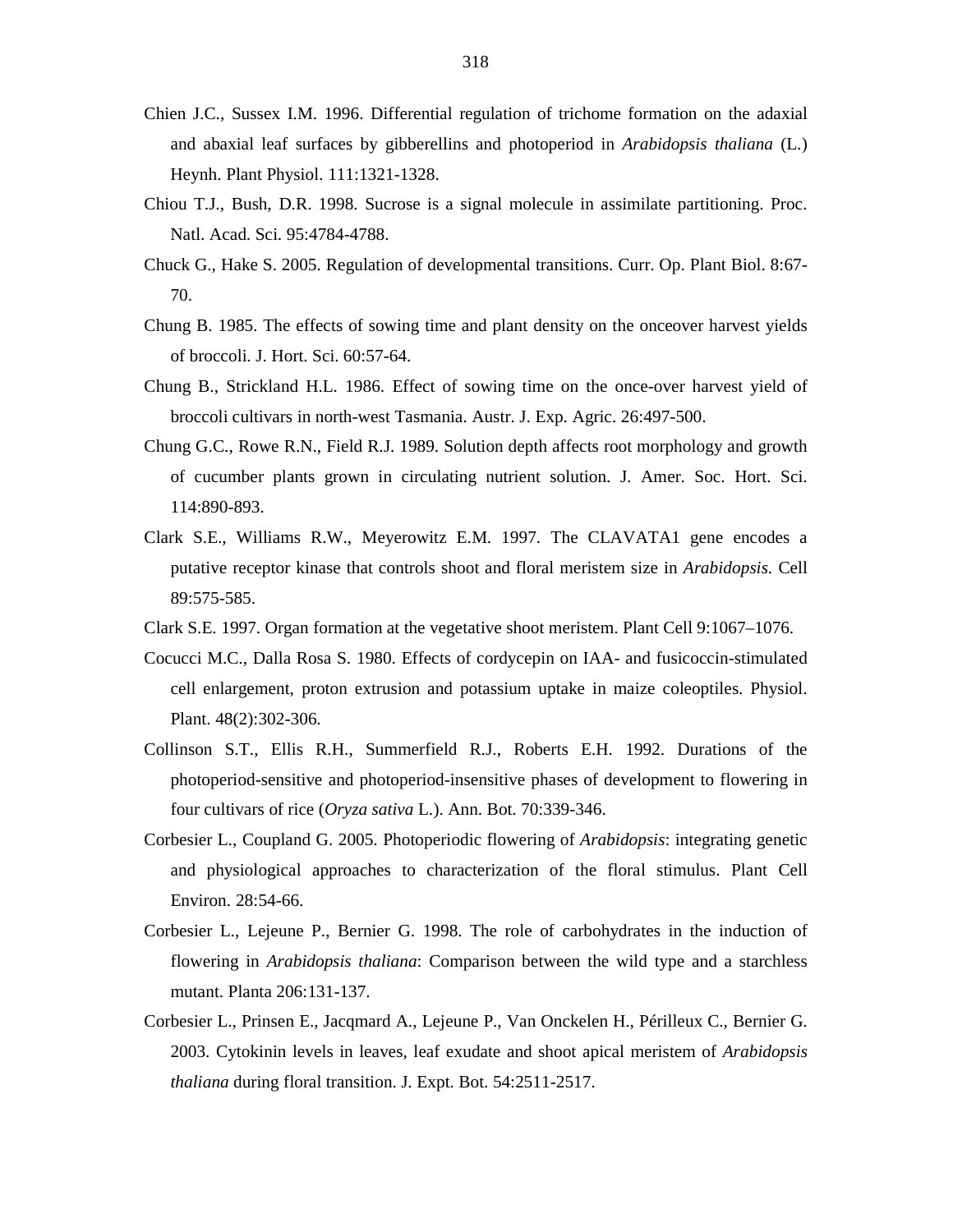- Chien J.C., Sussex I.M. 1996. Differential regulation of trichome formation on the adaxial and abaxial leaf surfaces by gibberellins and photoperiod in *Arabidopsis thaliana* (L.) Heynh. Plant Physiol. 111:1321-1328.
- Chiou T.J., Bush, D.R. 1998. Sucrose is a signal molecule in assimilate partitioning. Proc. Natl. Acad. Sci. 95:4784-4788.
- Chuck G., Hake S. 2005. Regulation of developmental transitions. Curr. Op. Plant Biol. 8:67- 70.
- Chung B. 1985. The effects of sowing time and plant density on the onceover harvest yields of broccoli. J. Hort. Sci. 60:57-64.
- Chung B., Strickland H.L. 1986. Effect of sowing time on the once-over harvest yield of broccoli cultivars in north-west Tasmania. Austr. J. Exp. Agric. 26:497-500.
- Chung G.C., Rowe R.N., Field R.J. 1989. Solution depth affects root morphology and growth of cucumber plants grown in circulating nutrient solution. J. Amer. Soc. Hort. Sci. 114:890-893.
- Clark S.E., Williams R.W., Meyerowitz E.M. 1997. The CLAVATA1 gene encodes a putative receptor kinase that controls shoot and floral meristem size in *Arabidopsis*. Cell 89:575-585.
- Clark S.E. 1997. Organ formation at the vegetative shoot meristem. Plant Cell 9:1067–1076.
- Cocucci M.C., Dalla Rosa S. 1980. Effects of cordycepin on IAA- and fusicoccin-stimulated cell enlargement, proton extrusion and potassium uptake in maize coleoptiles. Physiol. Plant. 48(2):302-306.
- Collinson S.T., Ellis R.H., Summerfield R.J., Roberts E.H. 1992. Durations of the photoperiod-sensitive and photoperiod-insensitive phases of development to flowering in four cultivars of rice (*Oryza sativa* L.). Ann. Bot. 70:339-346.
- Corbesier L., Coupland G. 2005. Photoperiodic flowering of *Arabidopsis*: integrating genetic and physiological approaches to characterization of the floral stimulus. Plant Cell Environ. 28:54-66.
- Corbesier L., Lejeune P., Bernier G. 1998. The role of carbohydrates in the induction of flowering in *Arabidopsis thaliana*: Comparison between the wild type and a starchless mutant. Planta 206:131-137.
- Corbesier L., Prinsen E., Jacqmard A., Lejeune P., Van Onckelen H., Périlleux C., Bernier G. 2003. Cytokinin levels in leaves, leaf exudate and shoot apical meristem of *Arabidopsis thaliana* during floral transition. J. Expt. Bot. 54:2511-2517.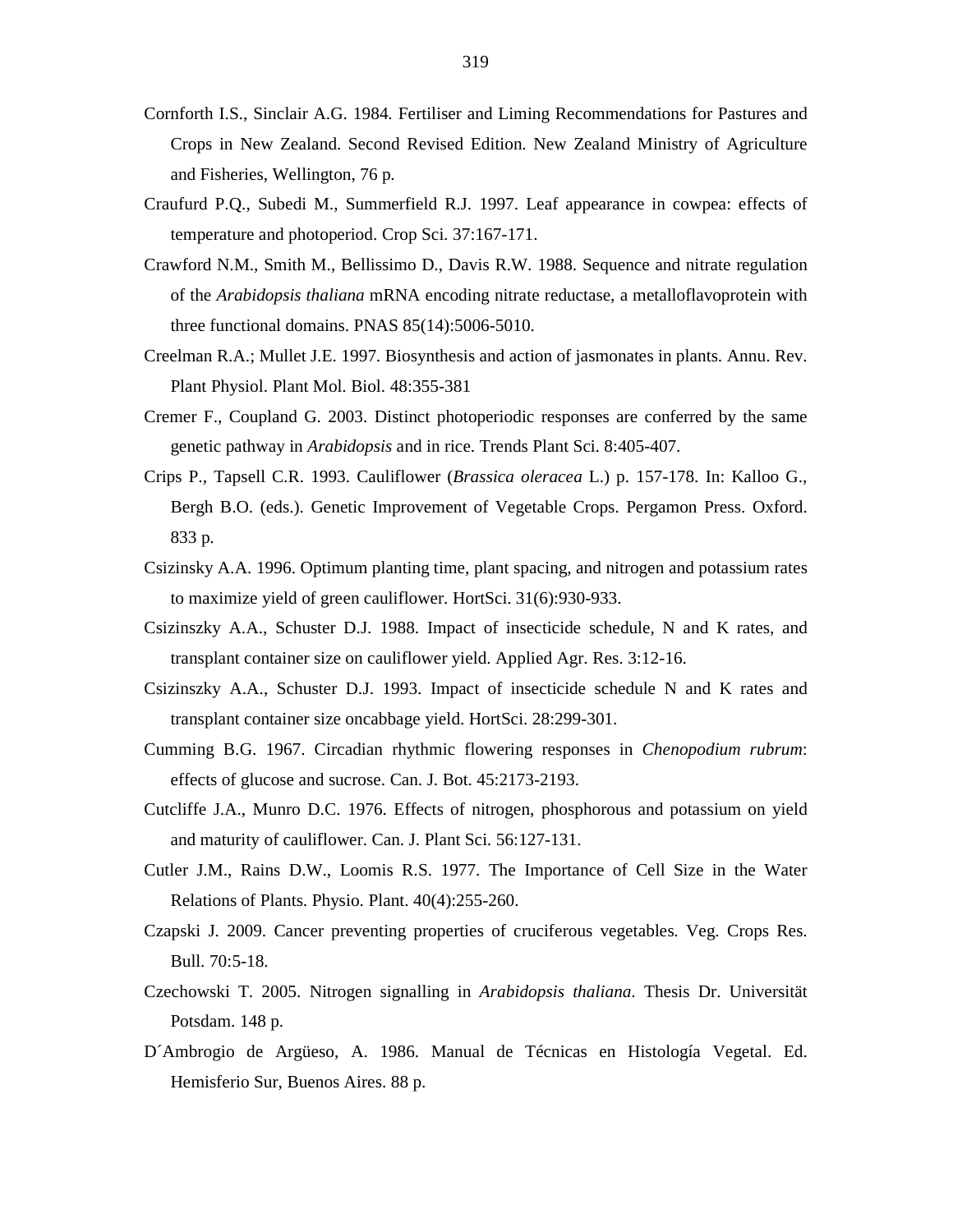- Cornforth I.S., Sinclair A.G. 1984. Fertiliser and Liming Recommendations for Pastures and Crops in New Zealand. Second Revised Edition. New Zealand Ministry of Agriculture and Fisheries, Wellington, 76 p.
- Craufurd P.Q., Subedi M., Summerfield R.J. 1997. Leaf appearance in cowpea: effects of temperature and photoperiod. Crop Sci. 37:167-171.
- Crawford N.M., Smith M., Bellissimo D., Davis R.W. 1988. Sequence and nitrate regulation of the *Arabidopsis thaliana* mRNA encoding nitrate reductase, a metalloflavoprotein with three functional domains. PNAS 85(14):5006-5010.
- Creelman R.A.; Mullet J.E. 1997. Biosynthesis and action of jasmonates in plants. Annu. Rev. Plant Physiol. Plant Mol. Biol. 48:355-381
- Cremer F., Coupland G. 2003. Distinct photoperiodic responses are conferred by the same genetic pathway in *Arabidopsis* and in rice. Trends Plant Sci. 8:405-407.
- Crips P., Tapsell C.R. 1993. Cauliflower (*Brassica oleracea* L.) p. 157-178. In: Kalloo G., Bergh B.O. (eds.). Genetic Improvement of Vegetable Crops. Pergamon Press. Oxford. 833 p.
- Csizinsky A.A. 1996. Optimum planting time, plant spacing, and nitrogen and potassium rates to maximize yield of green cauliflower. HortSci. 31(6):930-933.
- Csizinszky A.A., Schuster D.J. 1988. Impact of insecticide schedule, N and K rates, and transplant container size on cauliflower yield. Applied Agr. Res. 3:12-16.
- Csizinszky A.A., Schuster D.J. 1993. Impact of insecticide schedule N and K rates and transplant container size oncabbage yield. HortSci. 28:299-301.
- Cumming B.G. 1967. Circadian rhythmic flowering responses in *Chenopodium rubrum*: effects of glucose and sucrose. Can. J. Bot. 45:2173-2193.
- Cutcliffe J.A., Munro D.C. 1976. Effects of nitrogen, phosphorous and potassium on yield and maturity of cauliflower. Can. J. Plant Sci. 56:127-131.
- Cutler J.M., Rains D.W., Loomis R.S. 1977. The Importance of Cell Size in the Water Relations of Plants. Physio. Plant. 40(4):255-260.
- Czapski J. 2009. Cancer preventing properties of cruciferous vegetables. Veg. Crops Res. Bull. 70:5-18.
- Czechowski T. 2005. Nitrogen signalling in *Arabidopsis thaliana*. Thesis Dr. Universität Potsdam. 148 p.
- D´Ambrogio de Argüeso, A. 1986. Manual de Técnicas en Histología Vegetal. Ed. Hemisferio Sur, Buenos Aires. 88 p.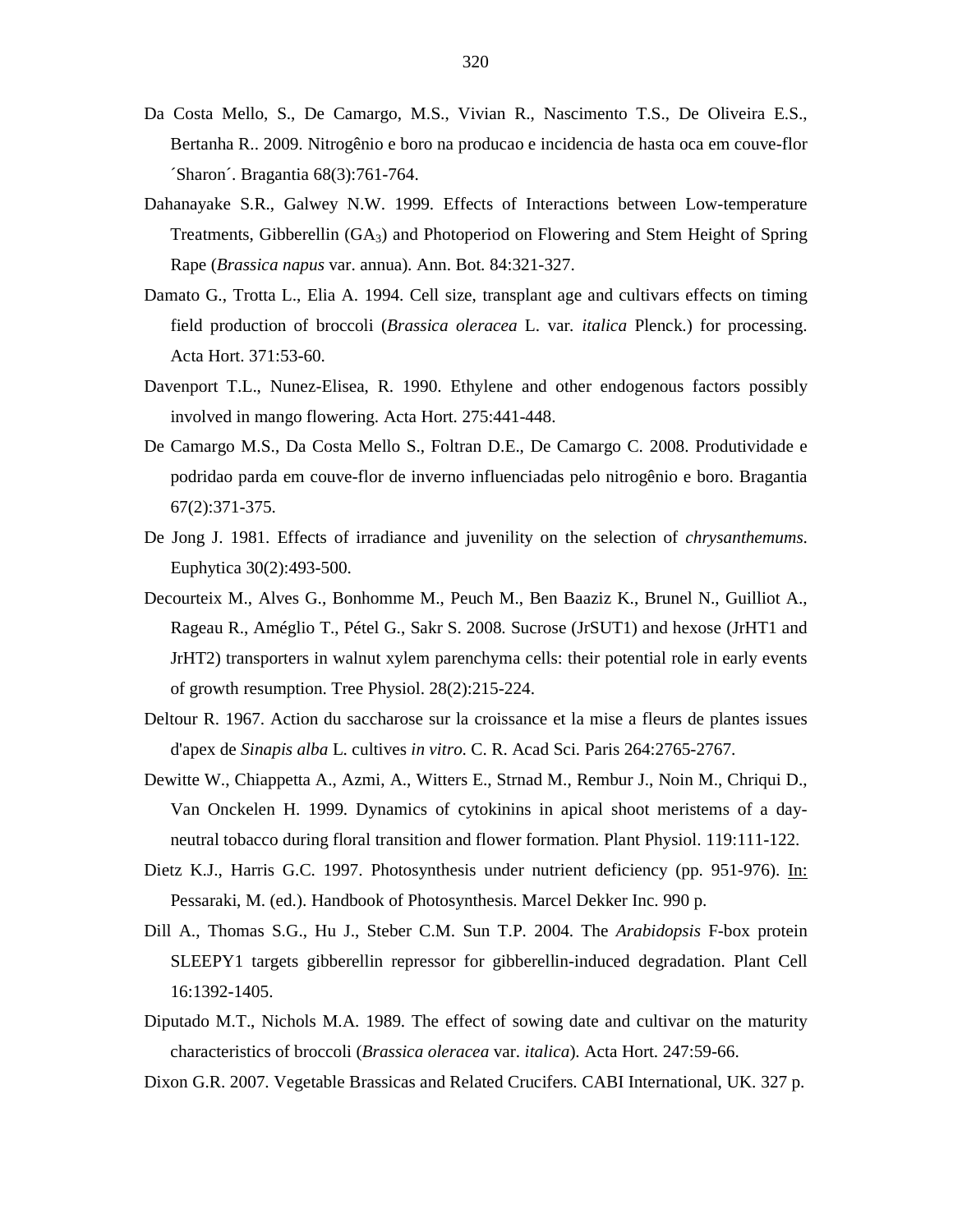- Da Costa Mello, S., De Camargo, M.S., Vivian R., Nascimento T.S., De Oliveira E.S., Bertanha R.. 2009. Nitrogênio e boro na producao e incidencia de hasta oca em couve-flor ´Sharon´. Bragantia 68(3):761-764.
- Dahanayake S.R., Galwey N.W. 1999. Effects of Interactions between Low-temperature Treatments, Gibberellin (GA3) and Photoperiod on Flowering and Stem Height of Spring Rape (*Brassica napus* var. annua). Ann. Bot. 84:321-327.
- Damato G., Trotta L., Elia A. 1994. Cell size, transplant age and cultivars effects on timing field production of broccoli (*Brassica oleracea* L. var*. italica* Plenck.) for processing. Acta Hort. 371:53-60.
- Davenport T.L., Nunez-Elisea, R. 1990. Ethylene and other endogenous factors possibly involved in mango flowering. Acta Hort. 275:441-448.
- De Camargo M.S., Da Costa Mello S., Foltran D.E., De Camargo C. 2008. Produtividade e podridao parda em couve-flor de inverno influenciadas pelo nitrogênio e boro. Bragantia 67(2):371-375.
- De Jong J. 1981. Effects of irradiance and juvenility on the selection of *chrysanthemums*. Euphytica 30(2):493-500.
- Decourteix M., Alves G., Bonhomme M., Peuch M., Ben Baaziz K., Brunel N., Guilliot A., Rageau R., Améglio T., Pétel G., Sakr S. 2008. Sucrose (JrSUT1) and hexose (JrHT1 and JrHT2) transporters in walnut xylem parenchyma cells: their potential role in early events of growth resumption. Tree Physiol. 28(2):215-224.
- Deltour R. 1967. Action du saccharose sur la croissance et la mise a fleurs de plantes issues d'apex de *Sinapis alba* L. cultives *in vitro*. C. R. Acad Sci. Paris 264:2765-2767.
- Dewitte W., Chiappetta A., Azmi, A., Witters E., Strnad M., Rembur J., Noin M., Chriqui D., Van Onckelen H. 1999. Dynamics of cytokinins in apical shoot meristems of a dayneutral tobacco during floral transition and flower formation. Plant Physiol. 119:111-122.
- Dietz K.J., Harris G.C. 1997. Photosynthesis under nutrient deficiency (pp. 951-976). In: Pessaraki, M. (ed.). Handbook of Photosynthesis. Marcel Dekker Inc. 990 p.
- Dill A., Thomas S.G., Hu J., Steber C.M. Sun T.P. 2004. The *Arabidopsis* F-box protein SLEEPY1 targets gibberellin repressor for gibberellin-induced degradation. Plant Cell 16:1392-1405.
- Diputado M.T., Nichols M.A. 1989. The effect of sowing date and cultivar on the maturity characteristics of broccoli (*Brassica oleracea* var. *italica*). Acta Hort. 247:59-66.
- Dixon G.R. 2007. Vegetable Brassicas and Related Crucifers. CABI International, UK. 327 p.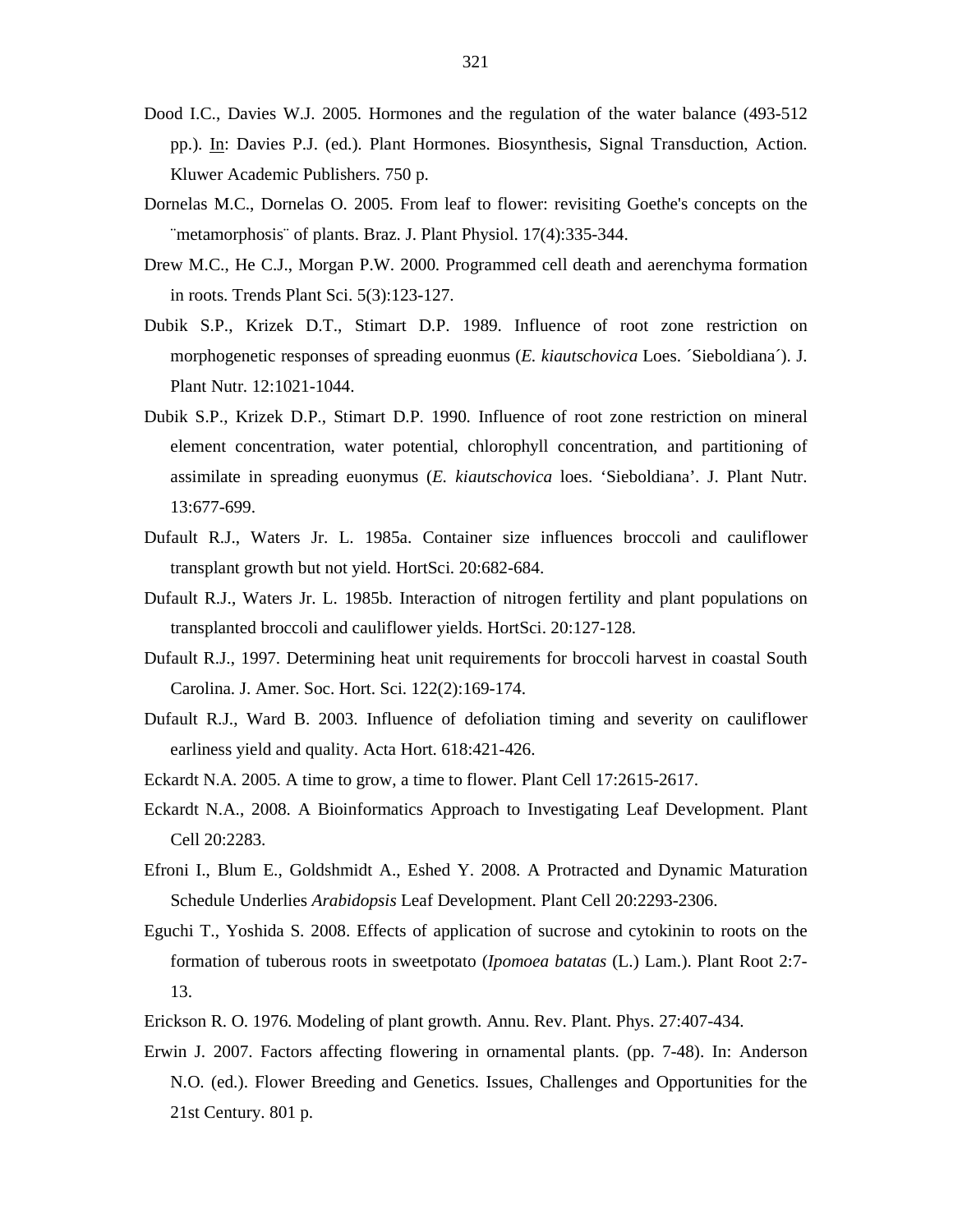- Dood I.C., Davies W.J. 2005. Hormones and the regulation of the water balance (493-512 pp.). In: Davies P.J. (ed.). Plant Hormones. Biosynthesis, Signal Transduction, Action. Kluwer Academic Publishers. 750 p.
- Dornelas M.C., Dornelas O. 2005. From leaf to flower: revisiting Goethe's concepts on the ¨metamorphosis¨ of plants. Braz. J. Plant Physiol. 17(4):335-344.
- Drew M.C., He C.J., Morgan P.W. 2000. Programmed cell death and aerenchyma formation in roots. Trends Plant Sci. 5(3):123-127.
- Dubik S.P., Krizek D.T., Stimart D.P. 1989. Influence of root zone restriction on morphogenetic responses of spreading euonmus (*E. kiautschovica* Loes. ´Sieboldiana´). J. Plant Nutr. 12:1021-1044.
- Dubik S.P., Krizek D.P., Stimart D.P. 1990. Influence of root zone restriction on mineral element concentration, water potential, chlorophyll concentration, and partitioning of assimilate in spreading euonymus (*E. kiautschovica* loes. 'Sieboldiana'. J. Plant Nutr. 13:677-699.
- Dufault R.J., Waters Jr. L. 1985a. Container size influences broccoli and cauliflower transplant growth but not yield. HortSci. 20:682-684.
- Dufault R.J., Waters Jr. L. 1985b. Interaction of nitrogen fertility and plant populations on transplanted broccoli and cauliflower yields. HortSci. 20:127-128.
- Dufault R.J., 1997. Determining heat unit requirements for broccoli harvest in coastal South Carolina. J. Amer. Soc. Hort. Sci. 122(2):169-174.
- Dufault R.J., Ward B. 2003. Influence of defoliation timing and severity on cauliflower earliness yield and quality. Acta Hort. 618:421-426.
- Eckardt N.A. 2005. A time to grow, a time to flower. Plant Cell 17:2615-2617.
- Eckardt N.A., 2008. A Bioinformatics Approach to Investigating Leaf Development. Plant Cell 20:2283.
- Efroni I., Blum E., Goldshmidt A., Eshed Y. 2008. A Protracted and Dynamic Maturation Schedule Underlies *Arabidopsis* Leaf Development. Plant Cell 20:2293-2306.
- Eguchi T., Yoshida S. 2008. Effects of application of sucrose and cytokinin to roots on the formation of tuberous roots in sweetpotato (*Ipomoea batatas* (L.) Lam.). Plant Root 2:7- 13.
- Erickson R. O. 1976. Modeling of plant growth. Annu. Rev. Plant. Phys. 27:407-434.
- Erwin J. 2007. Factors affecting flowering in ornamental plants. (pp. 7-48). In: Anderson N.O. (ed.). Flower Breeding and Genetics. Issues, Challenges and Opportunities for the 21st Century. 801 p.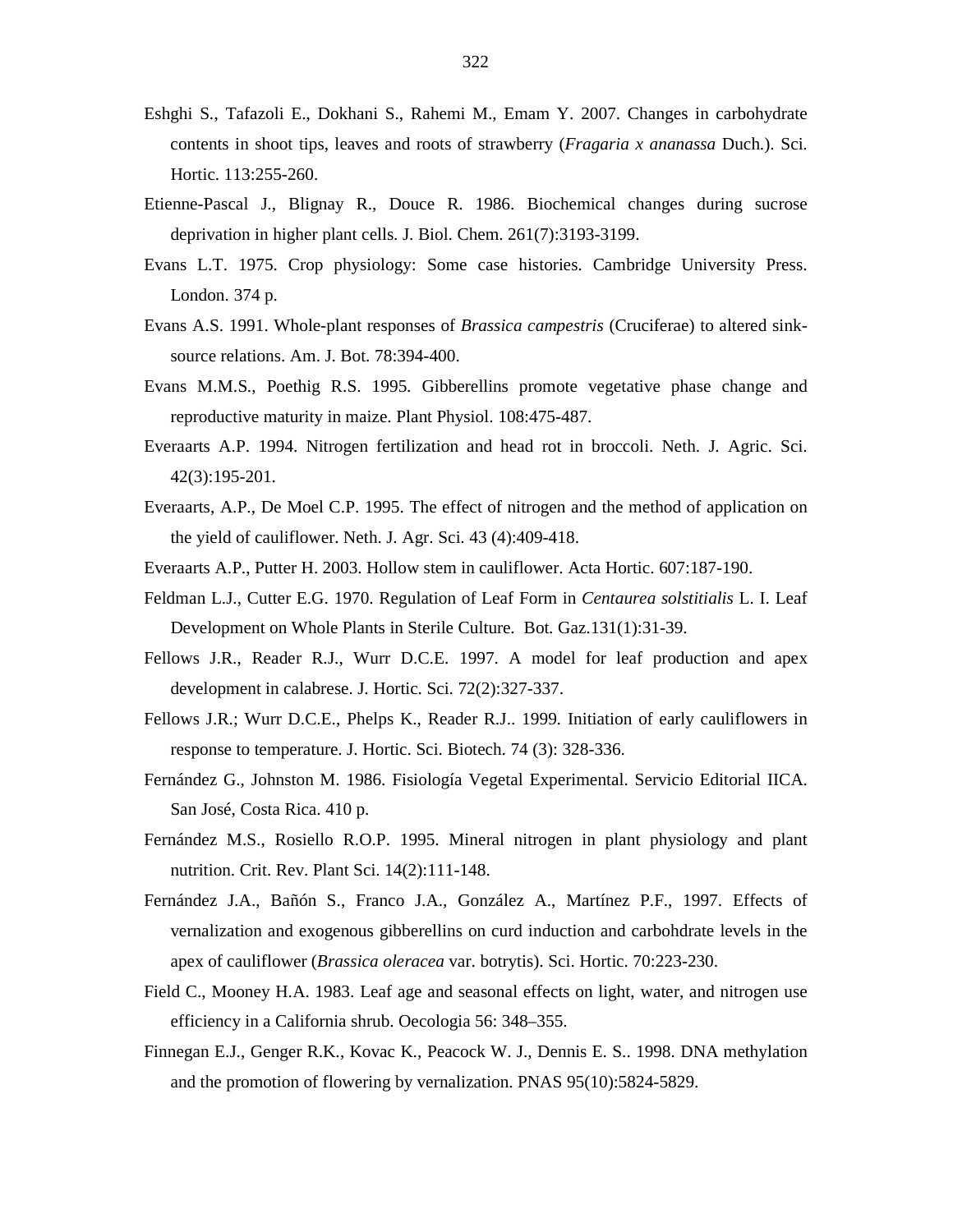- Eshghi S., Tafazoli E., Dokhani S., Rahemi M., Emam Y. 2007. Changes in carbohydrate contents in shoot tips, leaves and roots of strawberry (*Fragaria x ananassa* Duch.). Sci. Hortic. 113:255-260.
- Etienne-Pascal J., Blignay R., Douce R. 1986. Biochemical changes during sucrose deprivation in higher plant cells. J. Biol. Chem. 261(7):3193-3199.
- Evans L.T. 1975. Crop physiology: Some case histories. Cambridge University Press. London. 374 p.
- Evans A.S. 1991. Whole-plant responses of *Brassica campestris* (Cruciferae) to altered sinksource relations. Am. J. Bot. 78:394-400.
- Evans M.M.S., Poethig R.S. 1995. Gibberellins promote vegetative phase change and reproductive maturity in maize. Plant Physiol. 108:475-487.
- Everaarts A.P. 1994. Nitrogen fertilization and head rot in broccoli. Neth. J. Agric. Sci. 42(3):195-201.
- Everaarts, A.P., De Moel C.P. 1995. The effect of nitrogen and the method of application on the yield of cauliflower. Neth. J. Agr. Sci. 43 (4):409-418.
- Everaarts A.P., Putter H. 2003. Hollow stem in cauliflower. Acta Hortic. 607:187-190.
- Feldman L.J., Cutter E.G. 1970. Regulation of Leaf Form in *Centaurea solstitialis* L. I. Leaf Development on Whole Plants in Sterile Culture. Bot. Gaz.131(1):31-39.
- Fellows J.R., Reader R.J., Wurr D.C.E. 1997. A model for leaf production and apex development in calabrese. J. Hortic. Sci. 72(2):327-337.
- Fellows J.R.; Wurr D.C.E., Phelps K., Reader R.J.. 1999. Initiation of early cauliflowers in response to temperature. J. Hortic. Sci. Biotech. 74 (3): 328-336.
- Fernández G., Johnston M. 1986. Fisiología Vegetal Experimental. Servicio Editorial IICA. San José, Costa Rica. 410 p.
- Fernández M.S., Rosiello R.O.P. 1995. Mineral nitrogen in plant physiology and plant nutrition. Crit. Rev. Plant Sci. 14(2):111-148.
- Fernández J.A., Bañón S., Franco J.A., González A., Martínez P.F., 1997. Effects of vernalization and exogenous gibberellins on curd induction and carbohdrate levels in the apex of cauliflower (*Brassica oleracea* var. botrytis). Sci. Hortic. 70:223-230.
- Field C., Mooney H.A. 1983. Leaf age and seasonal effects on light, water, and nitrogen use efficiency in a California shrub. Oecologia 56: 348–355.
- Finnegan E.J., Genger R.K., Kovac K., Peacock W. J., Dennis E. S.. 1998. DNA methylation and the promotion of flowering by vernalization. PNAS 95(10):5824-5829.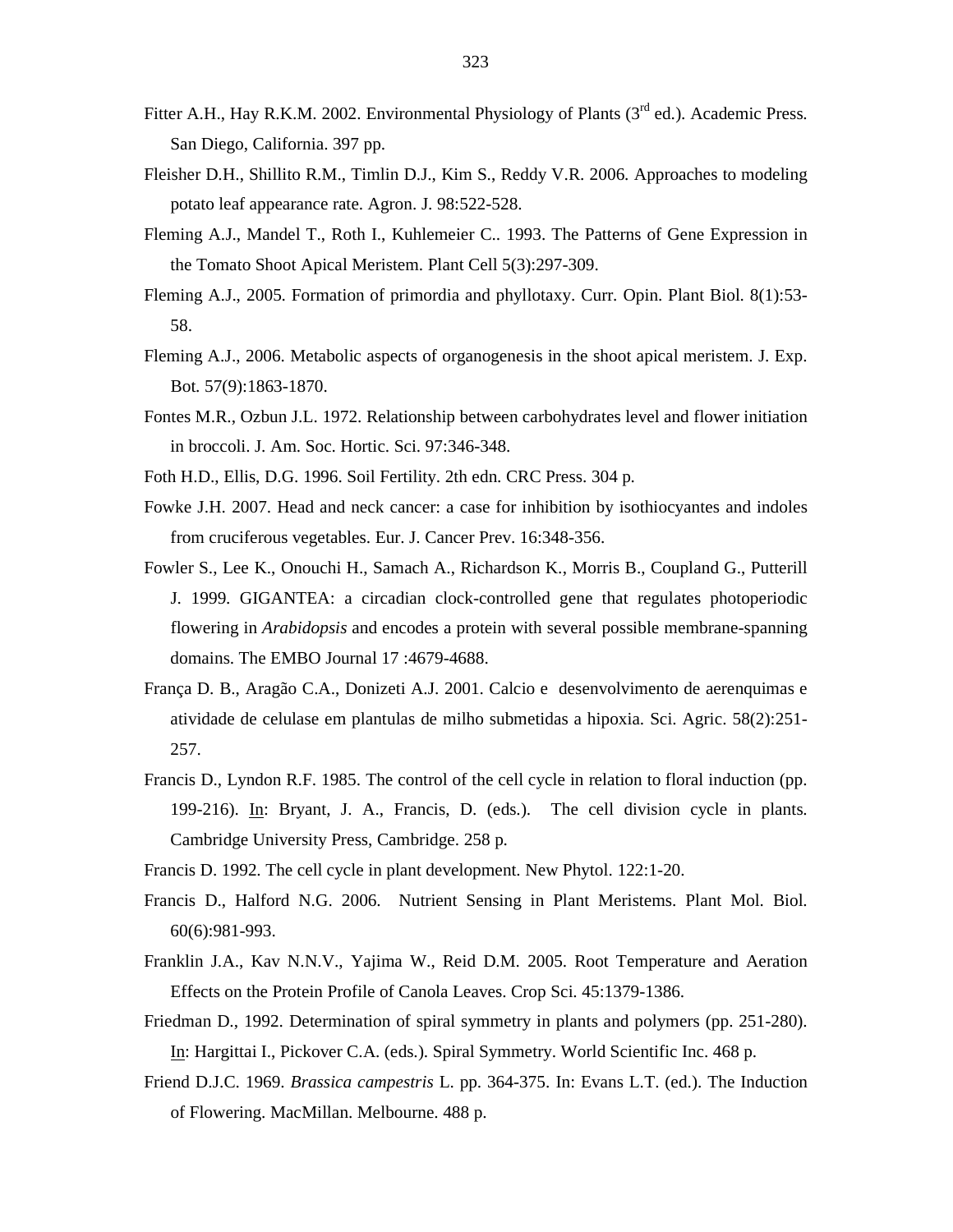- Fitter A.H., Hay R.K.M. 2002. Environmental Physiology of Plants  $(3<sup>rd</sup>$  ed.). Academic Press. San Diego, California. 397 pp.
- Fleisher D.H., Shillito R.M., Timlin D.J., Kim S., Reddy V.R. 2006. Approaches to modeling potato leaf appearance rate. Agron. J. 98:522-528.
- Fleming A.J., Mandel T., Roth I., Kuhlemeier C.. 1993. The Patterns of Gene Expression in the Tomato Shoot Apical Meristem. Plant Cell 5(3):297-309.
- Fleming A.J., 2005. Formation of primordia and phyllotaxy. Curr. Opin. Plant Biol. 8(1):53- 58.
- Fleming A.J., 2006. Metabolic aspects of organogenesis in the shoot apical meristem. J. Exp. Bot. 57(9):1863-1870.
- Fontes M.R., Ozbun J.L. 1972. Relationship between carbohydrates level and flower initiation in broccoli. J. Am. Soc. Hortic. Sci. 97:346-348.
- Foth H.D., Ellis, D.G. 1996. Soil Fertility. 2th edn. CRC Press. 304 p.
- Fowke J.H. 2007. Head and neck cancer: a case for inhibition by isothiocyantes and indoles from cruciferous vegetables. Eur. J. Cancer Prev. 16:348-356.
- Fowler S., Lee K., Onouchi H., Samach A., Richardson K., Morris B., Coupland G., Putterill J. 1999. GIGANTEA: a circadian clock-controlled gene that regulates photoperiodic flowering in *Arabidopsis* and encodes a protein with several possible membrane-spanning domains. The EMBO Journal 17 :4679-4688.
- França D. B., Aragão C.A., Donizeti A.J. 2001. Calcio e desenvolvimento de aerenquimas e atividade de celulase em plantulas de milho submetidas a hipoxia. Sci. Agric. 58(2):251- 257.
- Francis D., Lyndon R.F. 1985. The control of the cell cycle in relation to floral induction (pp. 199-216). In: Bryant, J. A., Francis, D. (eds.). The cell division cycle in plants. Cambridge University Press, Cambridge. 258 p.
- Francis D. 1992. The cell cycle in plant development. New Phytol. 122:1-20.
- Francis D., Halford N.G. 2006. Nutrient Sensing in Plant Meristems. Plant Mol. Biol. 60(6):981-993.
- Franklin J.A., Kav N.N.V., Yajima W., Reid D.M. 2005. Root Temperature and Aeration Effects on the Protein Profile of Canola Leaves. Crop Sci. 45:1379-1386.
- Friedman D., 1992. Determination of spiral symmetry in plants and polymers (pp. 251-280). In: Hargittai I., Pickover C.A. (eds.). Spiral Symmetry. World Scientific Inc. 468 p.
- Friend D.J.C. 1969. *Brassica campestris* L. pp. 364-375. In: Evans L.T. (ed.). The Induction of Flowering. MacMillan. Melbourne. 488 p.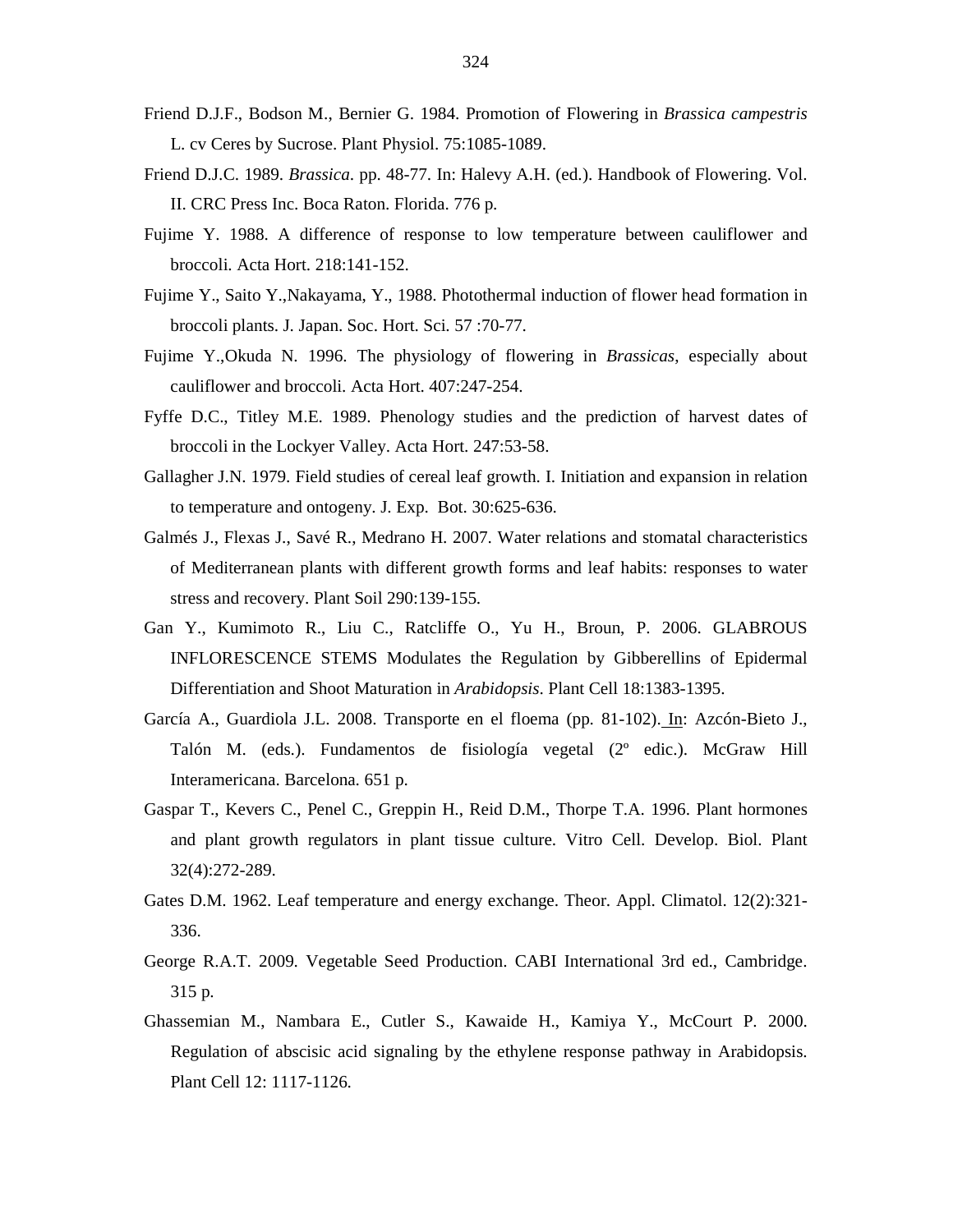- Friend D.J.F., Bodson M., Bernier G. 1984. Promotion of Flowering in *Brassica campestris* L. cv Ceres by Sucrose. Plant Physiol. 75:1085-1089.
- Friend D.J.C. 1989. *Brassica*. pp. 48-77. In: Halevy A.H. (ed.). Handbook of Flowering. Vol. II. CRC Press Inc. Boca Raton. Florida. 776 p.
- Fujime Y. 1988. A difference of response to low temperature between cauliflower and broccoli. Acta Hort. 218:141-152.
- Fujime Y., Saito Y.,Nakayama, Y., 1988. Photothermal induction of flower head formation in broccoli plants. J. Japan. Soc. Hort. Sci. 57 :70-77.
- Fujime Y.,Okuda N. 1996. The physiology of flowering in *Brassicas*, especially about cauliflower and broccoli. Acta Hort. 407:247-254.
- Fyffe D.C., Titley M.E. 1989. Phenology studies and the prediction of harvest dates of broccoli in the Lockyer Valley. Acta Hort. 247:53-58.
- Gallagher J.N. 1979. Field studies of cereal leaf growth. I. Initiation and expansion in relation to temperature and ontogeny. J. Exp. Bot. 30:625-636.
- Galmés J., Flexas J., Savé R., Medrano H. 2007. Water relations and stomatal characteristics of Mediterranean plants with different growth forms and leaf habits: responses to water stress and recovery. Plant Soil 290:139-155.
- Gan Y., Kumimoto R., Liu C., Ratcliffe O., Yu H., Broun, P. 2006. GLABROUS INFLORESCENCE STEMS Modulates the Regulation by Gibberellins of Epidermal Differentiation and Shoot Maturation in *Arabidopsis*. Plant Cell 18:1383-1395.
- García A., Guardiola J.L. 2008. Transporte en el floema (pp. 81-102). In: Azcón-Bieto J., Talón M. (eds.). Fundamentos de fisiología vegetal (2º edic.). McGraw Hill Interamericana. Barcelona. 651 p.
- Gaspar T., Kevers C., Penel C., Greppin H., Reid D.M., Thorpe T.A. 1996. Plant hormones and plant growth regulators in plant tissue culture. Vitro Cell. Develop. Biol. Plant 32(4):272-289.
- Gates D.M. 1962. Leaf temperature and energy exchange. Theor. Appl. Climatol. 12(2):321-336.
- George R.A.T. 2009. Vegetable Seed Production. CABI International 3rd ed., Cambridge. 315 p.
- Ghassemian M., Nambara E., Cutler S., Kawaide H., Kamiya Y., McCourt P. 2000. Regulation of abscisic acid signaling by the ethylene response pathway in Arabidopsis. Plant Cell 12: 1117-1126.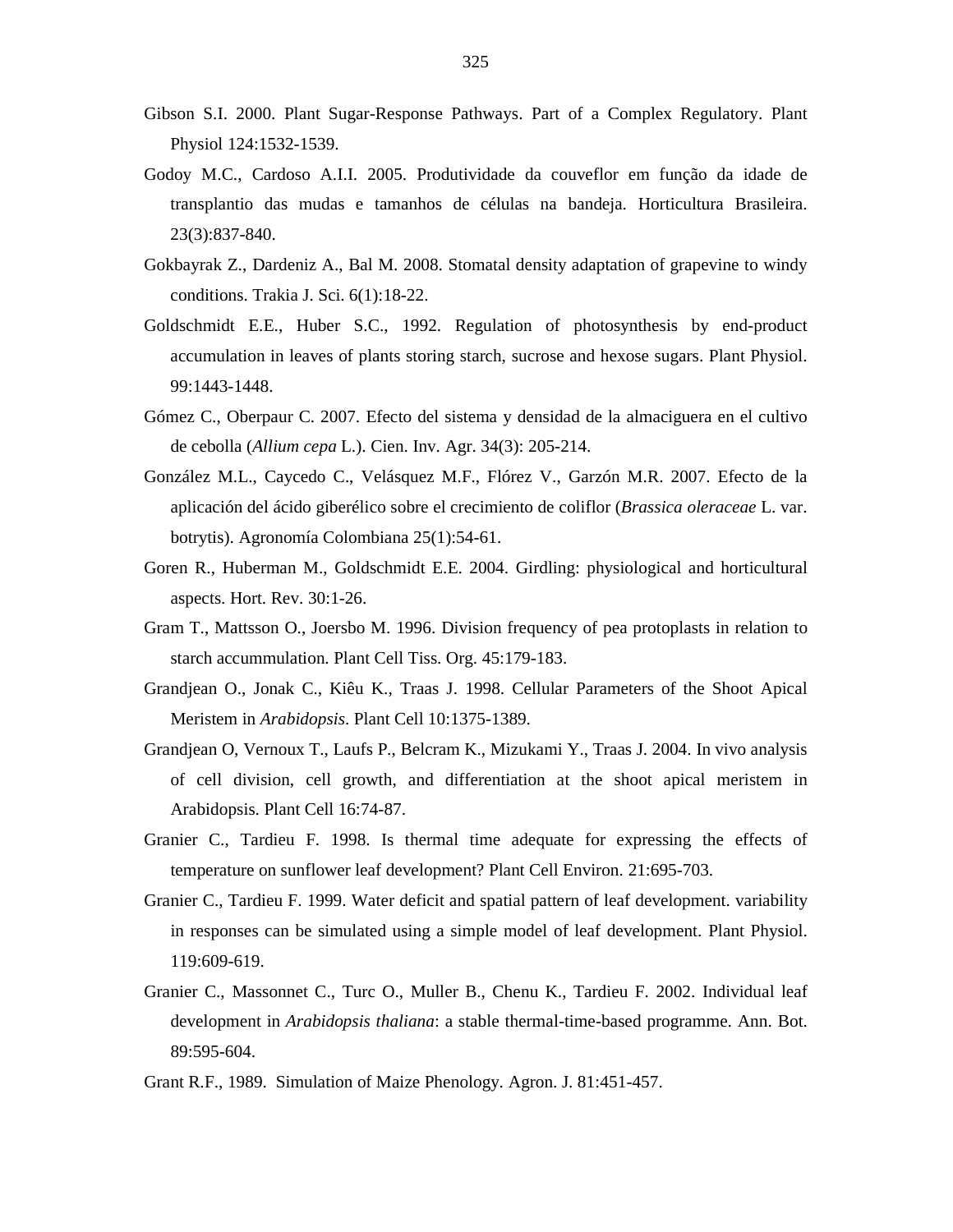- Gibson S.I. 2000. Plant Sugar-Response Pathways. Part of a Complex Regulatory. Plant Physiol 124:1532-1539.
- Godoy M.C., Cardoso A.I.I. 2005. Produtividade da couveflor em função da idade de transplantio das mudas e tamanhos de células na bandeja. Horticultura Brasileira. 23(3):837-840.
- Gokbayrak Z., Dardeniz A., Bal M. 2008. Stomatal density adaptation of grapevine to windy conditions. Trakia J. Sci. 6(1):18-22.
- Goldschmidt E.E., Huber S.C., 1992. Regulation of photosynthesis by end-product accumulation in leaves of plants storing starch, sucrose and hexose sugars. Plant Physiol. 99:1443-1448.
- Gómez C., Oberpaur C. 2007. Efecto del sistema y densidad de la almaciguera en el cultivo de cebolla (*Allium cepa* L.). Cien. Inv. Agr. 34(3): 205-214.
- González M.L., Caycedo C., Velásquez M.F., Flórez V., Garzón M.R. 2007. Efecto de la aplicación del ácido giberélico sobre el crecimiento de coliflor (*Brassica oleraceae* L. var. botrytis). Agronomía Colombiana 25(1):54-61.
- Goren R., Huberman M., Goldschmidt E.E. 2004. Girdling: physiological and horticultural aspects. Hort. Rev. 30:1-26.
- Gram T., Mattsson O., Joersbo M. 1996. Division frequency of pea protoplasts in relation to starch accummulation. Plant Cell Tiss. Org. 45:179-183.
- Grandjean O., Jonak C., Kiêu K., Traas J. 1998. Cellular Parameters of the Shoot Apical Meristem in *Arabidopsis*. Plant Cell 10:1375-1389.
- Grandjean O, Vernoux T., Laufs P., Belcram K., Mizukami Y., Traas J. 2004. In vivo analysis of cell division, cell growth, and differentiation at the shoot apical meristem in Arabidopsis. Plant Cell 16:74-87.
- Granier C., Tardieu F. 1998. Is thermal time adequate for expressing the effects of temperature on sunflower leaf development? Plant Cell Environ. 21:695-703.
- Granier C., Tardieu F. 1999. Water deficit and spatial pattern of leaf development. variability in responses can be simulated using a simple model of leaf development. Plant Physiol. 119:609-619.
- Granier C., Massonnet C., Turc O., Muller B., Chenu K., Tardieu F. 2002. Individual leaf development in *Arabidopsis thaliana*: a stable thermal-time-based programme. Ann. Bot. 89:595-604.
- Grant R.F., 1989. Simulation of Maize Phenology. Agron. J. 81:451-457.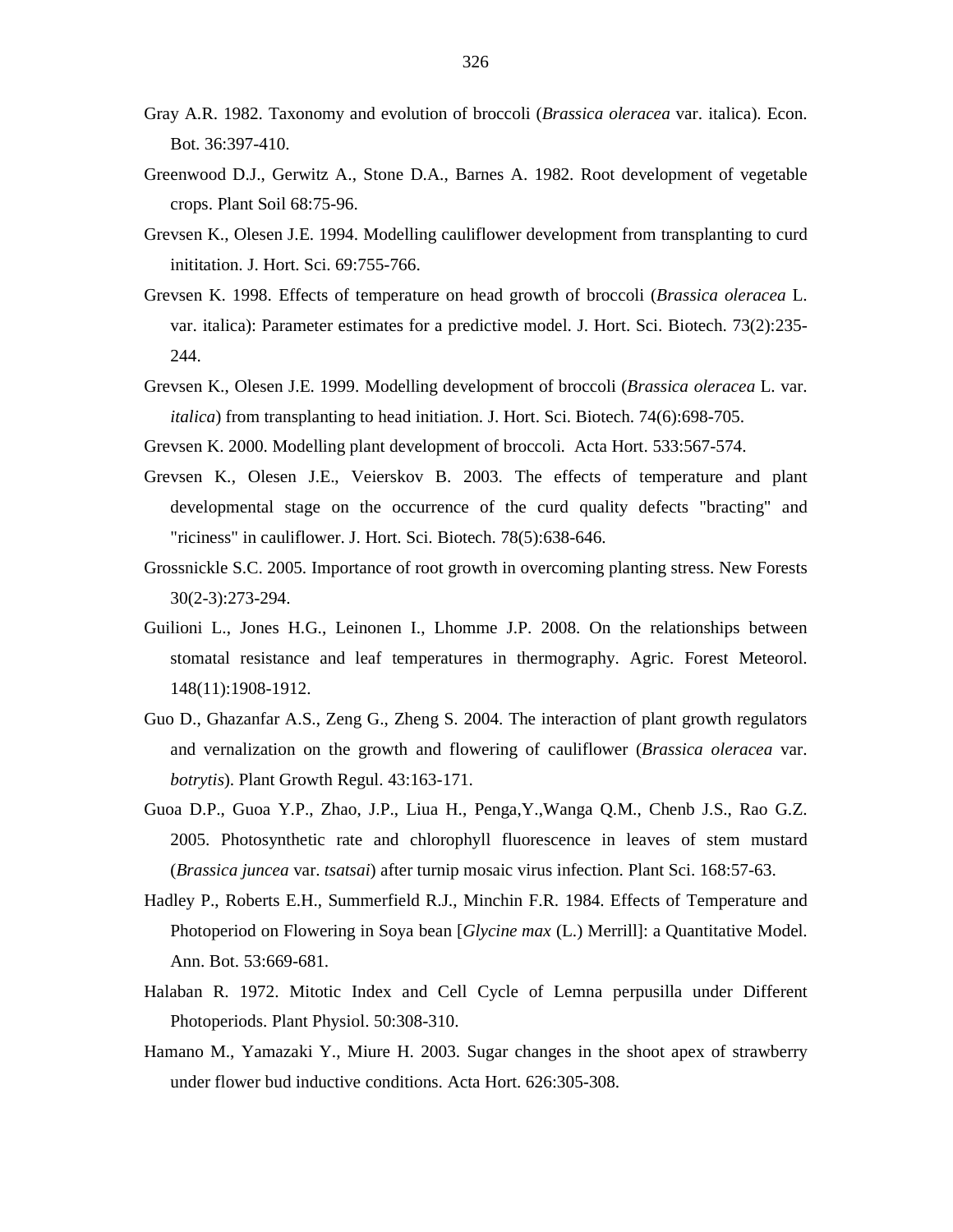- Gray A.R. 1982. Taxonomy and evolution of broccoli (*Brassica oleracea* var. italica). Econ. Bot. 36:397-410.
- Greenwood D.J., Gerwitz A., Stone D.A., Barnes A. 1982. Root development of vegetable crops. Plant Soil 68:75-96.
- Grevsen K., Olesen J.E. 1994. Modelling cauliflower development from transplanting to curd inititation. J. Hort. Sci. 69:755-766.
- Grevsen K. 1998. Effects of temperature on head growth of broccoli (*Brassica oleracea* L. var. italica): Parameter estimates for a predictive model. J. Hort. Sci. Biotech. 73(2):235- 244.
- Grevsen K., Olesen J.E. 1999. Modelling development of broccoli (*Brassica oleracea* L. var. *italica*) from transplanting to head initiation. J. Hort. Sci. Biotech. 74(6):698-705.
- Grevsen K. 2000. Modelling plant development of broccoli. Acta Hort. 533:567-574.
- Grevsen K., Olesen J.E., Veierskov B. 2003. The effects of temperature and plant developmental stage on the occurrence of the curd quality defects "bracting" and "riciness" in cauliflower. J. Hort. Sci. Biotech. 78(5):638-646.
- Grossnickle S.C. 2005. Importance of root growth in overcoming planting stress. New Forests 30(2-3):273-294.
- Guilioni L., Jones H.G., Leinonen I., Lhomme J.P. 2008. On the relationships between stomatal resistance and leaf temperatures in thermography. Agric. Forest Meteorol. 148(11):1908-1912.
- Guo D., Ghazanfar A.S., Zeng G., Zheng S. 2004. The interaction of plant growth regulators and vernalization on the growth and flowering of cauliflower (*Brassica oleracea* var. *botrytis*). Plant Growth Regul. 43:163-171.
- Guoa D.P., Guoa Y.P., Zhao, J.P., Liua H., Penga,Y.,Wanga Q.M., Chenb J.S., Rao G.Z. 2005. Photosynthetic rate and chlorophyll fluorescence in leaves of stem mustard (*Brassica juncea* var. *tsatsai*) after turnip mosaic virus infection. Plant Sci. 168:57-63.
- Hadley P., Roberts E.H., Summerfield R.J., Minchin F.R. 1984. Effects of Temperature and Photoperiod on Flowering in Soya bean [*Glycine max* (L.) Merrill]: a Quantitative Model. Ann. Bot. 53:669-681.
- Halaban R. 1972. Mitotic Index and Cell Cycle of Lemna perpusilla under Different Photoperiods. Plant Physiol. 50:308-310.
- Hamano M., Yamazaki Y., Miure H. 2003. Sugar changes in the shoot apex of strawberry under flower bud inductive conditions. Acta Hort. 626:305-308.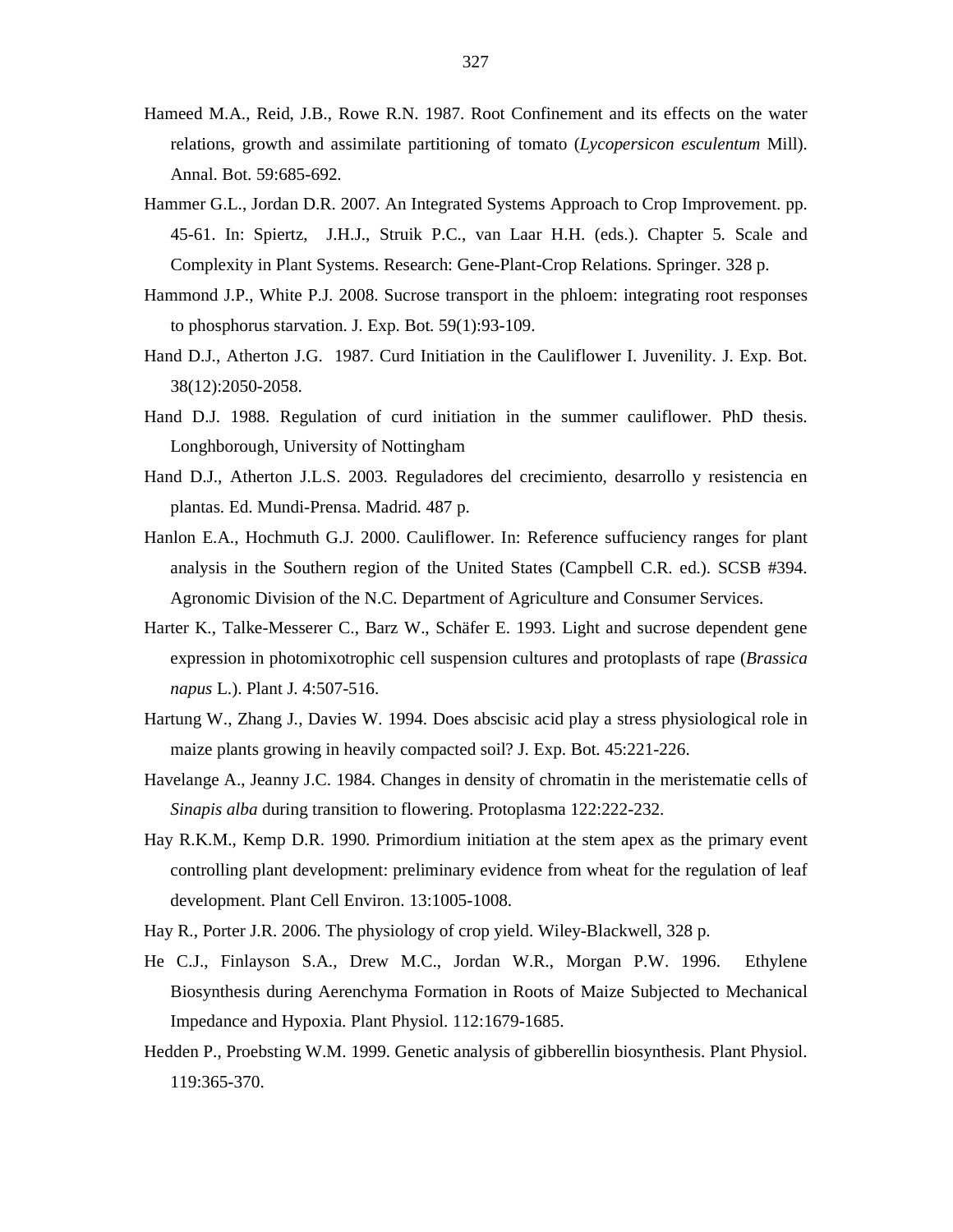- Hameed M.A., Reid, J.B., Rowe R.N. 1987. Root Confinement and its effects on the water relations, growth and assimilate partitioning of tomato (*Lycopersicon esculentum* Mill). Annal. Bot. 59:685-692.
- Hammer G.L., Jordan D.R. 2007. An Integrated Systems Approach to Crop Improvement. pp. 45-61. In: Spiertz, J.H.J., Struik P.C., van Laar H.H. (eds.). Chapter 5. Scale and Complexity in Plant Systems. Research: Gene-Plant-Crop Relations. Springer. 328 p.
- Hammond J.P., White P.J. 2008. Sucrose transport in the phloem: integrating root responses to phosphorus starvation. J. Exp. Bot. 59(1):93-109.
- Hand D.J., Atherton J.G. 1987. Curd Initiation in the Cauliflower I. Juvenility. J. Exp. Bot. 38(12):2050-2058.
- Hand D.J. 1988. Regulation of curd initiation in the summer cauliflower. PhD thesis. Longhborough, University of Nottingham
- Hand D.J., Atherton J.L.S. 2003. Reguladores del crecimiento, desarrollo y resistencia en plantas. Ed. Mundi-Prensa. Madrid. 487 p.
- Hanlon E.A., Hochmuth G.J. 2000. Cauliflower. In: Reference suffuciency ranges for plant analysis in the Southern region of the United States (Campbell C.R. ed.). SCSB #394. Agronomic Division of the N.C. Department of Agriculture and Consumer Services.
- Harter K., Talke-Messerer C., Barz W., Schäfer E. 1993. Light and sucrose dependent gene expression in photomixotrophic cell suspension cultures and protoplasts of rape (*Brassica napus* L.). Plant J. 4:507-516.
- Hartung W., Zhang J., Davies W. 1994. Does abscisic acid play a stress physiological role in maize plants growing in heavily compacted soil? J. Exp. Bot. 45:221-226.
- Havelange A., Jeanny J.C. 1984. Changes in density of chromatin in the meristematie cells of *Sinapis alba* during transition to flowering. Protoplasma 122:222-232.
- Hay R.K.M., Kemp D.R. 1990. Primordium initiation at the stem apex as the primary event controlling plant development: preliminary evidence from wheat for the regulation of leaf development. Plant Cell Environ. 13:1005-1008.
- Hay R., Porter J.R. 2006. The physiology of crop yield. Wiley-Blackwell, 328 p.
- He C.J., Finlayson S.A., Drew M.C., Jordan W.R., Morgan P.W. 1996. Ethylene Biosynthesis during Aerenchyma Formation in Roots of Maize Subjected to Mechanical Impedance and Hypoxia. Plant Physiol. 112:1679-1685.
- Hedden P., Proebsting W.M. 1999. Genetic analysis of gibberellin biosynthesis. Plant Physiol. 119:365-370.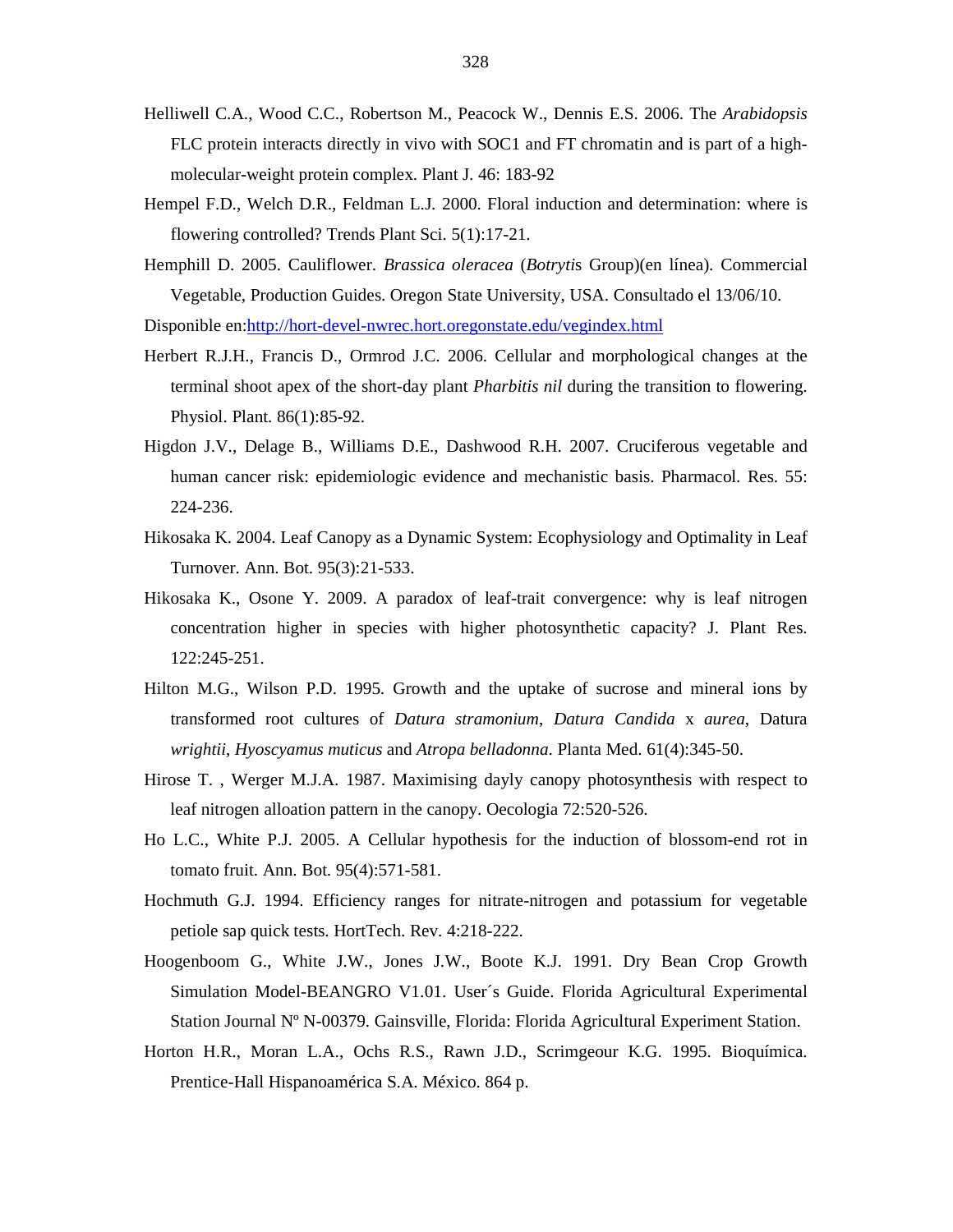- Helliwell C.A., Wood C.C., Robertson M., Peacock W., Dennis E.S. 2006. The *Arabidopsis* FLC protein interacts directly in vivo with SOC1 and FT chromatin and is part of a highmolecular-weight protein complex. Plant J. 46: 183-92
- Hempel F.D., Welch D.R., Feldman L.J. 2000. Floral induction and determination: where is flowering controlled? Trends Plant Sci. 5(1):17-21.
- Hemphill D. 2005. Cauliflower. *Brassica oleracea* (*Botryti*s Group)(en línea). Commercial Vegetable, Production Guides. Oregon State University, USA. Consultado el 13/06/10. Disponible en:http://hort-devel-nwrec.hort.oregonstate.edu/vegindex.html
- Herbert R.J.H., Francis D., Ormrod J.C. 2006. Cellular and morphological changes at the
- terminal shoot apex of the short-day plant *Pharbitis nil* during the transition to flowering. Physiol. Plant. 86(1):85-92.
- Higdon J.V., Delage B., Williams D.E., Dashwood R.H. 2007. Cruciferous vegetable and human cancer risk: epidemiologic evidence and mechanistic basis. Pharmacol. Res. 55: 224-236.
- Hikosaka K. 2004. Leaf Canopy as a Dynamic System: Ecophysiology and Optimality in Leaf Turnover. Ann. Bot. 95(3):21-533.
- Hikosaka K., Osone Y. 2009. A paradox of leaf-trait convergence: why is leaf nitrogen concentration higher in species with higher photosynthetic capacity? J. Plant Res. 122:245-251.
- Hilton M.G., Wilson P.D. 1995. Growth and the uptake of sucrose and mineral ions by transformed root cultures of *Datura stramonium*, *Datura Candida* x *aurea*, Datura *wrightii*, *Hyoscyamus muticus* and *Atropa belladonna*. Planta Med. 61(4):345-50.
- Hirose T. , Werger M.J.A. 1987. Maximising dayly canopy photosynthesis with respect to leaf nitrogen alloation pattern in the canopy. Oecologia 72:520-526.
- Ho L.C., White P.J. 2005. A Cellular hypothesis for the induction of blossom-end rot in tomato fruit. Ann. Bot. 95(4):571-581.
- Hochmuth G.J. 1994. Efficiency ranges for nitrate-nitrogen and potassium for vegetable petiole sap quick tests. HortTech. Rev. 4:218-222.
- Hoogenboom G., White J.W., Jones J.W., Boote K.J. 1991. Dry Bean Crop Growth Simulation Model-BEANGRO V1.01. User´s Guide. Florida Agricultural Experimental Station Journal Nº N-00379. Gainsville, Florida: Florida Agricultural Experiment Station.
- Horton H.R., Moran L.A., Ochs R.S., Rawn J.D., Scrimgeour K.G. 1995. Bioquímica. Prentice-Hall Hispanoamérica S.A. México. 864 p.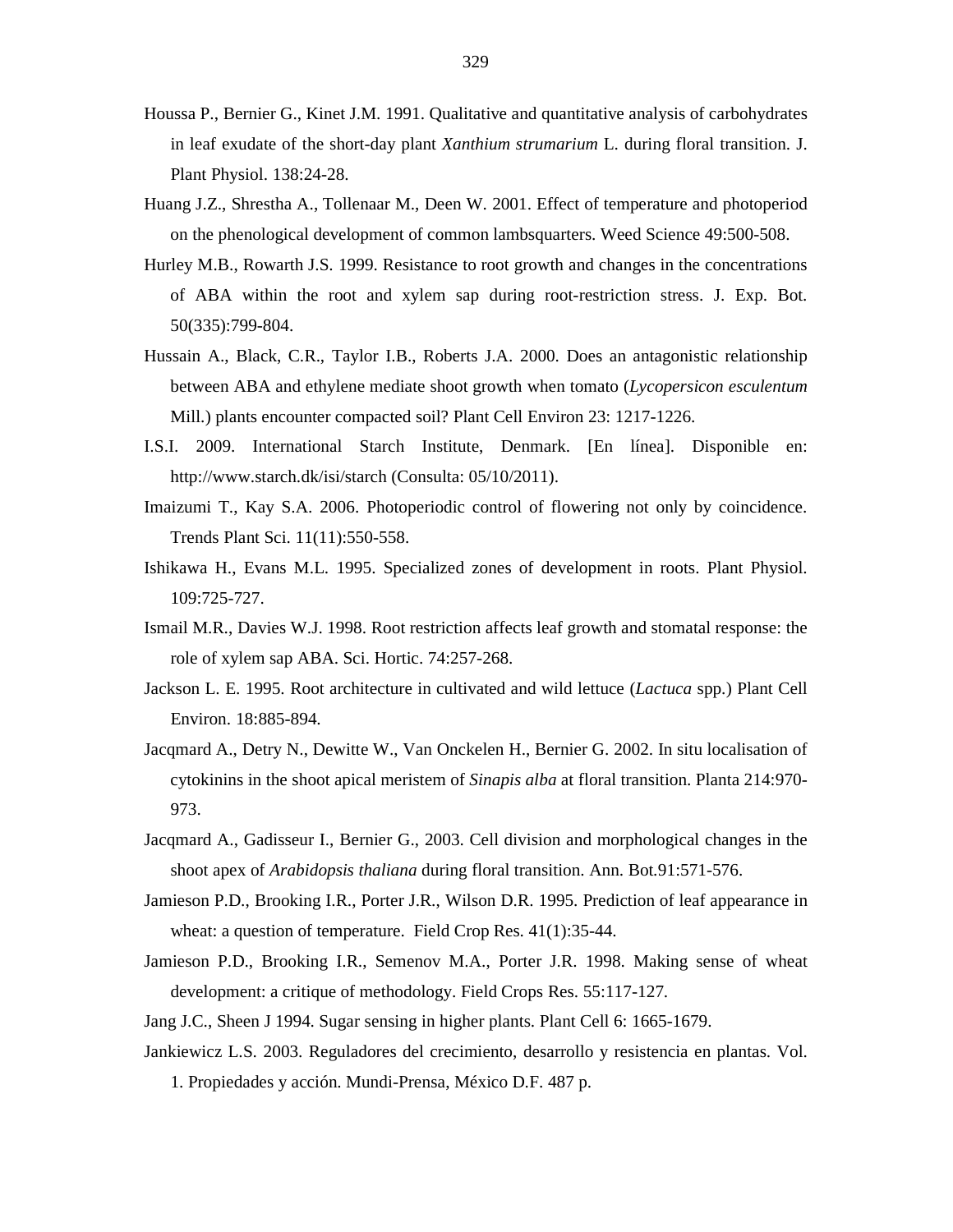- Houssa P., Bernier G., Kinet J.M. 1991. Qualitative and quantitative analysis of carbohydrates in leaf exudate of the short-day plant *Xanthium strumarium* L. during floral transition. J. Plant Physiol. 138:24-28.
- Huang J.Z., Shrestha A., Tollenaar M., Deen W. 2001. Effect of temperature and photoperiod on the phenological development of common lambsquarters. Weed Science 49:500-508.
- Hurley M.B., Rowarth J.S. 1999. Resistance to root growth and changes in the concentrations of ABA within the root and xylem sap during root-restriction stress. J. Exp. Bot. 50(335):799-804.
- Hussain A., Black, C.R., Taylor I.B., Roberts J.A. 2000. Does an antagonistic relationship between ABA and ethylene mediate shoot growth when tomato (*Lycopersicon esculentum* Mill.) plants encounter compacted soil? Plant Cell Environ 23: 1217-1226.
- I.S.I. 2009. International Starch Institute, Denmark. [En línea]. Disponible en: http://www.starch.dk/isi/starch (Consulta: 05/10/2011).
- Imaizumi T., Kay S.A. 2006. Photoperiodic control of flowering not only by coincidence. Trends Plant Sci. 11(11):550-558.
- Ishikawa H., Evans M.L. 1995. Specialized zones of development in roots. Plant Physiol. 109:725-727.
- Ismail M.R., Davies W.J. 1998. Root restriction affects leaf growth and stomatal response: the role of xylem sap ABA. Sci. Hortic. 74:257-268.
- Jackson L. E. 1995. Root architecture in cultivated and wild lettuce (*Lactuca* spp.) Plant Cell Environ. 18:885-894.
- Jacqmard A., Detry N., Dewitte W., Van Onckelen H., Bernier G. 2002. In situ localisation of cytokinins in the shoot apical meristem of *Sinapis alba* at floral transition. Planta 214:970- 973.
- Jacqmard A., Gadisseur I., Bernier G., 2003. Cell division and morphological changes in the shoot apex of *Arabidopsis thaliana* during floral transition. Ann. Bot.91:571-576.
- Jamieson P.D., Brooking I.R., Porter J.R., Wilson D.R. 1995. Prediction of leaf appearance in wheat: a question of temperature. Field Crop Res. 41(1):35-44.
- Jamieson P.D., Brooking I.R., Semenov M.A., Porter J.R. 1998. Making sense of wheat development: a critique of methodology. Field Crops Res. 55:117-127.
- Jang J.C., Sheen J 1994. Sugar sensing in higher plants. Plant Cell 6: 1665-1679.
- Jankiewicz L.S. 2003. Reguladores del crecimiento, desarrollo y resistencia en plantas. Vol. 1. Propiedades y acción. Mundi-Prensa, México D.F. 487 p.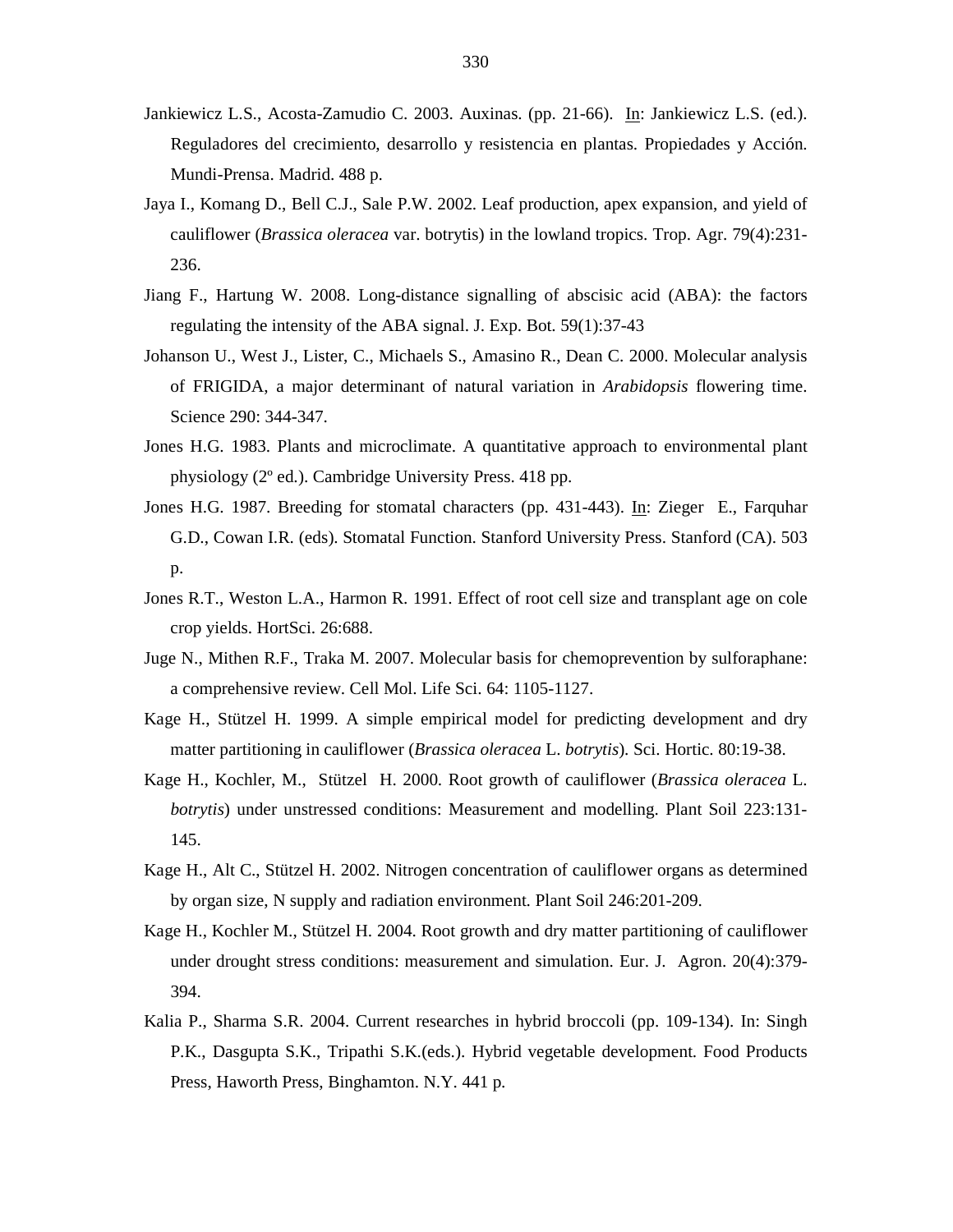- Jankiewicz L.S., Acosta-Zamudio C. 2003. Auxinas. (pp. 21-66). In: Jankiewicz L.S. (ed.). Reguladores del crecimiento, desarrollo y resistencia en plantas. Propiedades y Acción. Mundi-Prensa. Madrid. 488 p.
- Jaya I., Komang D., Bell C.J., Sale P.W. 2002. Leaf production, apex expansion, and yield of cauliflower (*Brassica oleracea* var. botrytis) in the lowland tropics. Trop. Agr. 79(4):231- 236.
- Jiang F., Hartung W. 2008. Long-distance signalling of abscisic acid (ABA): the factors regulating the intensity of the ABA signal. J. Exp. Bot. 59(1):37-43
- Johanson U., West J., Lister, C., Michaels S., Amasino R., Dean C. 2000. Molecular analysis of FRIGIDA, a major determinant of natural variation in *Arabidopsis* flowering time. Science 290: 344-347.
- Jones H.G. 1983. Plants and microclimate. A quantitative approach to environmental plant physiology (2º ed.). Cambridge University Press. 418 pp.
- Jones H.G. 1987. Breeding for stomatal characters (pp. 431-443). In: Zieger E., Farquhar G.D., Cowan I.R. (eds). Stomatal Function. Stanford University Press. Stanford (CA). 503 p.
- Jones R.T., Weston L.A., Harmon R. 1991. Effect of root cell size and transplant age on cole crop yields. HortSci. 26:688.
- Juge N., Mithen R.F., Traka M. 2007. Molecular basis for chemoprevention by sulforaphane: a comprehensive review. Cell Mol. Life Sci. 64: 1105-1127.
- Kage H., Stützel H. 1999. A simple empirical model for predicting development and dry matter partitioning in cauliflower (*Brassica oleracea* L. *botrytis*). Sci. Hortic. 80:19-38.
- Kage H., Kochler, M., Stützel H. 2000. Root growth of cauliflower (*Brassica oleracea* L. *botrytis*) under unstressed conditions: Measurement and modelling. Plant Soil 223:131- 145.
- Kage H., Alt C., Stützel H. 2002. Nitrogen concentration of cauliflower organs as determined by organ size, N supply and radiation environment. Plant Soil 246:201-209.
- Kage H., Kochler M., Stützel H. 2004. Root growth and dry matter partitioning of cauliflower under drought stress conditions: measurement and simulation. Eur. J. Agron. 20(4):379- 394.
- Kalia P., Sharma S.R. 2004. Current researches in hybrid broccoli (pp. 109-134). In: Singh P.K., Dasgupta S.K., Tripathi S.K.(eds.). Hybrid vegetable development. Food Products Press, Haworth Press, Binghamton. N.Y. 441 p.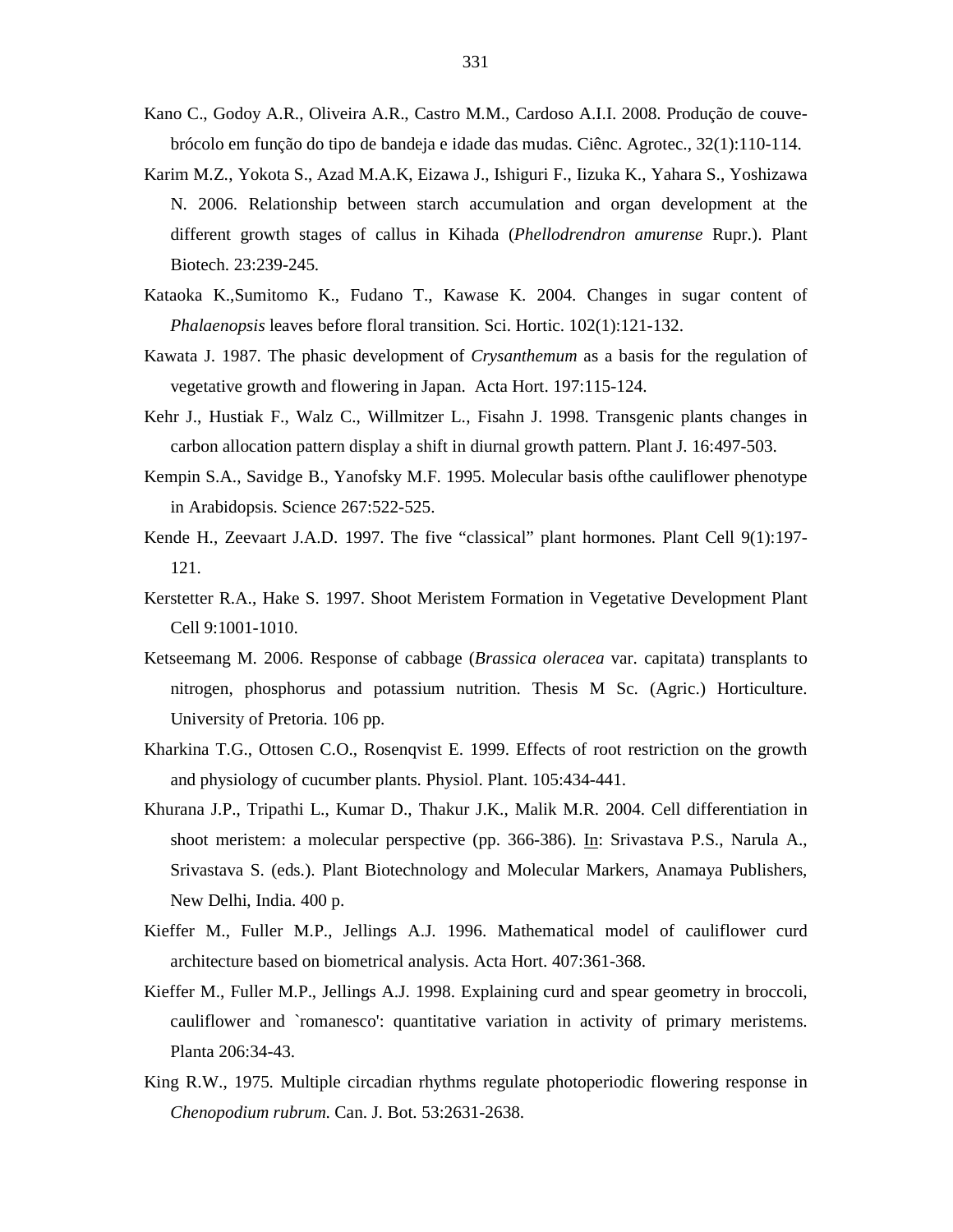- Kano C., Godoy A.R., Oliveira A.R., Castro M.M., Cardoso A.I.I. 2008. Produção de couvebrócolo em função do tipo de bandeja e idade das mudas. Ciênc. Agrotec., 32(1):110-114.
- Karim M.Z., Yokota S., Azad M.A.K, Eizawa J., Ishiguri F., Iizuka K., Yahara S., Yoshizawa N. 2006. Relationship between starch accumulation and organ development at the different growth stages of callus in Kihada (*Phellodrendron amurense* Rupr.). Plant Biotech. 23:239-245.
- Kataoka K.,Sumitomo K., Fudano T., Kawase K. 2004. Changes in sugar content of *Phalaenopsis* leaves before floral transition. Sci. Hortic. 102(1):121-132.
- Kawata J. 1987. The phasic development of *Crysanthemum* as a basis for the regulation of vegetative growth and flowering in Japan. Acta Hort. 197:115-124.
- Kehr J., Hustiak F., Walz C., Willmitzer L., Fisahn J. 1998. Transgenic plants changes in carbon allocation pattern display a shift in diurnal growth pattern. Plant J. 16:497-503.
- Kempin S.A., Savidge B., Yanofsky M.F. 1995. Molecular basis ofthe cauliflower phenotype in Arabidopsis. Science 267:522-525.
- Kende H., Zeevaart J.A.D. 1997. The five "classical" plant hormones. Plant Cell 9(1):197- 121.
- Kerstetter R.A., Hake S. 1997. Shoot Meristem Formation in Vegetative Development Plant Cell 9:1001-1010.
- Ketseemang M. 2006. Response of cabbage (*Brassica oleracea* var. capitata) transplants to nitrogen, phosphorus and potassium nutrition. Thesis M Sc. (Agric.) Horticulture. University of Pretoria. 106 pp.
- Kharkina T.G., Ottosen C.O., Rosenqvist E. 1999. Effects of root restriction on the growth and physiology of cucumber plants. Physiol. Plant. 105:434-441.
- Khurana J.P., Tripathi L., Kumar D., Thakur J.K., Malik M.R. 2004. Cell differentiation in shoot meristem: a molecular perspective (pp. 366-386). In: Srivastava P.S., Narula A., Srivastava S. (eds.). Plant Biotechnology and Molecular Markers, Anamaya Publishers, New Delhi, India. 400 p.
- Kieffer M., Fuller M.P., Jellings A.J. 1996. Mathematical model of cauliflower curd architecture based on biometrical analysis. Acta Hort. 407:361-368.
- Kieffer M., Fuller M.P., Jellings A.J. 1998. Explaining curd and spear geometry in broccoli, cauliflower and `romanesco': quantitative variation in activity of primary meristems. Planta 206:34-43.
- King R.W., 1975. Multiple circadian rhythms regulate photoperiodic flowering response in *Chenopodium rubrum*. Can. J. Bot. 53:2631-2638.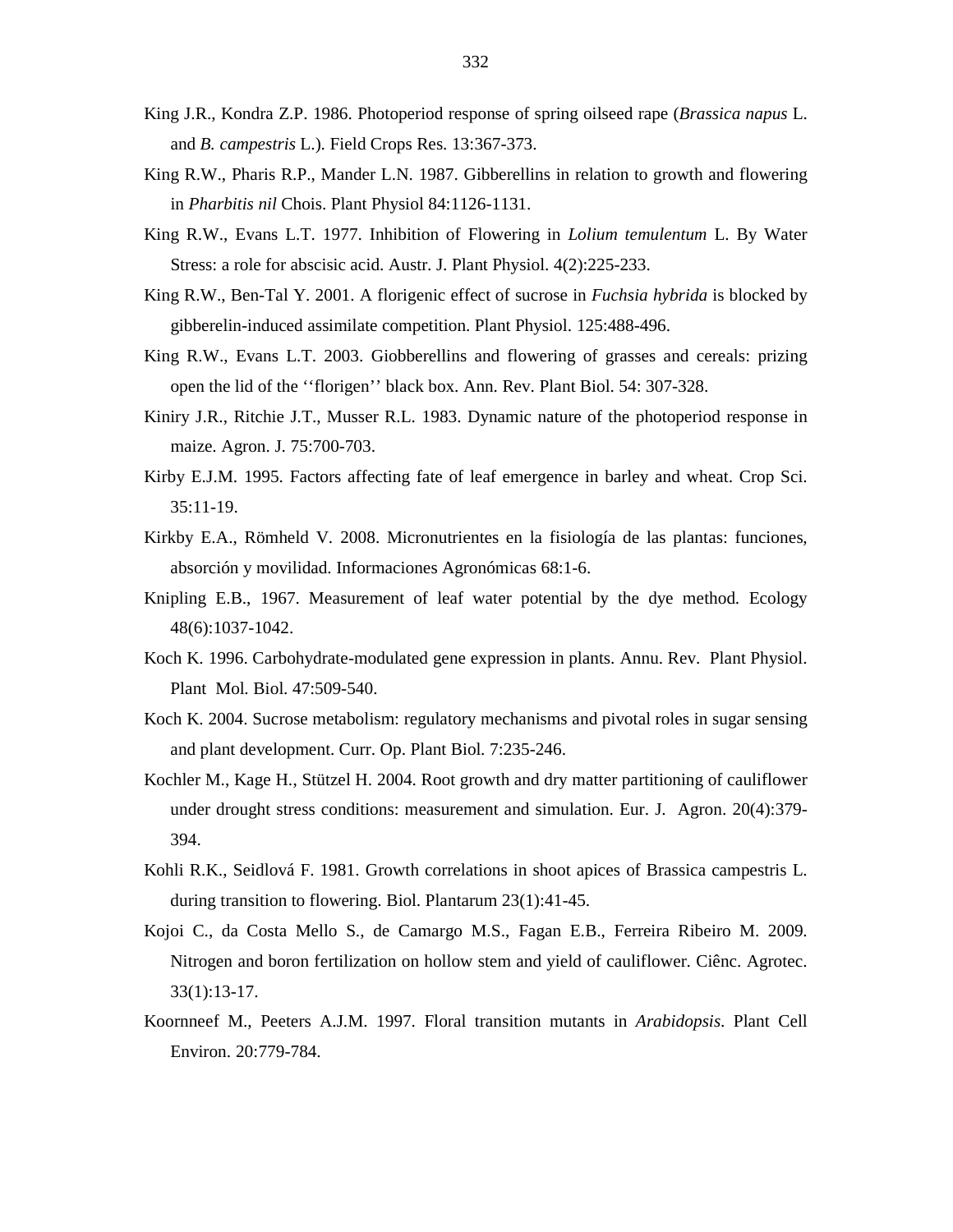- King J.R., Kondra Z.P. 1986. Photoperiod response of spring oilseed rape (*Brassica napus* L. and *B. campestris* L.). Field Crops Res. 13:367-373.
- King R.W., Pharis R.P., Mander L.N. 1987. Gibberellins in relation to growth and flowering in *Pharbitis nil* Chois. Plant Physiol 84:1126-1131.
- King R.W., Evans L.T. 1977. Inhibition of Flowering in *Lolium temulentum* L. By Water Stress: a role for abscisic acid. Austr. J. Plant Physiol. 4(2):225-233.
- King R.W., Ben-Tal Y. 2001. A florigenic effect of sucrose in *Fuchsia hybrida* is blocked by gibberelin-induced assimilate competition. Plant Physiol. 125:488-496.
- King R.W., Evans L.T. 2003. Giobberellins and flowering of grasses and cereals: prizing open the lid of the ''florigen'' black box. Ann. Rev. Plant Biol. 54: 307-328.
- Kiniry J.R., Ritchie J.T., Musser R.L. 1983. Dynamic nature of the photoperiod response in maize. Agron. J. 75:700-703.
- Kirby E.J.M. 1995. Factors affecting fate of leaf emergence in barley and wheat. Crop Sci. 35:11-19.
- Kirkby E.A., Römheld V. 2008. Micronutrientes en la fisiología de las plantas: funciones, absorción y movilidad. Informaciones Agronómicas 68:1-6.
- Knipling E.B., 1967. Measurement of leaf water potential by the dye method. Ecology 48(6):1037-1042.
- Koch K. 1996. Carbohydrate-modulated gene expression in plants. Annu. Rev. Plant Physiol. Plant Mol. Biol. 47:509-540.
- Koch K. 2004. Sucrose metabolism: regulatory mechanisms and pivotal roles in sugar sensing and plant development. Curr. Op. Plant Biol. 7:235-246.
- Kochler M., Kage H., Stützel H. 2004. Root growth and dry matter partitioning of cauliflower under drought stress conditions: measurement and simulation. Eur. J. Agron. 20(4):379- 394.
- Kohli R.K., Seidlová F. 1981. Growth correlations in shoot apices of Brassica campestris L. during transition to flowering. Biol. Plantarum 23(1):41-45.
- Kojoi C., da Costa Mello S., de Camargo M.S., Fagan E.B., Ferreira Ribeiro M. 2009. Nitrogen and boron fertilization on hollow stem and yield of cauliflower. Ciênc. Agrotec. 33(1):13-17.
- Koornneef M., Peeters A.J.M. 1997. Floral transition mutants in *Arabidopsis*. Plant Cell Environ. 20:779-784.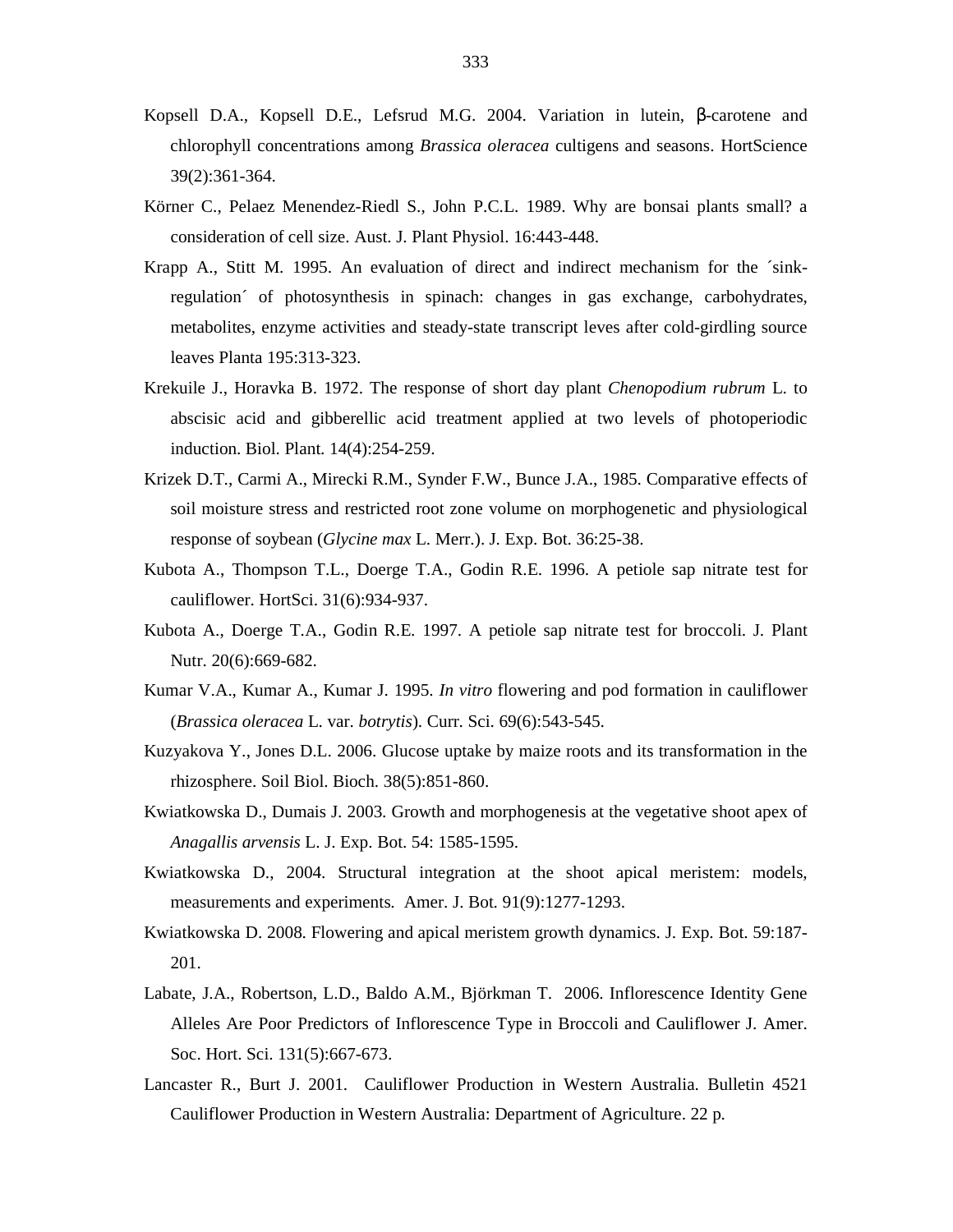- Kopsell D.A., Kopsell D.E., Lefsrud M.G. 2004. Variation in lutein, β-carotene and chlorophyll concentrations among *Brassica oleracea* cultigens and seasons. HortScience 39(2):361-364.
- Körner C., Pelaez Menendez-Riedl S., John P.C.L. 1989. Why are bonsai plants small? a consideration of cell size. Aust. J. Plant Physiol. 16:443-448.
- Krapp A., Stitt M. 1995. An evaluation of direct and indirect mechanism for the ´sinkregulation´ of photosynthesis in spinach: changes in gas exchange, carbohydrates, metabolites, enzyme activities and steady-state transcript leves after cold-girdling source leaves Planta 195:313-323.
- Krekuile J., Horavka B. 1972. The response of short day plant *Chenopodium rubrum* L. to abscisic acid and gibberellic acid treatment applied at two levels of photoperiodic induction. Biol. Plant. 14(4):254-259.
- Krizek D.T., Carmi A., Mirecki R.M., Synder F.W., Bunce J.A., 1985. Comparative effects of soil moisture stress and restricted root zone volume on morphogenetic and physiological response of soybean (*Glycine max* L. Merr.). J. Exp. Bot. 36:25-38.
- Kubota A., Thompson T.L., Doerge T.A., Godin R.E. 1996. A petiole sap nitrate test for cauliflower. HortSci. 31(6):934-937.
- Kubota A., Doerge T.A., Godin R.E. 1997. A petiole sap nitrate test for broccoli. J. Plant Nutr. 20(6):669-682.
- Kumar V.A., Kumar A., Kumar J. 1995. *In vitro* flowering and pod formation in cauliflower (*Brassica oleracea* L. var. *botrytis*). Curr. Sci. 69(6):543-545.
- Kuzyakova Y., Jones D.L. 2006. Glucose uptake by maize roots and its transformation in the rhizosphere. Soil Biol. Bioch. 38(5):851-860.
- Kwiatkowska D., Dumais J. 2003. Growth and morphogenesis at the vegetative shoot apex of *Anagallis arvensis* L. J. Exp. Bot. 54: 1585-1595.
- Kwiatkowska D., 2004. Structural integration at the shoot apical meristem: models, measurements and experiments. Amer. J. Bot. 91(9):1277-1293.
- Kwiatkowska D. 2008. Flowering and apical meristem growth dynamics. J. Exp. Bot. 59:187- 201.
- Labate, J.A., Robertson, L.D., Baldo A.M., Björkman T. 2006. Inflorescence Identity Gene Alleles Are Poor Predictors of Inflorescence Type in Broccoli and Cauliflower J. Amer. Soc. Hort. Sci. 131(5):667-673.
- Lancaster R., Burt J. 2001. Cauliflower Production in Western Australia. Bulletin 4521 Cauliflower Production in Western Australia: Department of Agriculture. 22 p.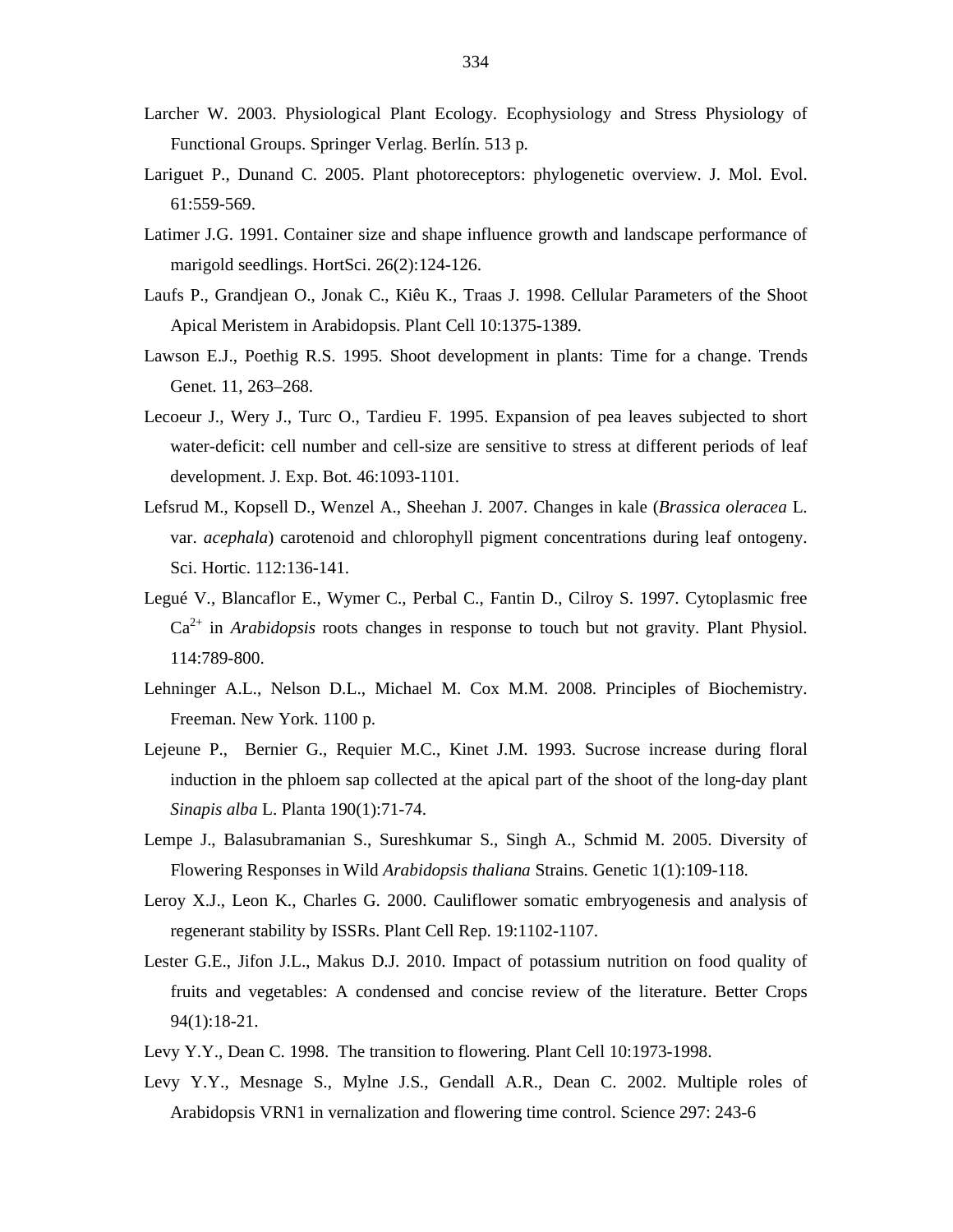- Larcher W. 2003. Physiological Plant Ecology. Ecophysiology and Stress Physiology of Functional Groups. Springer Verlag. Berlín. 513 p.
- Lariguet P., Dunand C. 2005. Plant photoreceptors: phylogenetic overview. J. Mol. Evol. 61:559-569.
- Latimer J.G. 1991. Container size and shape influence growth and landscape performance of marigold seedlings. HortSci. 26(2):124-126.
- Laufs P., Grandjean O., Jonak C., Kiêu K., Traas J. 1998. Cellular Parameters of the Shoot Apical Meristem in Arabidopsis. Plant Cell 10:1375-1389.
- Lawson E.J., Poethig R.S. 1995. Shoot development in plants: Time for a change. Trends Genet. 11, 263–268.
- Lecoeur J., Wery J., Turc O., Tardieu F. 1995. Expansion of pea leaves subjected to short water-deficit: cell number and cell-size are sensitive to stress at different periods of leaf development. J. Exp. Bot. 46:1093-1101.
- Lefsrud M., Kopsell D., Wenzel A., Sheehan J. 2007. Changes in kale (*Brassica oleracea* L. var. *acephala*) carotenoid and chlorophyll pigment concentrations during leaf ontogeny. Sci. Hortic. 112:136-141.
- Legué V., Blancaflor E., Wymer C., Perbal C., Fantin D., Cilroy S. 1997. Cytoplasmic free Ca2+ in *Arabidopsis* roots changes in response to touch but not gravity. Plant Physiol. 114:789-800.
- Lehninger A.L., Nelson D.L., Michael M. Cox M.M. 2008. Principles of Biochemistry. Freeman. New York. 1100 p.
- Lejeune P., Bernier G., Requier M.C., Kinet J.M. 1993. Sucrose increase during floral induction in the phloem sap collected at the apical part of the shoot of the long-day plant *Sinapis alba* L. Planta 190(1):71-74.
- Lempe J., Balasubramanian S., Sureshkumar S., Singh A., Schmid M. 2005. Diversity of Flowering Responses in Wild *Arabidopsis thaliana* Strains. Genetic 1(1):109-118.
- Leroy X.J., Leon K., Charles G. 2000. Cauliflower somatic embryogenesis and analysis of regenerant stability by ISSRs. Plant Cell Rep. 19:1102-1107.
- Lester G.E., Jifon J.L., Makus D.J. 2010. Impact of potassium nutrition on food quality of fruits and vegetables: A condensed and concise review of the literature. Better Crops 94(1):18-21.
- Levy Y.Y., Dean C. 1998. The transition to flowering. Plant Cell 10:1973-1998.
- Levy Y.Y., Mesnage S., Mylne J.S., Gendall A.R., Dean C. 2002. Multiple roles of Arabidopsis VRN1 in vernalization and flowering time control. Science 297: 243-6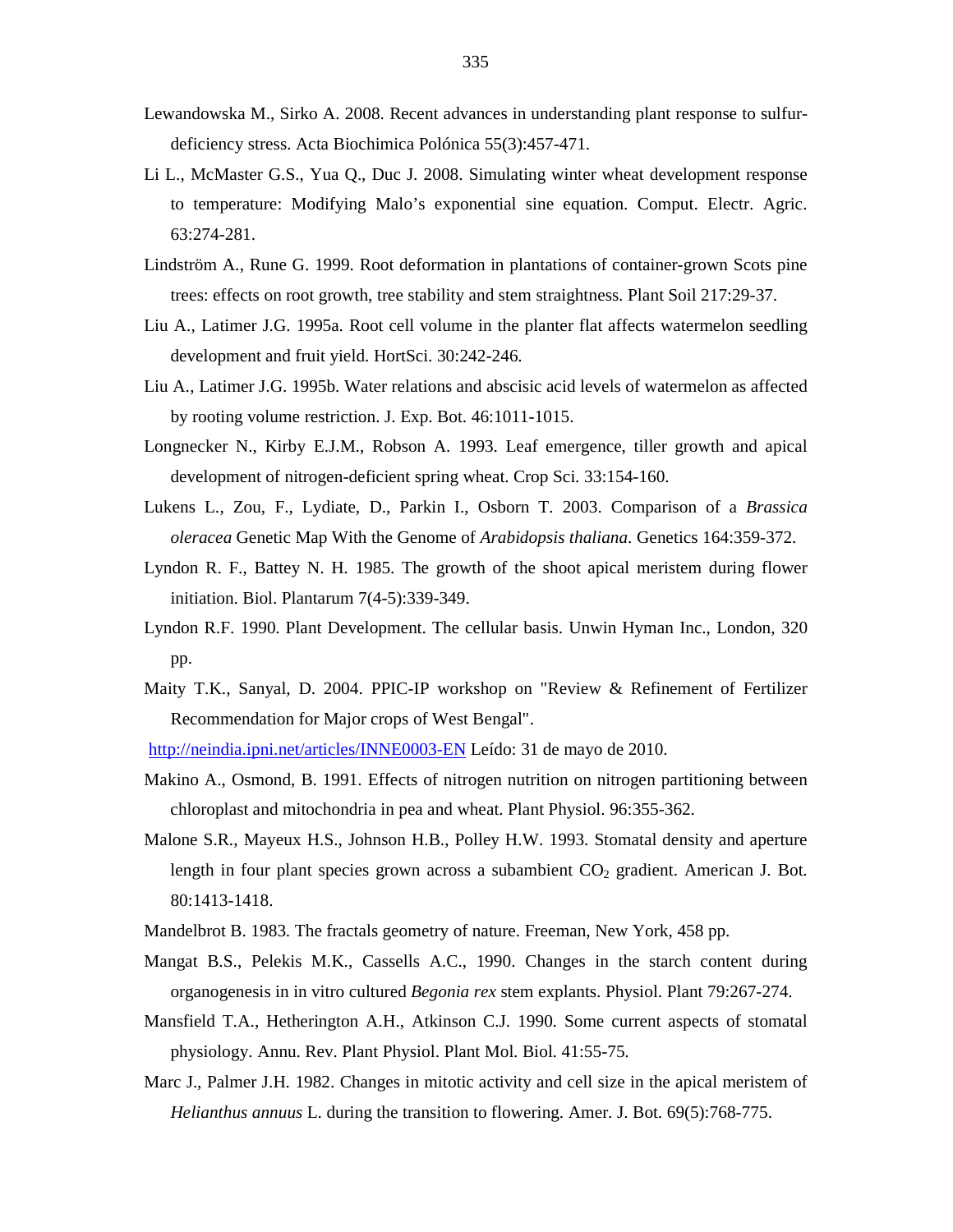- Lewandowska M., Sirko A. 2008. Recent advances in understanding plant response to sulfurdeficiency stress. Acta Biochimica Polónica 55(3):457-471.
- Li L., McMaster G.S., Yua Q., Duc J. 2008. Simulating winter wheat development response to temperature: Modifying Malo's exponential sine equation. Comput. Electr. Agric. 63:274-281.
- Lindström A., Rune G. 1999. Root deformation in plantations of container-grown Scots pine trees: effects on root growth, tree stability and stem straightness. Plant Soil 217:29-37.
- Liu A., Latimer J.G. 1995a. Root cell volume in the planter flat affects watermelon seedling development and fruit yield. HortSci. 30:242-246.
- Liu A., Latimer J.G. 1995b. Water relations and abscisic acid levels of watermelon as affected by rooting volume restriction. J. Exp. Bot. 46:1011-1015.
- Longnecker N., Kirby E.J.M., Robson A. 1993. Leaf emergence, tiller growth and apical development of nitrogen-deficient spring wheat. Crop Sci. 33:154-160.
- Lukens L., Zou, F., Lydiate, D., Parkin I., Osborn T. 2003. Comparison of a *Brassica oleracea* Genetic Map With the Genome of *Arabidopsis thaliana*. Genetics 164:359-372.
- Lyndon R. F., Battey N. H. 1985. The growth of the shoot apical meristem during flower initiation. Biol. Plantarum 7(4-5):339-349.
- Lyndon R.F. 1990. Plant Development. The cellular basis. Unwin Hyman Inc., London, 320 pp.
- Maity T.K., Sanyal, D. 2004. PPIC-IP workshop on "Review & Refinement of Fertilizer Recommendation for Major crops of West Bengal".

http://neindia.ipni.net/articles/INNE0003-EN Leído: 31 de mayo de 2010.

- Makino A., Osmond, B. 1991. Effects of nitrogen nutrition on nitrogen partitioning between chloroplast and mitochondria in pea and wheat. Plant Physiol. 96:355-362.
- Malone S.R., Mayeux H.S., Johnson H.B., Polley H.W. 1993. Stomatal density and aperture length in four plant species grown across a subambient  $CO<sub>2</sub>$  gradient. American J. Bot. 80:1413-1418.
- Mandelbrot B. 1983. The fractals geometry of nature. Freeman, New York, 458 pp.
- Mangat B.S., Pelekis M.K., Cassells A.C., 1990. Changes in the starch content during organogenesis in in vitro cultured *Begonia rex* stem explants. Physiol. Plant 79:267-274.
- Mansfield T.A., Hetherington A.H., Atkinson C.J. 1990. Some current aspects of stomatal physiology. Annu. Rev. Plant Physiol. Plant Mol. Biol. 41:55-75.
- Marc J., Palmer J.H. 1982. Changes in mitotic activity and cell size in the apical meristem of *Helianthus annuus* L. during the transition to flowering. Amer. J. Bot. 69(5):768-775.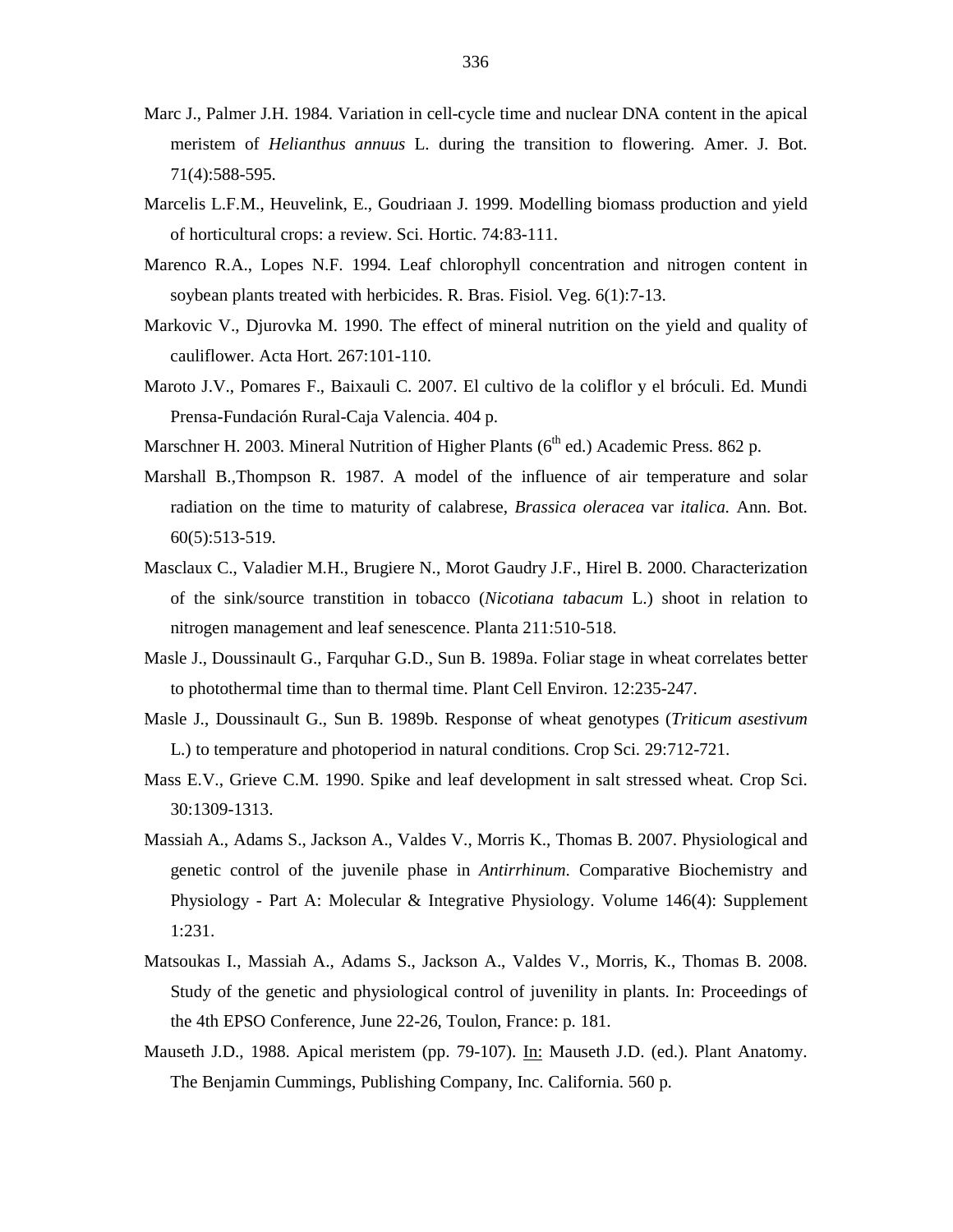- Marc J., Palmer J.H. 1984. Variation in cell-cycle time and nuclear DNA content in the apical meristem of *Helianthus annuus* L. during the transition to flowering. Amer. J. Bot. 71(4):588-595.
- Marcelis L.F.M., Heuvelink, E., Goudriaan J. 1999. Modelling biomass production and yield of horticultural crops: a review. Sci. Hortic. 74:83-111.
- Marenco R.A., Lopes N.F. 1994. Leaf chlorophyll concentration and nitrogen content in soybean plants treated with herbicides. R. Bras. Fisiol. Veg. 6(1):7-13.
- Markovic V., Djurovka M. 1990. The effect of mineral nutrition on the yield and quality of cauliflower. Acta Hort. 267:101-110.
- Maroto J.V., Pomares F., Baixauli C. 2007. El cultivo de la coliflor y el bróculi. Ed. Mundi Prensa-Fundación Rural-Caja Valencia. 404 p.
- Marschner H. 2003. Mineral Nutrition of Higher Plants ( $6<sup>th</sup>$  ed.) Academic Press. 862 p.
- Marshall B.,Thompson R. 1987. A model of the influence of air temperature and solar radiation on the time to maturity of calabrese, *Brassica oleracea* var *italica*. Ann. Bot. 60(5):513-519.
- Masclaux C., Valadier M.H., Brugiere N., Morot Gaudry J.F., Hirel B. 2000. Characterization of the sink/source transtition in tobacco (*Nicotiana tabacum* L.) shoot in relation to nitrogen management and leaf senescence. Planta 211:510-518.
- Masle J., Doussinault G., Farquhar G.D., Sun B. 1989a. Foliar stage in wheat correlates better to photothermal time than to thermal time. Plant Cell Environ. 12:235-247.
- Masle J., Doussinault G., Sun B. 1989b. Response of wheat genotypes (*Triticum asestivum* L.) to temperature and photoperiod in natural conditions. Crop Sci. 29:712-721.
- Mass E.V., Grieve C.M. 1990. Spike and leaf development in salt stressed wheat. Crop Sci. 30:1309-1313.
- Massiah A., Adams S., Jackson A., Valdes V., Morris K., Thomas B. 2007. Physiological and genetic control of the juvenile phase in *Antirrhinum*. Comparative Biochemistry and Physiology - Part A: Molecular & Integrative Physiology. Volume 146(4): Supplement 1:231.
- Matsoukas I., Massiah A., Adams S., Jackson A., Valdes V., Morris, K., Thomas B. 2008. Study of the genetic and physiological control of juvenility in plants. In: Proceedings of the 4th EPSO Conference, June 22-26, Toulon, France: p. 181.
- Mauseth J.D., 1988. Apical meristem (pp. 79-107). In: Mauseth J.D. (ed.). Plant Anatomy. The Benjamin Cummings, Publishing Company, Inc. California. 560 p.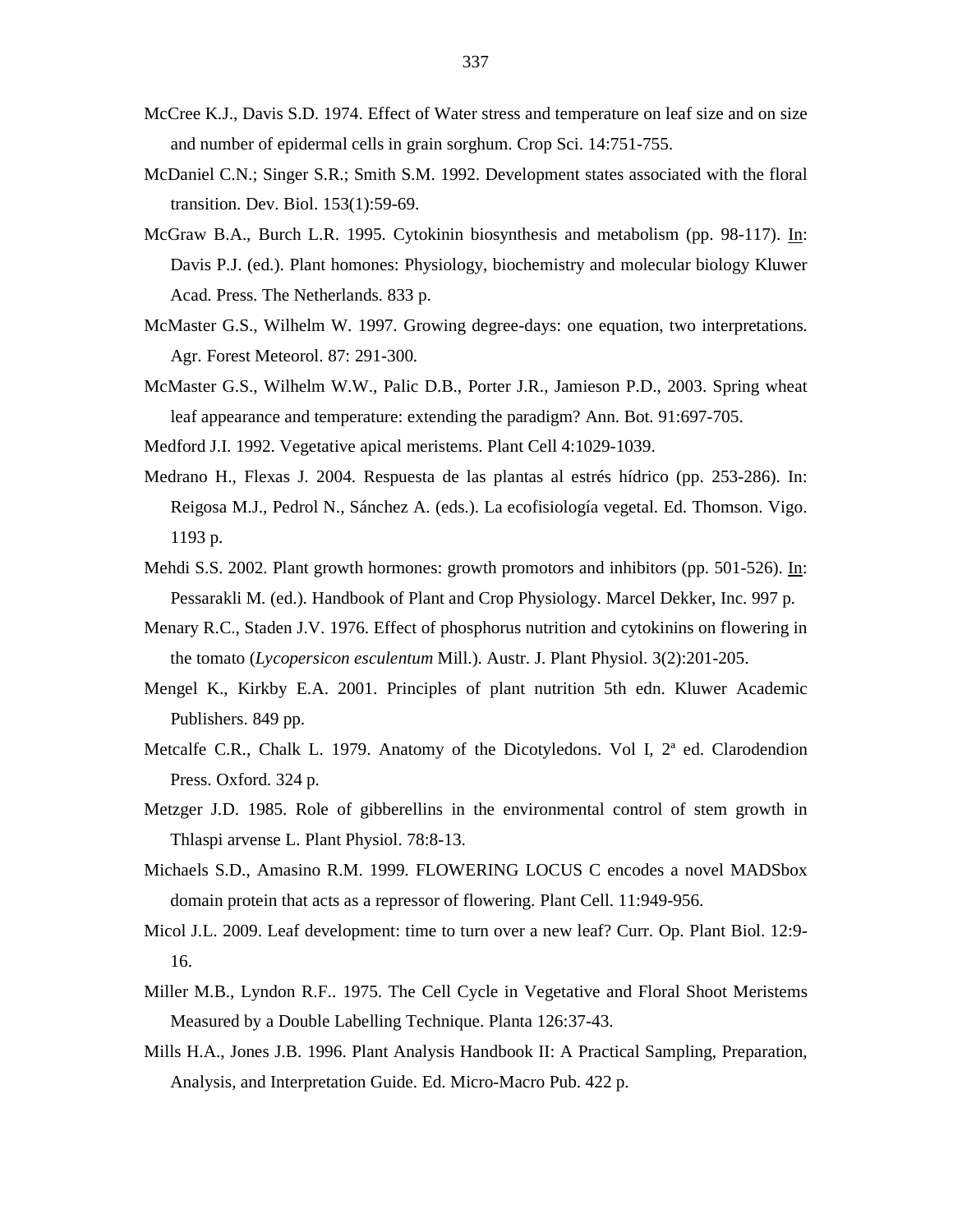- McCree K.J., Davis S.D. 1974. Effect of Water stress and temperature on leaf size and on size and number of epidermal cells in grain sorghum. Crop Sci. 14:751-755.
- McDaniel C.N.; Singer S.R.; Smith S.M. 1992. Development states associated with the floral transition. Dev. Biol. 153(1):59-69.
- McGraw B.A., Burch L.R. 1995. Cytokinin biosynthesis and metabolism (pp. 98-117). In: Davis P.J. (ed.). Plant homones: Physiology, biochemistry and molecular biology Kluwer Acad. Press. The Netherlands. 833 p.
- McMaster G.S., Wilhelm W. 1997. Growing degree-days: one equation, two interpretations. Agr. Forest Meteorol. 87: 291-300.
- McMaster G.S., Wilhelm W.W., Palic D.B., Porter J.R., Jamieson P.D., 2003. Spring wheat leaf appearance and temperature: extending the paradigm? Ann. Bot. 91:697-705.
- Medford J.I. 1992. Vegetative apical meristems. Plant Cell 4:1029-1039.
- Medrano H., Flexas J. 2004. Respuesta de las plantas al estrés hídrico (pp. 253-286). In: Reigosa M.J., Pedrol N., Sánchez A. (eds.). La ecofisiología vegetal. Ed. Thomson. Vigo. 1193 p.
- Mehdi S.S. 2002. Plant growth hormones: growth promotors and inhibitors (pp. 501-526). In: Pessarakli M. (ed.). Handbook of Plant and Crop Physiology. Marcel Dekker, Inc. 997 p.
- Menary R.C., Staden J.V. 1976. Effect of phosphorus nutrition and cytokinins on flowering in the tomato (*Lycopersicon esculentum* Mill.). Austr. J. Plant Physiol. 3(2):201-205.
- Mengel K., Kirkby E.A. 2001. Principles of plant nutrition 5th edn. Kluwer Academic Publishers. 849 pp.
- Metcalfe C.R., Chalk L. 1979. Anatomy of the Dicotyledons. Vol I, 2ª ed. Clarodendion Press. Oxford. 324 p.
- Metzger J.D. 1985. Role of gibberellins in the environmental control of stem growth in Thlaspi arvense L. Plant Physiol. 78:8-13.
- Michaels S.D., Amasino R.M. 1999. FLOWERING LOCUS C encodes a novel MADSbox domain protein that acts as a repressor of flowering. Plant Cell. 11:949-956.
- Micol J.L. 2009. Leaf development: time to turn over a new leaf? Curr. Op. Plant Biol. 12:9- 16.
- Miller M.B., Lyndon R.F.. 1975. The Cell Cycle in Vegetative and Floral Shoot Meristems Measured by a Double Labelling Technique. Planta 126:37-43.
- Mills H.A., Jones J.B. 1996. Plant Analysis Handbook II: A Practical Sampling, Preparation, Analysis, and Interpretation Guide. Ed. Micro-Macro Pub. 422 p.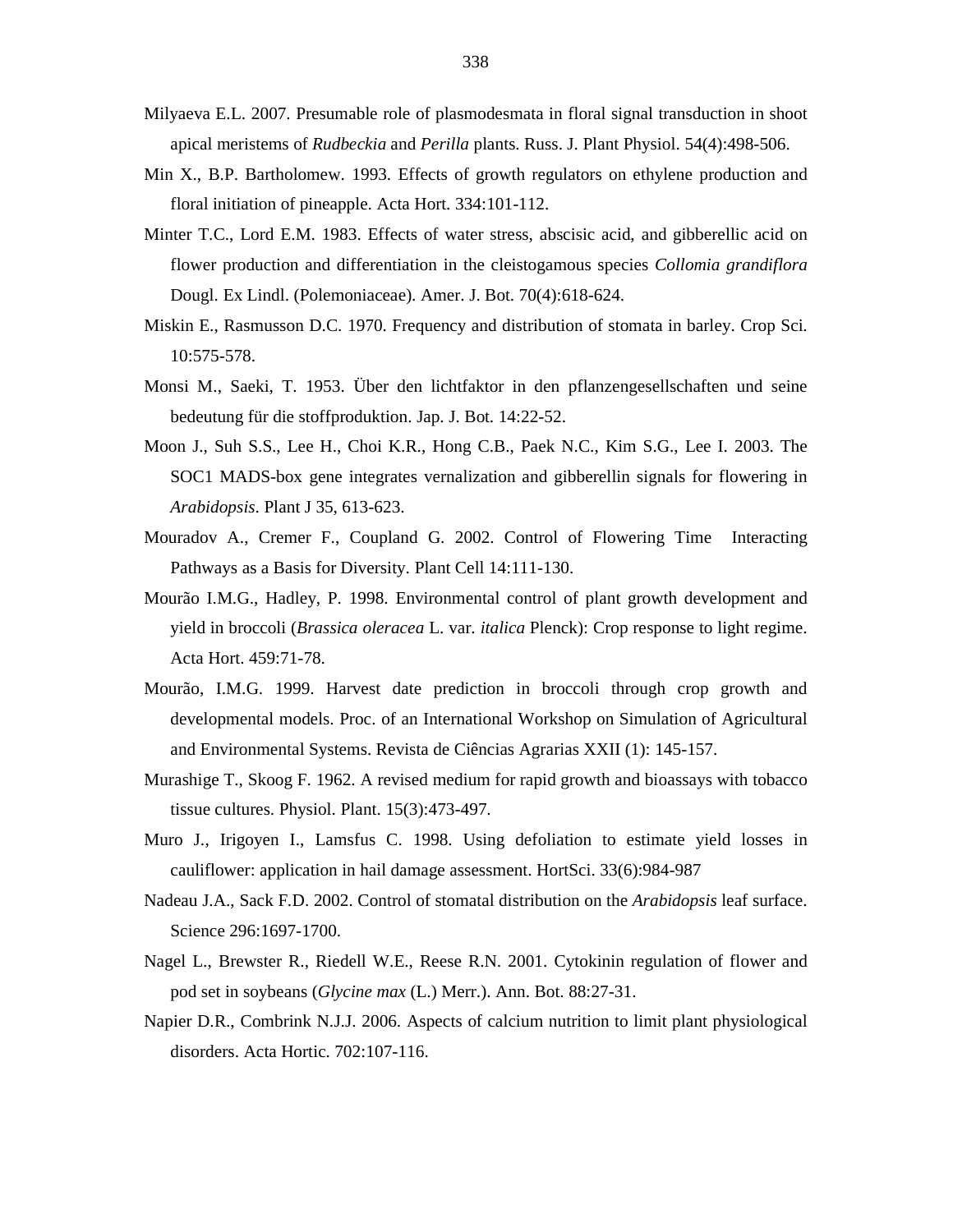- Milyaeva E.L. 2007. Presumable role of plasmodesmata in floral signal transduction in shoot apical meristems of *Rudbeckia* and *Perilla* plants. Russ. J. Plant Physiol. 54(4):498-506.
- Min X., B.P. Bartholomew. 1993. Effects of growth regulators on ethylene production and floral initiation of pineapple. Acta Hort. 334:101-112.
- Minter T.C., Lord E.M. 1983. Effects of water stress, abscisic acid, and gibberellic acid on flower production and differentiation in the cleistogamous species *Collomia grandiflora* Dougl. Ex Lindl. (Polemoniaceae). Amer. J. Bot. 70(4):618-624.
- Miskin E., Rasmusson D.C. 1970. Frequency and distribution of stomata in barley. Crop Sci. 10:575-578.
- Monsi M., Saeki, T. 1953. Über den lichtfaktor in den pflanzengesellschaften und seine bedeutung für die stoffproduktion. Jap. J. Bot. 14:22-52.
- Moon J., Suh S.S., Lee H., Choi K.R., Hong C.B., Paek N.C., Kim S.G., Lee I. 2003. The SOC1 MADS-box gene integrates vernalization and gibberellin signals for flowering in *Arabidopsis*. Plant J 35, 613-623.
- Mouradov A., Cremer F., Coupland G. 2002. Control of Flowering Time Interacting Pathways as a Basis for Diversity. Plant Cell 14:111-130.
- Mourão I.M.G., Hadley, P. 1998. Environmental control of plant growth development and yield in broccoli (*Brassica oleracea* L. var. *italica* Plenck): Crop response to light regime. Acta Hort. 459:71-78.
- Mourão, I.M.G. 1999. Harvest date prediction in broccoli through crop growth and developmental models. Proc. of an International Workshop on Simulation of Agricultural and Environmental Systems. Revista de Ciências Agrarias XXII (1): 145-157.
- Murashige T., Skoog F. 1962. A revised medium for rapid growth and bioassays with tobacco tissue cultures. Physiol. Plant. 15(3):473-497.
- Muro J., Irigoyen I., Lamsfus C. 1998. Using defoliation to estimate yield losses in cauliflower: application in hail damage assessment. HortSci. 33(6):984-987
- Nadeau J.A., Sack F.D. 2002. Control of stomatal distribution on the *Arabidopsis* leaf surface. Science 296:1697-1700.
- Nagel L., Brewster R., Riedell W.E., Reese R.N. 2001. Cytokinin regulation of flower and pod set in soybeans (*Glycine max* (L.) Merr.). Ann. Bot. 88:27-31.
- Napier D.R., Combrink N.J.J. 2006. Aspects of calcium nutrition to limit plant physiological disorders. Acta Hortic. 702:107-116.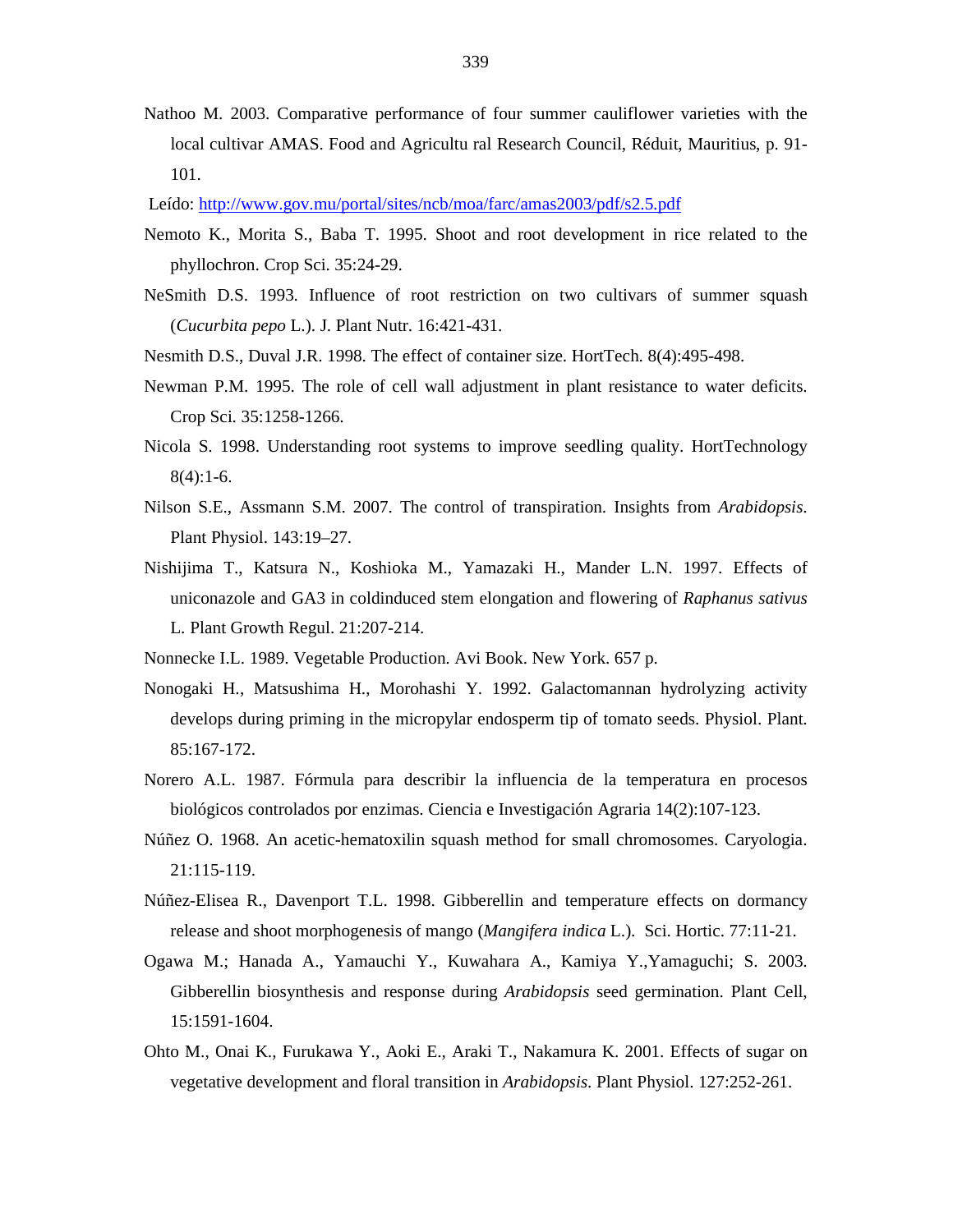Nathoo M. 2003. Comparative performance of four summer cauliflower varieties with the local cultivar AMAS. Food and Agricultu ral Research Council, Réduit, Mauritius, p. 91- 101.

Leído: http://www.gov.mu/portal/sites/ncb/moa/farc/amas2003/pdf/s2.5.pdf

- Nemoto K., Morita S., Baba T. 1995. Shoot and root development in rice related to the phyllochron. Crop Sci. 35:24-29.
- NeSmith D.S. 1993. Influence of root restriction on two cultivars of summer squash (*Cucurbita pepo* L.). J. Plant Nutr. 16:421-431.
- Nesmith D.S., Duval J.R. 1998. The effect of container size. HortTech. 8(4):495-498.
- Newman P.M. 1995. The role of cell wall adjustment in plant resistance to water deficits. Crop Sci. 35:1258-1266.
- Nicola S. 1998. Understanding root systems to improve seedling quality. HortTechnology 8(4):1-6.
- Nilson S.E., Assmann S.M. 2007. The control of transpiration. Insights from *Arabidopsis*. Plant Physiol. 143:19–27.
- Nishijima T., Katsura N., Koshioka M., Yamazaki H., Mander L.N. 1997. Effects of uniconazole and GA3 in coldinduced stem elongation and flowering of *Raphanus sativus*  L. Plant Growth Regul. 21:207-214.
- Nonnecke I.L. 1989. Vegetable Production. Avi Book. New York. 657 p.
- Nonogaki H., Matsushima H., Morohashi Y. 1992. Galactomannan hydrolyzing activity develops during priming in the micropylar endosperm tip of tomato seeds. Physiol. Plant. 85:167-172.
- Norero A.L. 1987. Fórmula para describir la influencia de la temperatura en procesos biológicos controlados por enzimas. Ciencia e Investigación Agraria 14(2):107-123.
- Núñez O. 1968. An acetic-hematoxilin squash method for small chromosomes. Caryologia. 21:115-119.
- Núñez-Elisea R., Davenport T.L. 1998. Gibberellin and temperature effects on dormancy release and shoot morphogenesis of mango (*Mangifera indica* L.). Sci. Hortic. 77:11-21.
- Ogawa M.; Hanada A., Yamauchi Y., Kuwahara A., Kamiya Y.,Yamaguchi; S. 2003. Gibberellin biosynthesis and response during *Arabidopsis* seed germination. Plant Cell, 15:1591-1604.
- Ohto M., Onai K., Furukawa Y., Aoki E., Araki T., Nakamura K. 2001. Effects of sugar on vegetative development and floral transition in *Arabidopsis*. Plant Physiol. 127:252-261.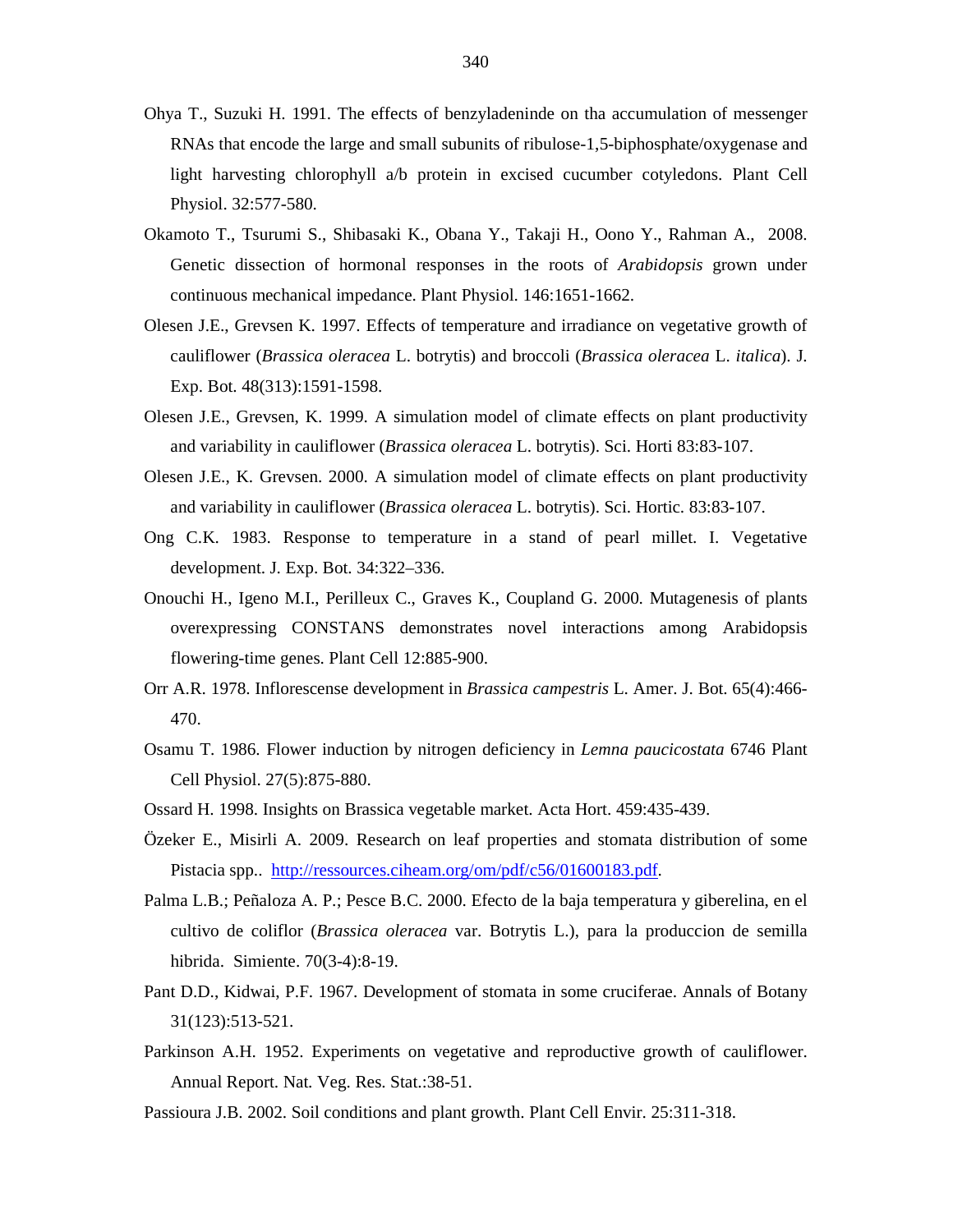- Ohya T., Suzuki H. 1991. The effects of benzyladeninde on tha accumulation of messenger RNAs that encode the large and small subunits of ribulose-1,5-biphosphate/oxygenase and light harvesting chlorophyll a/b protein in excised cucumber cotyledons. Plant Cell Physiol. 32:577-580.
- Okamoto T., Tsurumi S., Shibasaki K., Obana Y., Takaji H., Oono Y., Rahman A., 2008. Genetic dissection of hormonal responses in the roots of *Arabidopsis* grown under continuous mechanical impedance. Plant Physiol. 146:1651-1662.
- Olesen J.E., Grevsen K. 1997. Effects of temperature and irradiance on vegetative growth of cauliflower (*Brassica oleracea* L. botrytis) and broccoli (*Brassica oleracea* L. *italica*). J. Exp. Bot. 48(313):1591-1598.
- Olesen J.E., Grevsen, K. 1999. A simulation model of climate effects on plant productivity and variability in cauliflower (*Brassica oleracea* L. botrytis). Sci. Horti 83:83-107.
- Olesen J.E., K. Grevsen. 2000. A simulation model of climate effects on plant productivity and variability in cauliflower (*Brassica oleracea* L. botrytis). Sci. Hortic. 83:83-107.
- Ong C.K. 1983. Response to temperature in a stand of pearl millet. I. Vegetative development. J. Exp. Bot. 34:322–336.
- Onouchi H., Igeno M.I., Perilleux C., Graves K., Coupland G. 2000. Mutagenesis of plants overexpressing CONSTANS demonstrates novel interactions among Arabidopsis flowering-time genes. Plant Cell 12:885-900.
- Orr A.R. 1978. Inflorescense development in *Brassica campestris* L. Amer. J. Bot. 65(4):466- 470.
- Osamu T. 1986. Flower induction by nitrogen deficiency in *Lemna paucicostata* 6746 Plant Cell Physiol. 27(5):875-880.
- Ossard H. 1998. Insights on Brassica vegetable market. Acta Hort. 459:435-439.
- Özeker E., Misirli A. 2009. Research on leaf properties and stomata distribution of some Pistacia spp.. http://ressources.ciheam.org/om/pdf/c56/01600183.pdf.
- Palma L.B.; Peñaloza A. P.; Pesce B.C. 2000. Efecto de la baja temperatura y giberelina, en el cultivo de coliflor (*Brassica oleracea* var. Botrytis L.), para la produccion de semilla hibrida. Simiente. 70(3-4):8-19.
- Pant D.D., Kidwai, P.F. 1967. Development of stomata in some cruciferae. Annals of Botany 31(123):513-521.
- Parkinson A.H. 1952. Experiments on vegetative and reproductive growth of cauliflower. Annual Report. Nat. Veg. Res. Stat.:38-51.
- Passioura J.B. 2002. Soil conditions and plant growth. Plant Cell Envir. 25:311-318.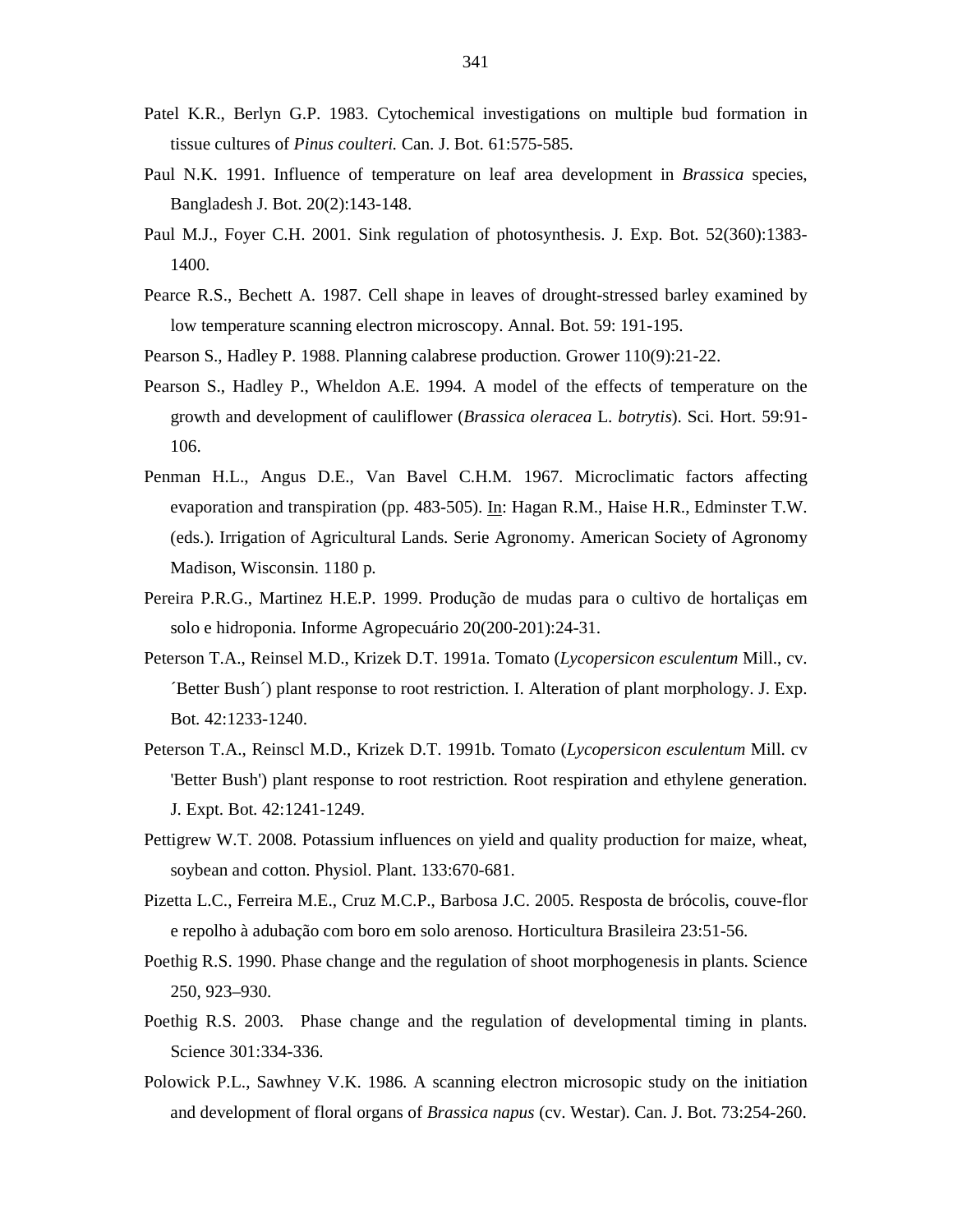- Patel K.R., Berlyn G.P. 1983. Cytochemical investigations on multiple bud formation in tissue cultures of *Pinus coulteri.* Can. J. Bot. 61:575-585.
- Paul N.K. 1991. Influence of temperature on leaf area development in *Brassica* species, Bangladesh J. Bot. 20(2):143-148.
- Paul M.J., Foyer C.H. 2001. Sink regulation of photosynthesis. J. Exp. Bot. 52(360):1383- 1400.
- Pearce R.S., Bechett A. 1987. Cell shape in leaves of drought-stressed barley examined by low temperature scanning electron microscopy. Annal. Bot. 59: 191-195.
- Pearson S., Hadley P. 1988. Planning calabrese production. Grower 110(9):21-22.
- Pearson S., Hadley P., Wheldon A.E. 1994. A model of the effects of temperature on the growth and development of cauliflower (*Brassica oleracea* L. *botrytis*). Sci. Hort. 59:91- 106.
- Penman H.L., Angus D.E., Van Bavel C.H.M. 1967. Microclimatic factors affecting evaporation and transpiration (pp. 483-505). In: Hagan R.M., Haise H.R., Edminster T.W. (eds.). Irrigation of Agricultural Lands. Serie Agronomy. American Society of Agronomy Madison, Wisconsin. 1180 p.
- Pereira P.R.G., Martinez H.E.P. 1999. Produção de mudas para o cultivo de hortaliças em solo e hidroponia. Informe Agropecuário 20(200-201):24-31.
- Peterson T.A., Reinsel M.D., Krizek D.T. 1991a. Tomato (*Lycopersicon esculentum* Mill., cv. ´Better Bush´) plant response to root restriction. I. Alteration of plant morphology. J. Exp. Bot. 42:1233-1240.
- Peterson T.A., Reinscl M.D., Krizek D.T. 1991b. Tomato (*Lycopersicon esculentum* Mill. cv 'Better Bush') plant response to root restriction. Root respiration and ethylene generation. J. Expt. Bot. 42:1241-1249.
- Pettigrew W.T. 2008. Potassium influences on yield and quality production for maize, wheat, soybean and cotton. Physiol. Plant. 133:670-681.
- Pizetta L.C., Ferreira M.E., Cruz M.C.P., Barbosa J.C. 2005. Resposta de brócolis, couve-flor e repolho à adubação com boro em solo arenoso. Horticultura Brasileira 23:51-56.
- Poethig R.S. 1990. Phase change and the regulation of shoot morphogenesis in plants. Science 250, 923–930.
- Poethig R.S. 2003. Phase change and the regulation of developmental timing in plants. Science 301:334-336.
- Polowick P.L., Sawhney V.K. 1986. A scanning electron microsopic study on the initiation and development of floral organs of *Brassica napus* (cv. Westar). Can. J. Bot. 73:254-260.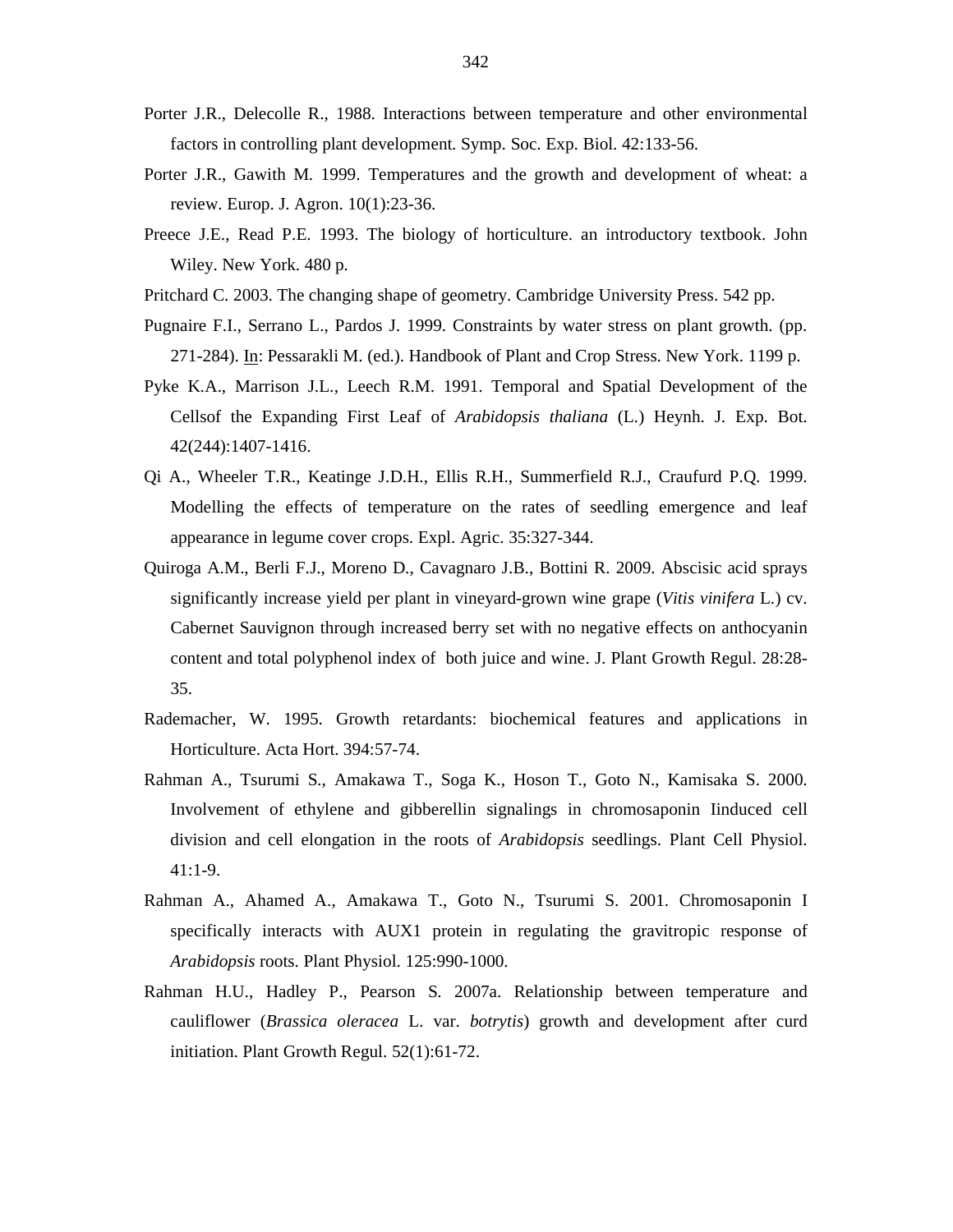- Porter J.R., Delecolle R., 1988. Interactions between temperature and other environmental factors in controlling plant development. Symp. Soc. Exp. Biol. 42:133-56.
- Porter J.R., Gawith M. 1999. Temperatures and the growth and development of wheat: a review. Europ. J. Agron. 10(1):23-36.
- Preece J.E., Read P.E. 1993. The biology of horticulture. an introductory textbook. John Wiley. New York. 480 p.
- Pritchard C. 2003. The changing shape of geometry. Cambridge University Press. 542 pp.
- Pugnaire F.I., Serrano L., Pardos J. 1999. Constraints by water stress on plant growth. (pp. 271-284). In: Pessarakli M. (ed.). Handbook of Plant and Crop Stress. New York. 1199 p.
- Pyke K.A., Marrison J.L., Leech R.M. 1991. Temporal and Spatial Development of the Cellsof the Expanding First Leaf of *Arabidopsis thaliana* (L.) Heynh. J. Exp. Bot. 42(244):1407-1416.
- Qi A., Wheeler T.R., Keatinge J.D.H., Ellis R.H., Summerfield R.J., Craufurd P.Q. 1999. Modelling the effects of temperature on the rates of seedling emergence and leaf appearance in legume cover crops. Expl. Agric. 35:327-344.
- Quiroga A.M., Berli F.J., Moreno D., Cavagnaro J.B., Bottini R. 2009. Abscisic acid sprays significantly increase yield per plant in vineyard-grown wine grape (*Vitis vinifera* L.) cv. Cabernet Sauvignon through increased berry set with no negative effects on anthocyanin content and total polyphenol index of both juice and wine. J. Plant Growth Regul. 28:28- 35.
- Rademacher, W. 1995. Growth retardants: biochemical features and applications in Horticulture. Acta Hort. 394:57-74.
- Rahman A., Tsurumi S., Amakawa T., Soga K., Hoson T., Goto N., Kamisaka S. 2000. Involvement of ethylene and gibberellin signalings in chromosaponin Iinduced cell division and cell elongation in the roots of *Arabidopsis* seedlings. Plant Cell Physiol. 41:1-9.
- Rahman A., Ahamed A., Amakawa T., Goto N., Tsurumi S. 2001. Chromosaponin I specifically interacts with AUX1 protein in regulating the gravitropic response of *Arabidopsis* roots. Plant Physiol. 125:990-1000.
- Rahman H.U., Hadley P., Pearson S. 2007a. Relationship between temperature and cauliflower (*Brassica oleracea* L. var. *botrytis*) growth and development after curd initiation. Plant Growth Regul. 52(1):61-72.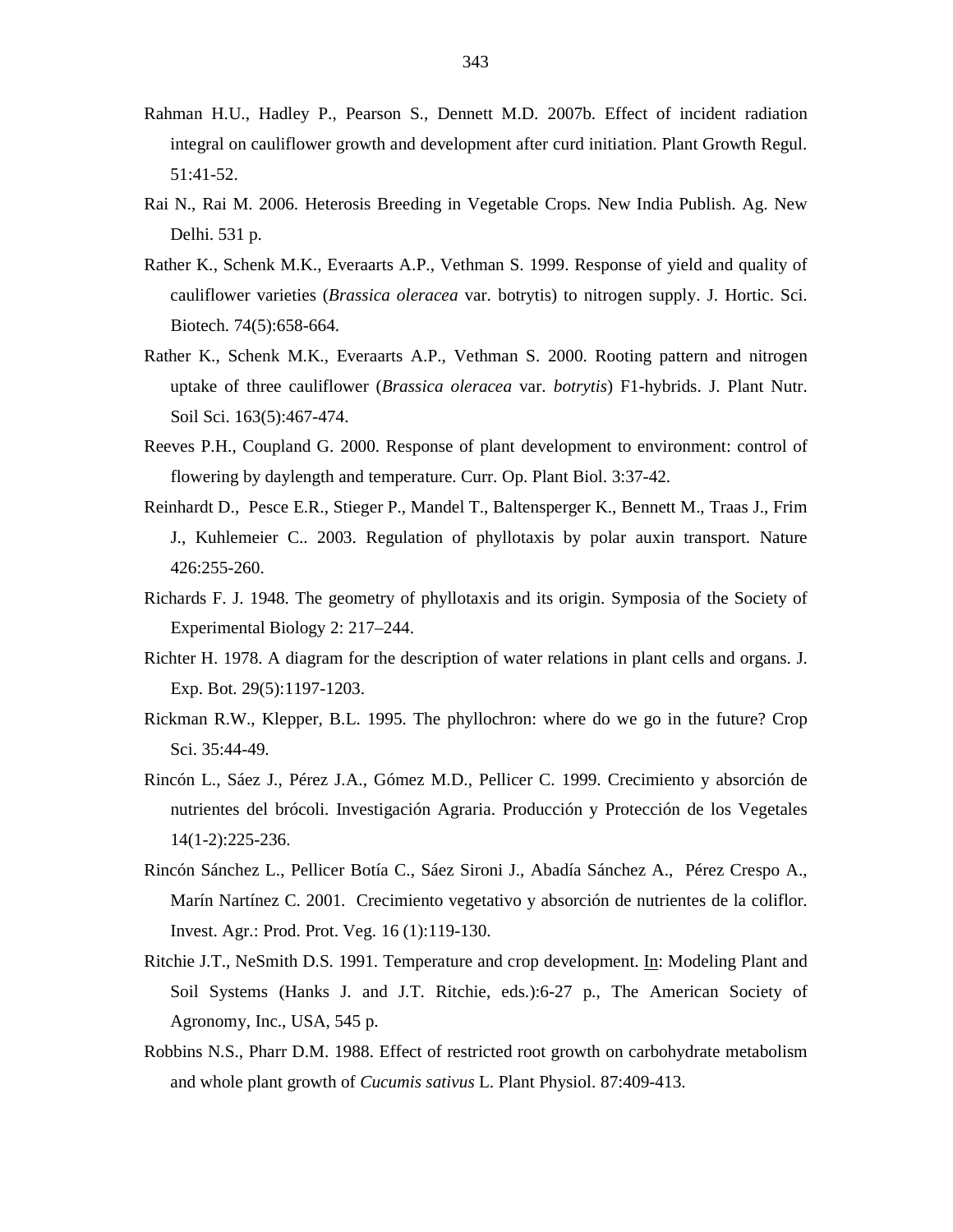- Rahman H.U., Hadley P., Pearson S., Dennett M.D. 2007b. Effect of incident radiation integral on cauliflower growth and development after curd initiation. Plant Growth Regul. 51:41-52.
- Rai N., Rai M. 2006. Heterosis Breeding in Vegetable Crops. New India Publish. Ag. New Delhi. 531 p.
- Rather K., Schenk M.K., Everaarts A.P., Vethman S. 1999. Response of yield and quality of cauliflower varieties (*Brassica oleracea* var. botrytis) to nitrogen supply. J. Hortic. Sci. Biotech. 74(5):658-664.
- Rather K., Schenk M.K., Everaarts A.P., Vethman S. 2000. Rooting pattern and nitrogen uptake of three cauliflower (*Brassica oleracea* var. *botrytis*) F1-hybrids. J. Plant Nutr. Soil Sci. 163(5):467-474.
- Reeves P.H., Coupland G. 2000. Response of plant development to environment: control of flowering by daylength and temperature. Curr. Op. Plant Biol. 3:37-42.
- Reinhardt D., Pesce E.R., Stieger P., Mandel T., Baltensperger K., Bennett M., Traas J., Frim J., Kuhlemeier C.. 2003. Regulation of phyllotaxis by polar auxin transport. Nature 426:255-260.
- Richards F. J. 1948. The geometry of phyllotaxis and its origin. Symposia of the Society of Experimental Biology 2: 217–244.
- Richter H. 1978. A diagram for the description of water relations in plant cells and organs. J. Exp. Bot. 29(5):1197-1203.
- Rickman R.W., Klepper, B.L. 1995. The phyllochron: where do we go in the future? Crop Sci. 35:44-49.
- Rincón L., Sáez J., Pérez J.A., Gómez M.D., Pellicer C. 1999. Crecimiento y absorción de nutrientes del brócoli. Investigación Agraria. Producción y Protección de los Vegetales 14(1-2):225-236.
- Rincón Sánchez L., Pellicer Botía C., Sáez Sironi J., Abadía Sánchez A., Pérez Crespo A., Marín Nartínez C. 2001. Crecimiento vegetativo y absorción de nutrientes de la coliflor. Invest. Agr.: Prod. Prot. Veg. 16 (1):119-130.
- Ritchie J.T., NeSmith D.S. 1991. Temperature and crop development. In: Modeling Plant and Soil Systems (Hanks J. and J.T. Ritchie, eds.):6-27 p., The American Society of Agronomy, Inc., USA, 545 p.
- Robbins N.S., Pharr D.M. 1988. Effect of restricted root growth on carbohydrate metabolism and whole plant growth of *Cucumis sativus* L. Plant Physiol. 87:409-413.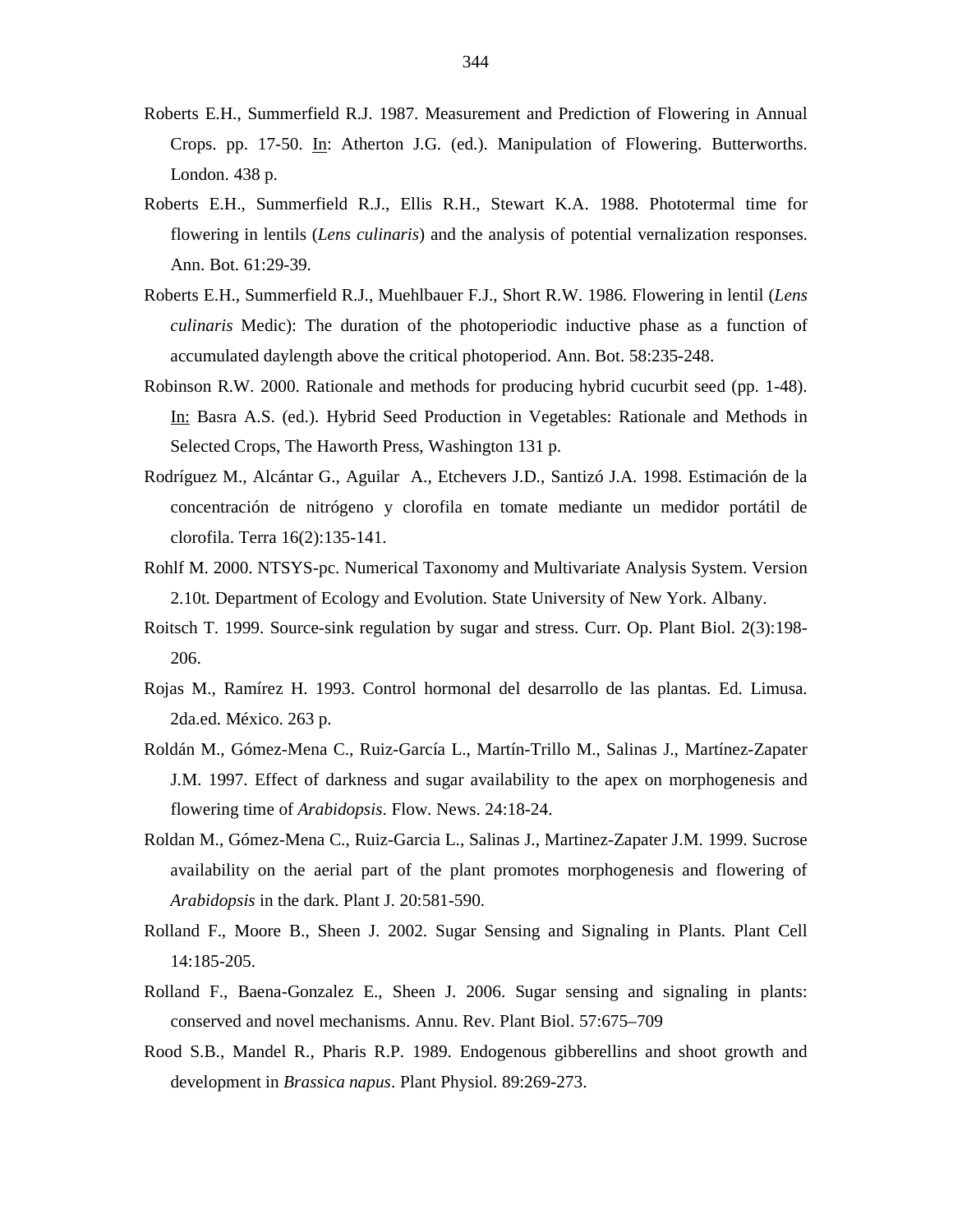- Roberts E.H., Summerfield R.J. 1987. Measurement and Prediction of Flowering in Annual Crops. pp. 17-50. In: Atherton J.G. (ed.). Manipulation of Flowering. Butterworths. London. 438 p.
- Roberts E.H., Summerfield R.J., Ellis R.H., Stewart K.A. 1988. Phototermal time for flowering in lentils (*Lens culinaris*) and the analysis of potential vernalization responses. Ann. Bot. 61:29-39.
- Roberts E.H., Summerfield R.J., Muehlbauer F.J., Short R.W. 1986. Flowering in lentil (*Lens culinaris* Medic): The duration of the photoperiodic inductive phase as a function of accumulated daylength above the critical photoperiod. Ann. Bot. 58:235-248.
- Robinson R.W. 2000. Rationale and methods for producing hybrid cucurbit seed (pp. 1-48). In: Basra A.S. (ed.). Hybrid Seed Production in Vegetables: Rationale and Methods in Selected Crops, The Haworth Press, Washington 131 p.
- Rodríguez M., Alcántar G., Aguilar A., Etchevers J.D., Santizó J.A. 1998. Estimación de la concentración de nitrógeno y clorofila en tomate mediante un medidor portátil de clorofila. Terra 16(2):135-141.
- Rohlf M. 2000. NTSYS-pc. Numerical Taxonomy and Multivariate Analysis System. Version 2.10t. Department of Ecology and Evolution. State University of New York. Albany.
- Roitsch T. 1999. Source-sink regulation by sugar and stress. Curr. Op. Plant Biol. 2(3):198- 206.
- Rojas M., Ramírez H. 1993. Control hormonal del desarrollo de las plantas. Ed. Limusa. 2da.ed. México. 263 p.
- Roldán M., Gómez-Mena C., Ruiz-García L., Martín-Trillo M., Salinas J., Martínez-Zapater J.M. 1997. Effect of darkness and sugar availability to the apex on morphogenesis and flowering time of *Arabidopsis*. Flow. News. 24:18-24.
- Roldan M., Gómez-Mena C., Ruiz-Garcia L., Salinas J., Martinez-Zapater J.M. 1999. Sucrose availability on the aerial part of the plant promotes morphogenesis and flowering of *Arabidopsis* in the dark. Plant J. 20:581-590.
- Rolland F., Moore B., Sheen J. 2002. Sugar Sensing and Signaling in Plants. Plant Cell 14:185-205.
- Rolland F., Baena-Gonzalez E., Sheen J. 2006. Sugar sensing and signaling in plants: conserved and novel mechanisms. Annu. Rev. Plant Biol. 57:675–709
- Rood S.B., Mandel R., Pharis R.P. 1989. Endogenous gibberellins and shoot growth and development in *Brassica napus*. Plant Physiol. 89:269-273.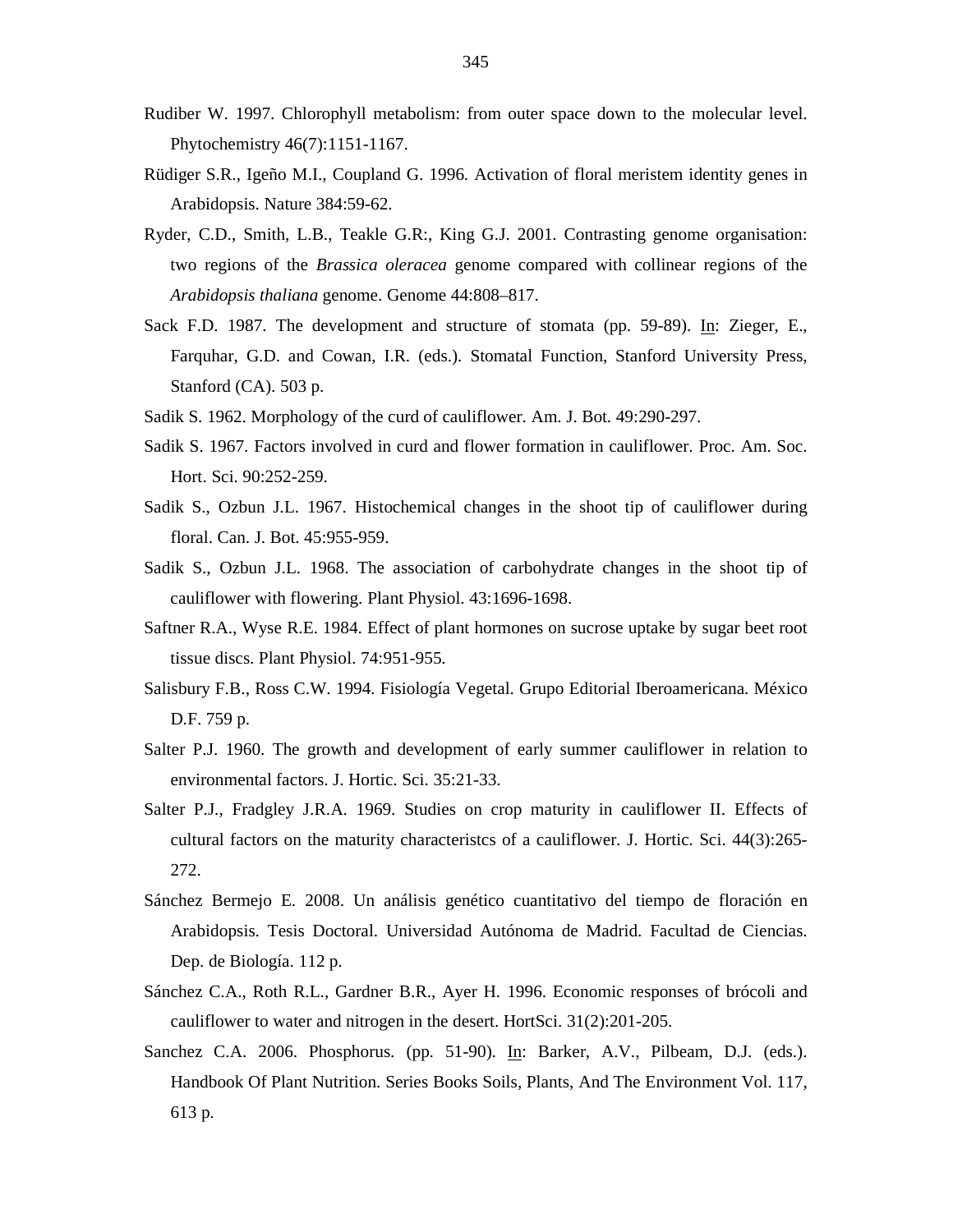- Rudiber W. 1997. Chlorophyll metabolism: from outer space down to the molecular level. Phytochemistry 46(7):1151-1167.
- Rüdiger S.R., Igeño M.I., Coupland G. 1996. Activation of floral meristem identity genes in Arabidopsis. Nature 384:59-62.
- Ryder, C.D., Smith, L.B., Teakle G.R:, King G.J. 2001. Contrasting genome organisation: two regions of the *Brassica oleracea* genome compared with collinear regions of the *Arabidopsis thaliana* genome. Genome 44:808–817.
- Sack F.D. 1987. The development and structure of stomata (pp. 59-89). In: Zieger, E., Farquhar, G.D. and Cowan, I.R. (eds.). Stomatal Function, Stanford University Press, Stanford (CA). 503 p.
- Sadik S. 1962. Morphology of the curd of cauliflower. Am. J. Bot. 49:290-297.
- Sadik S. 1967. Factors involved in curd and flower formation in cauliflower. Proc. Am. Soc. Hort. Sci. 90:252-259.
- Sadik S., Ozbun J.L. 1967. Histochemical changes in the shoot tip of cauliflower during floral. Can. J. Bot. 45:955-959.
- Sadik S., Ozbun J.L. 1968. The association of carbohydrate changes in the shoot tip of cauliflower with flowering. Plant Physiol. 43:1696-1698.
- Saftner R.A., Wyse R.E. 1984. Effect of plant hormones on sucrose uptake by sugar beet root tissue discs. Plant Physiol. 74:951-955.
- Salisbury F.B., Ross C.W. 1994. Fisiología Vegetal. Grupo Editorial Iberoamericana. México D.F. 759 p.
- Salter P.J. 1960. The growth and development of early summer cauliflower in relation to environmental factors. J. Hortic. Sci. 35:21-33.
- Salter P.J., Fradgley J.R.A. 1969. Studies on crop maturity in cauliflower II. Effects of cultural factors on the maturity characteristcs of a cauliflower. J. Hortic. Sci. 44(3):265- 272.
- Sánchez Bermejo E. 2008. Un análisis genético cuantitativo del tiempo de floración en Arabidopsis. Tesis Doctoral. Universidad Autónoma de Madrid. Facultad de Ciencias. Dep. de Biología. 112 p.
- Sánchez C.A., Roth R.L., Gardner B.R., Ayer H. 1996. Economic responses of brócoli and cauliflower to water and nitrogen in the desert. HortSci. 31(2):201-205.
- Sanchez C.A. 2006. Phosphorus. (pp. 51-90). In: Barker, A.V., Pilbeam, D.J. (eds.). Handbook Of Plant Nutrition. Series Books Soils, Plants, And The Environment Vol. 117, 613 p.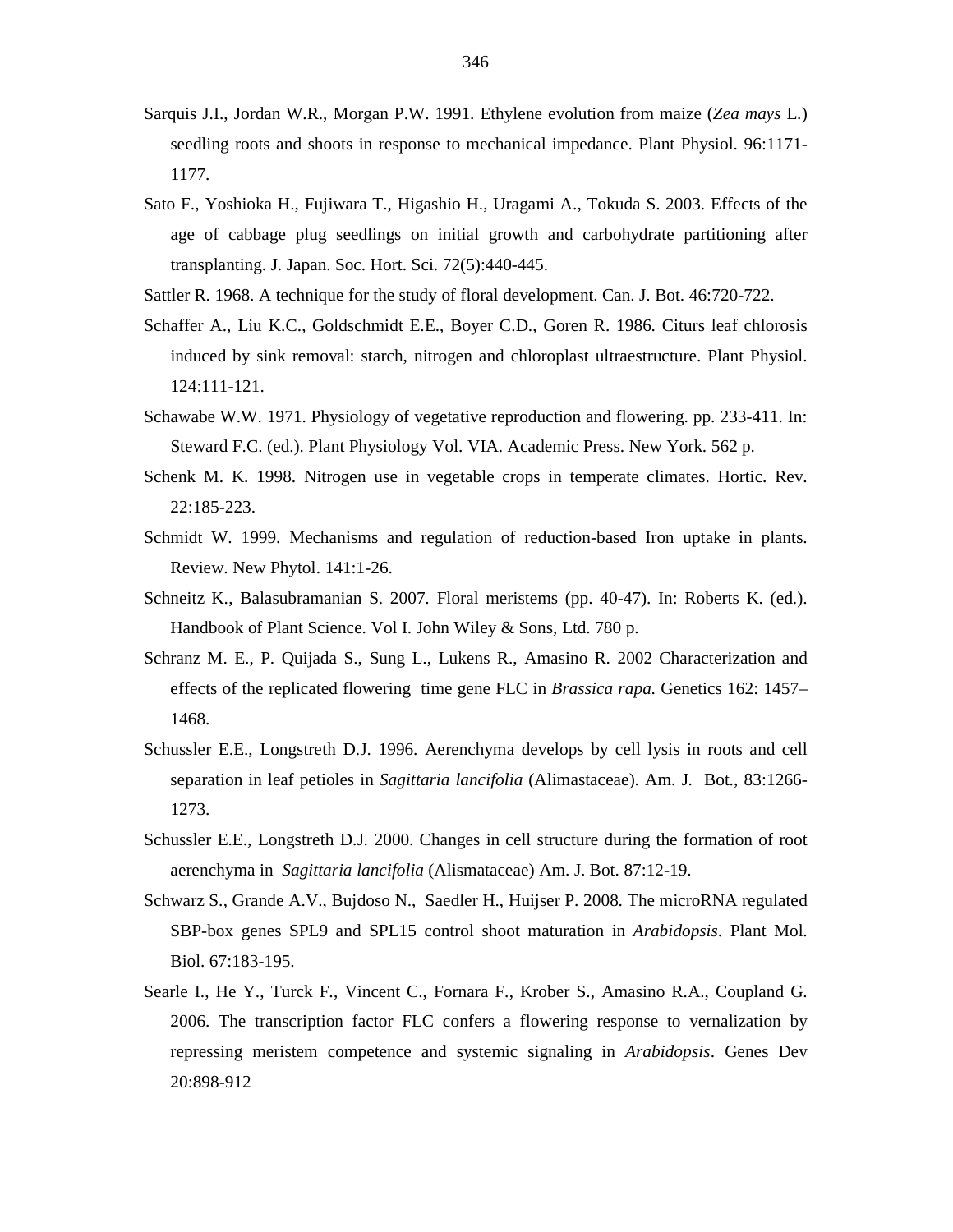- Sarquis J.I., Jordan W.R., Morgan P.W. 1991. Ethylene evolution from maize (*Zea mays* L.) seedling roots and shoots in response to mechanical impedance. Plant Physiol. 96:1171- 1177.
- Sato F., Yoshioka H., Fujiwara T., Higashio H., Uragami A., Tokuda S. 2003. Effects of the age of cabbage plug seedlings on initial growth and carbohydrate partitioning after transplanting. J. Japan. Soc. Hort. Sci. 72(5):440-445.
- Sattler R. 1968. A technique for the study of floral development. Can. J. Bot. 46:720-722.
- Schaffer A., Liu K.C., Goldschmidt E.E., Boyer C.D., Goren R. 1986. Citurs leaf chlorosis induced by sink removal: starch, nitrogen and chloroplast ultraestructure. Plant Physiol. 124:111-121.
- Schawabe W.W. 1971. Physiology of vegetative reproduction and flowering. pp. 233-411. In: Steward F.C. (ed.). Plant Physiology Vol. VIA. Academic Press. New York. 562 p.
- Schenk M. K. 1998. Nitrogen use in vegetable crops in temperate climates. Hortic. Rev. 22:185-223.
- Schmidt W. 1999. Mechanisms and regulation of reduction-based Iron uptake in plants. Review. New Phytol. 141:1-26.
- Schneitz K., Balasubramanian S. 2007. Floral meristems (pp. 40-47). In: Roberts K. (ed.). Handbook of Plant Science. Vol I. John Wiley & Sons, Ltd. 780 p.
- Schranz M. E., P. Quijada S., Sung L., Lukens R., Amasino R. 2002 Characterization and effects of the replicated flowering time gene FLC in *Brassica rapa*. Genetics 162: 1457– 1468.
- Schussler E.E., Longstreth D.J. 1996. Aerenchyma develops by cell lysis in roots and cell separation in leaf petioles in *Sagittaria lancifolia* (Alimastaceae). Am. J. Bot., 83:1266- 1273.
- Schussler E.E., Longstreth D.J. 2000. Changes in cell structure during the formation of root aerenchyma in *Sagittaria lancifolia* (Alismataceae) Am. J. Bot. 87:12-19.
- Schwarz S., Grande A.V., Bujdoso N., Saedler H., Huijser P. 2008. The microRNA regulated SBP-box genes SPL9 and SPL15 control shoot maturation in *Arabidopsis*. Plant Mol. Biol. 67:183-195.
- Searle I., He Y., Turck F., Vincent C., Fornara F., Krober S., Amasino R.A., Coupland G. 2006. The transcription factor FLC confers a flowering response to vernalization by repressing meristem competence and systemic signaling in *Arabidopsis*. Genes Dev 20:898-912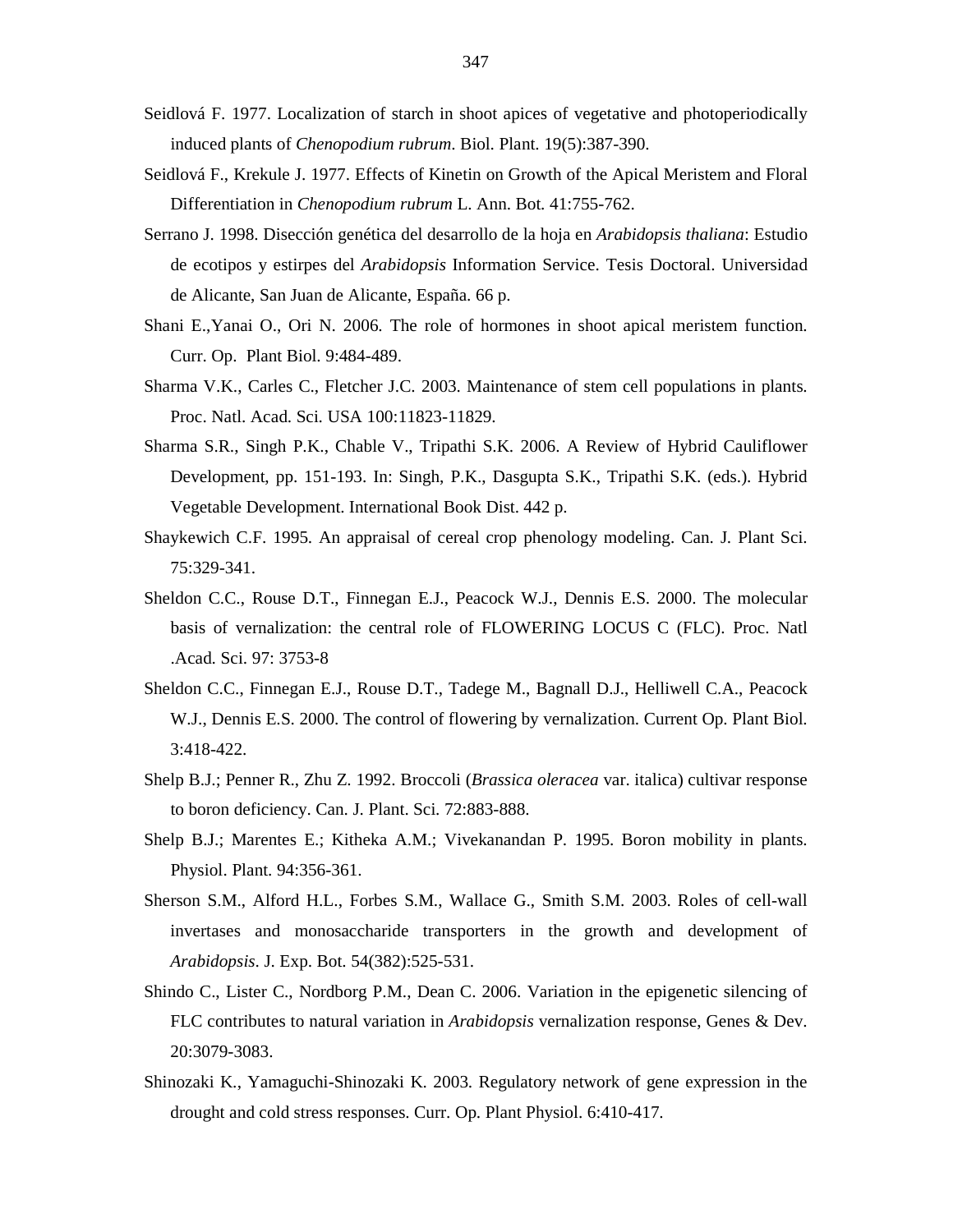- Seidlová F. 1977. Localization of starch in shoot apices of vegetative and photoperiodically induced plants of *Chenopodium rubrum*. Biol. Plant. 19(5):387-390.
- Seidlová F., Krekule J. 1977. Effects of Kinetin on Growth of the Apical Meristem and Floral Differentiation in *Chenopodium rubrum* L. Ann. Bot. 41:755-762.
- Serrano J. 1998. Disección genética del desarrollo de la hoja en *Arabidopsis thaliana*: Estudio de ecotipos y estirpes del *Arabidopsis* Information Service. Tesis Doctoral. Universidad de Alicante, San Juan de Alicante, España. 66 p.
- Shani E.,Yanai O., Ori N. 2006. The role of hormones in shoot apical meristem function. Curr. Op. Plant Biol. 9:484-489.
- Sharma V.K., Carles C., Fletcher J.C. 2003. Maintenance of stem cell populations in plants. Proc. Natl. Acad. Sci. USA 100:11823-11829.
- Sharma S.R., Singh P.K., Chable V., Tripathi S.K. 2006. A Review of Hybrid Cauliflower Development, pp. 151-193. In: Singh, P.K., Dasgupta S.K., Tripathi S.K. (eds.). Hybrid Vegetable Development. International Book Dist. 442 p.
- Shaykewich C.F. 1995. An appraisal of cereal crop phenology modeling. Can. J. Plant Sci. 75:329-341.
- Sheldon C.C., Rouse D.T., Finnegan E.J., Peacock W.J., Dennis E.S. 2000. The molecular basis of vernalization: the central role of FLOWERING LOCUS C (FLC). Proc. Natl .Acad. Sci. 97: 3753-8
- Sheldon C.C., Finnegan E.J., Rouse D.T., Tadege M., Bagnall D.J., Helliwell C.A., Peacock W.J., Dennis E.S. 2000. The control of flowering by vernalization. Current Op. Plant Biol. 3:418-422.
- Shelp B.J.; Penner R., Zhu Z. 1992. Broccoli (*Brassica oleracea* var. italica) cultivar response to boron deficiency. Can. J. Plant. Sci. 72:883-888.
- Shelp B.J.; Marentes E.; Kitheka A.M.; Vivekanandan P. 1995. Boron mobility in plants. Physiol. Plant. 94:356-361.
- Sherson S.M., Alford H.L., Forbes S.M., Wallace G., Smith S.M. 2003. Roles of cell-wall invertases and monosaccharide transporters in the growth and development of *Arabidopsis*. J. Exp. Bot. 54(382):525-531.
- Shindo C., Lister C., Nordborg P.M., Dean C. 2006. Variation in the epigenetic silencing of FLC contributes to natural variation in *Arabidopsis* vernalization response, Genes & Dev. 20:3079-3083.
- Shinozaki K., Yamaguchi-Shinozaki K. 2003. Regulatory network of gene expression in the drought and cold stress responses. Curr. Op. Plant Physiol. 6:410-417.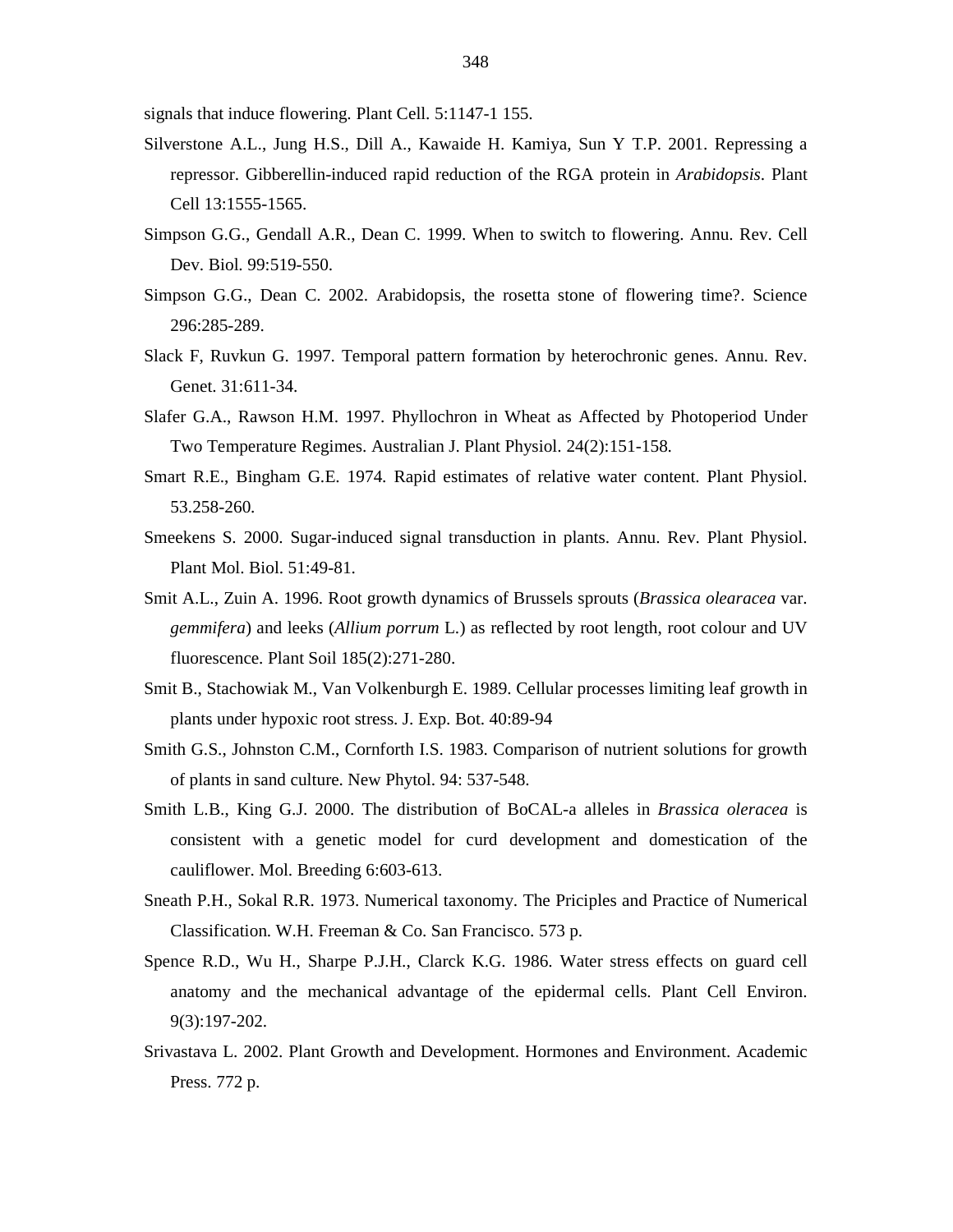signals that induce flowering. Plant Cell. 5:1147-1 155.

- Silverstone A.L., Jung H.S., Dill A., Kawaide H. Kamiya, Sun Y T.P. 2001. Repressing a repressor. Gibberellin-induced rapid reduction of the RGA protein in *Arabidopsis*. Plant Cell 13:1555-1565.
- Simpson G.G., Gendall A.R., Dean C. 1999. When to switch to flowering. Annu. Rev. Cell Dev. Biol. 99:519-550.
- Simpson G.G., Dean C. 2002. Arabidopsis, the rosetta stone of flowering time?. Science 296:285-289.
- Slack F, Ruvkun G. 1997. Temporal pattern formation by heterochronic genes. Annu. Rev. Genet. 31:611-34.
- Slafer G.A., Rawson H.M. 1997. Phyllochron in Wheat as Affected by Photoperiod Under Two Temperature Regimes. Australian J. Plant Physiol. 24(2):151-158.
- Smart R.E., Bingham G.E. 1974. Rapid estimates of relative water content. Plant Physiol. 53.258-260.
- Smeekens S. 2000. Sugar-induced signal transduction in plants. Annu. Rev. Plant Physiol. Plant Mol. Biol. 51:49-81.
- Smit A.L., Zuin A. 1996. Root growth dynamics of Brussels sprouts (*Brassica olearacea* var. *gemmifera*) and leeks (*Allium porrum* L.) as reflected by root length, root colour and UV fluorescence. Plant Soil 185(2):271-280.
- Smit B., Stachowiak M., Van Volkenburgh E. 1989. Cellular processes limiting leaf growth in plants under hypoxic root stress. J. Exp. Bot. 40:89-94
- Smith G.S., Johnston C.M., Cornforth I.S. 1983. Comparison of nutrient solutions for growth of plants in sand culture. New Phytol. 94: 537-548.
- Smith L.B., King G.J. 2000. The distribution of BoCAL-a alleles in *Brassica oleracea* is consistent with a genetic model for curd development and domestication of the cauliflower. Mol. Breeding 6:603-613.
- Sneath P.H., Sokal R.R. 1973. Numerical taxonomy. The Priciples and Practice of Numerical Classification. W.H. Freeman & Co. San Francisco. 573 p.
- Spence R.D., Wu H., Sharpe P.J.H., Clarck K.G. 1986. Water stress effects on guard cell anatomy and the mechanical advantage of the epidermal cells. Plant Cell Environ. 9(3):197-202.
- Srivastava L. 2002. Plant Growth and Development. Hormones and Environment. Academic Press. 772 p.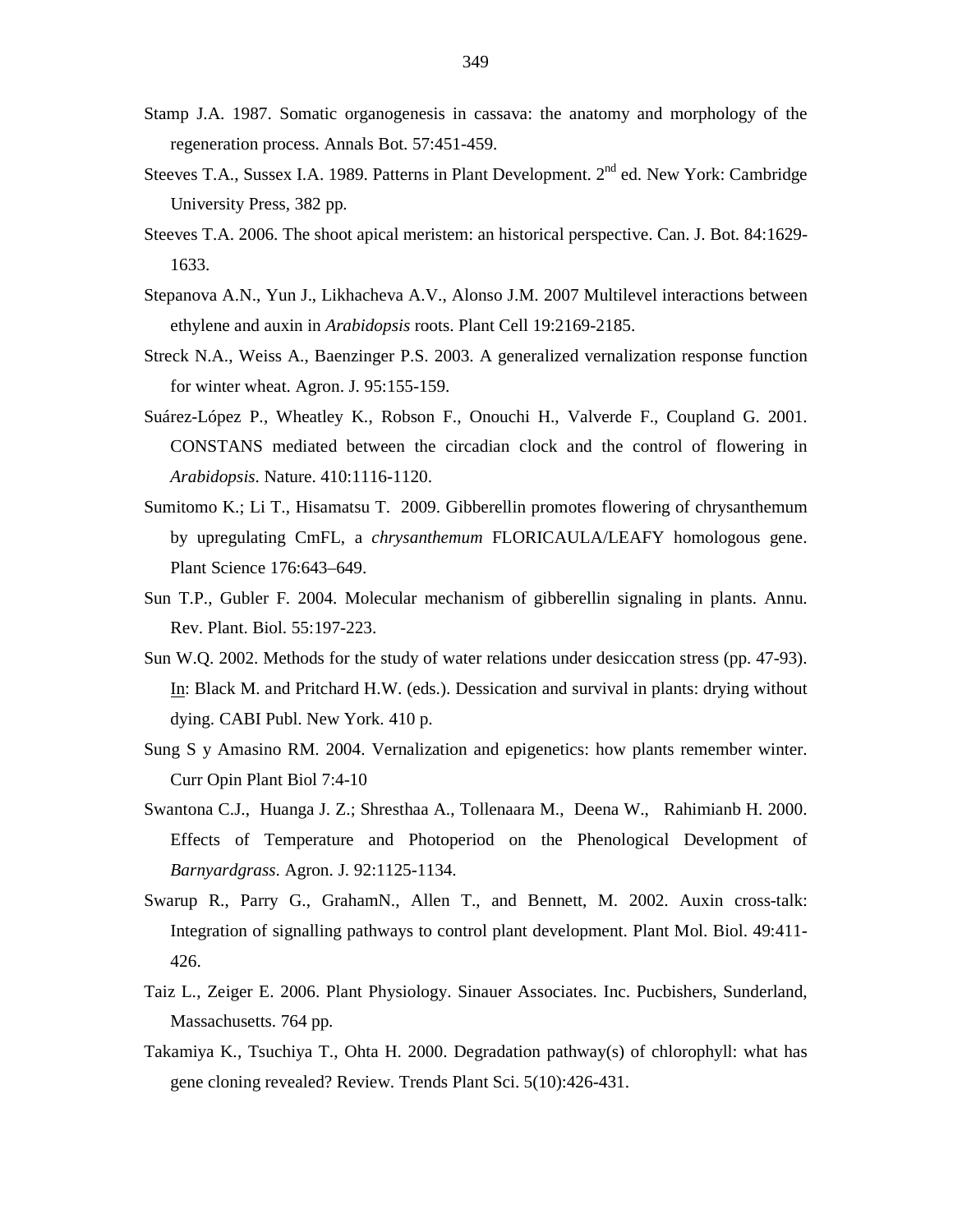- Stamp J.A. 1987. Somatic organogenesis in cassava: the anatomy and morphology of the regeneration process. Annals Bot. 57:451-459.
- Steeves T.A., Sussex I.A. 1989. Patterns in Plant Development. 2<sup>nd</sup> ed. New York: Cambridge University Press, 382 pp.
- Steeves T.A. 2006. The shoot apical meristem: an historical perspective. Can. J. Bot. 84:1629- 1633.
- Stepanova A.N., Yun J., Likhacheva A.V., Alonso J.M. 2007 Multilevel interactions between ethylene and auxin in *Arabidopsis* roots. Plant Cell 19:2169-2185.
- Streck N.A., Weiss A., Baenzinger P.S. 2003. A generalized vernalization response function for winter wheat. Agron. J. 95:155-159.
- Suárez-López P., Wheatley K., Robson F., Onouchi H., Valverde F., Coupland G. 2001. CONSTANS mediated between the circadian clock and the control of flowering in *Arabidopsis*. Nature. 410:1116-1120.
- Sumitomo K.; Li T., Hisamatsu T. 2009. Gibberellin promotes flowering of chrysanthemum by upregulating CmFL, a *chrysanthemum* FLORICAULA/LEAFY homologous gene. Plant Science 176:643–649.
- Sun T.P., Gubler F. 2004. Molecular mechanism of gibberellin signaling in plants. Annu. Rev. Plant. Biol. 55:197-223.
- Sun W.Q. 2002. Methods for the study of water relations under desiccation stress (pp. 47-93). In: Black M. and Pritchard H.W. (eds.). Dessication and survival in plants: drying without dying. CABI Publ. New York. 410 p.
- Sung S y Amasino RM. 2004. Vernalization and epigenetics: how plants remember winter. Curr Opin Plant Biol 7:4-10
- Swantona C.J., Huanga J. Z.; Shresthaa A., Tollenaara M., Deena W., Rahimianb H. 2000. Effects of Temperature and Photoperiod on the Phenological Development of *Barnyardgrass*. Agron. J. 92:1125-1134.
- Swarup R., Parry G., GrahamN., Allen T., and Bennett, M. 2002. Auxin cross-talk: Integration of signalling pathways to control plant development. Plant Mol. Biol. 49:411- 426.
- Taiz L., Zeiger E. 2006. Plant Physiology. Sinauer Associates. Inc. Pucbishers, Sunderland, Massachusetts. 764 pp.
- Takamiya K., Tsuchiya T., Ohta H. 2000. Degradation pathway(s) of chlorophyll: what has gene cloning revealed? Review. Trends Plant Sci. 5(10):426-431.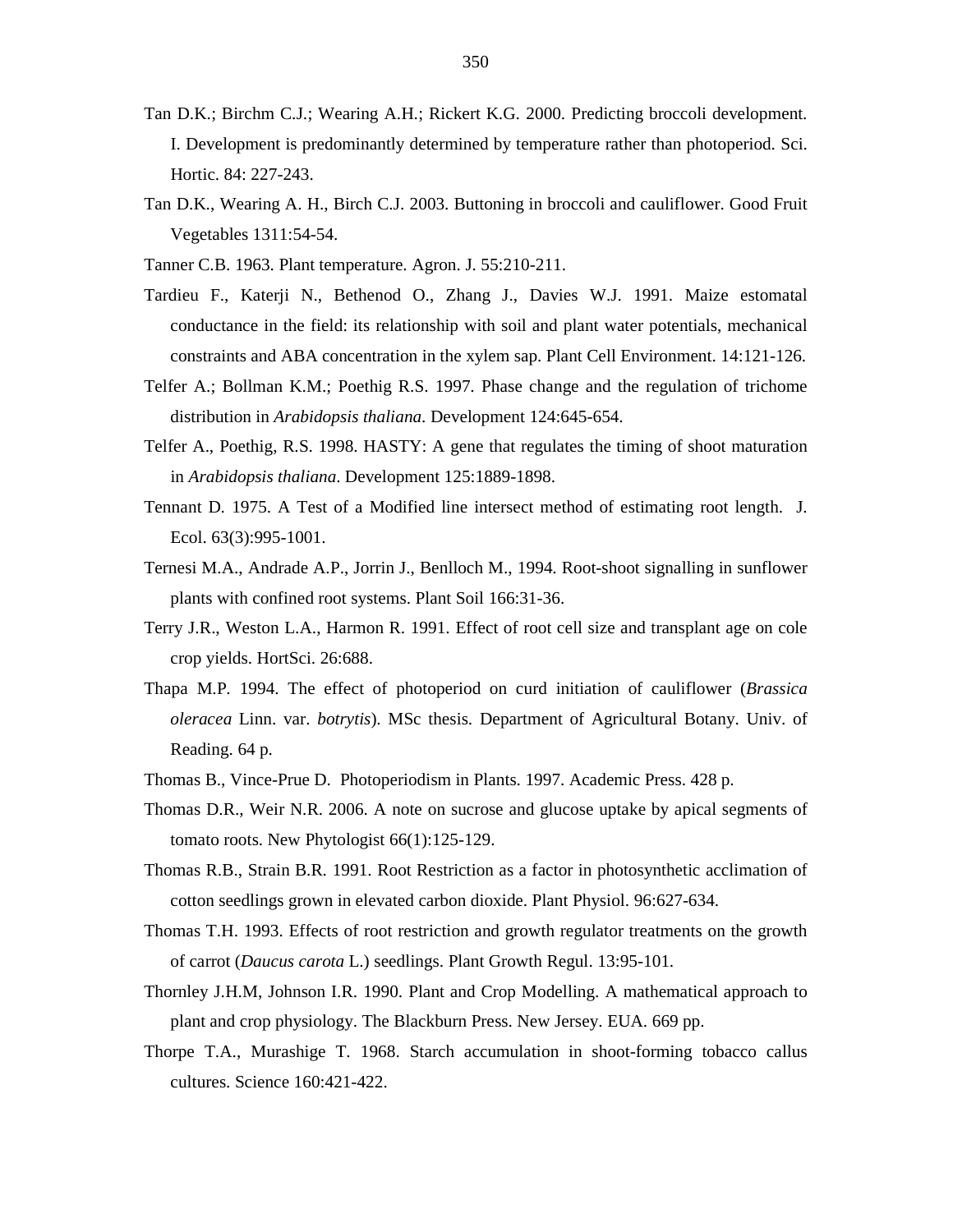- Tan D.K.; Birchm C.J.; Wearing A.H.; Rickert K.G. 2000. Predicting broccoli development. I. Development is predominantly determined by temperature rather than photoperiod. Sci. Hortic. 84: 227-243.
- Tan D.K., Wearing A. H., Birch C.J. 2003. Buttoning in broccoli and cauliflower. Good Fruit Vegetables 1311:54-54.
- Tanner C.B. 1963. Plant temperature. Agron. J. 55:210-211.
- Tardieu F., Katerji N., Bethenod O., Zhang J., Davies W.J. 1991. Maize estomatal conductance in the field: its relationship with soil and plant water potentials, mechanical constraints and ABA concentration in the xylem sap. Plant Cell Environment. 14:121-126.
- Telfer A.; Bollman K.M.; Poethig R.S. 1997. Phase change and the regulation of trichome distribution in *Arabidopsis thaliana*. Development 124:645-654.
- Telfer A., Poethig, R.S. 1998. HASTY: A gene that regulates the timing of shoot maturation in *Arabidopsis thaliana*. Development 125:1889-1898.
- Tennant D. 1975. A Test of a Modified line intersect method of estimating root length. J. Ecol. 63(3):995-1001.
- Ternesi M.A., Andrade A.P., Jorrin J., Benlloch M., 1994. Root-shoot signalling in sunflower plants with confined root systems. Plant Soil 166:31-36.
- Terry J.R., Weston L.A., Harmon R. 1991. Effect of root cell size and transplant age on cole crop yields. HortSci. 26:688.
- Thapa M.P. 1994. The effect of photoperiod on curd initiation of cauliflower (*Brassica oleracea* Linn. var. *botrytis*). MSc thesis. Department of Agricultural Botany. Univ. of Reading. 64 p.
- Thomas B., Vince-Prue D. Photoperiodism in Plants. 1997. Academic Press. 428 p.
- Thomas D.R., Weir N.R. 2006. A note on sucrose and glucose uptake by apical segments of tomato roots. New Phytologist 66(1):125-129.
- Thomas R.B., Strain B.R. 1991. Root Restriction as a factor in photosynthetic acclimation of cotton seedlings grown in elevated carbon dioxide. Plant Physiol. 96:627-634.
- Thomas T.H. 1993. Effects of root restriction and growth regulator treatments on the growth of carrot (*Daucus carota* L.) seedlings. Plant Growth Regul. 13:95-101.
- Thornley J.H.M, Johnson I.R. 1990. Plant and Crop Modelling. A mathematical approach to plant and crop physiology. The Blackburn Press. New Jersey. EUA. 669 pp.
- Thorpe T.A., Murashige T. 1968. Starch accumulation in shoot-forming tobacco callus cultures. Science 160:421-422.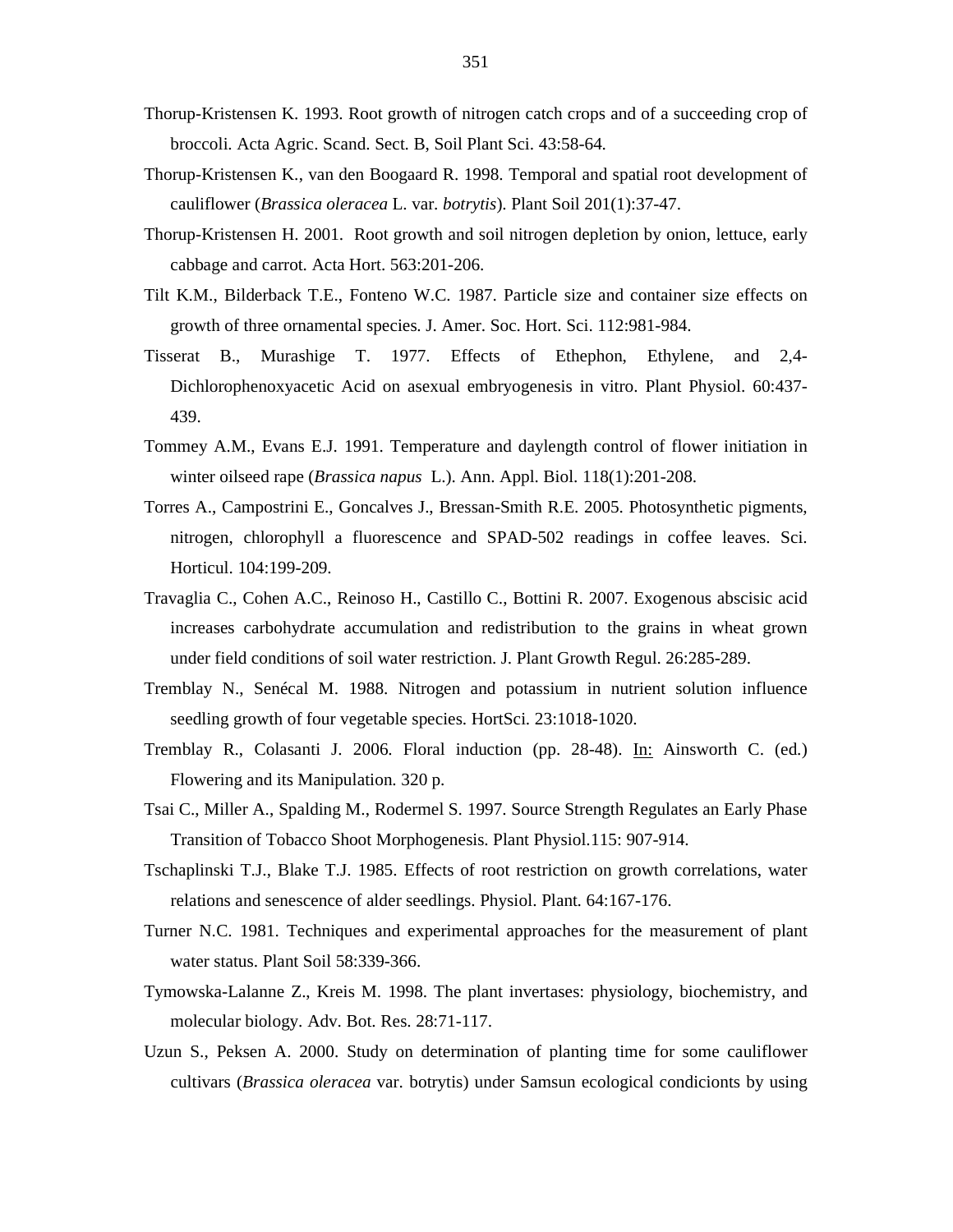- Thorup-Kristensen K. 1993. Root growth of nitrogen catch crops and of a succeeding crop of broccoli. Acta Agric. Scand. Sect. B, Soil Plant Sci. 43:58-64.
- Thorup-Kristensen K., van den Boogaard R. 1998. Temporal and spatial root development of cauliflower (*Brassica oleracea* L. var. *botrytis*). Plant Soil 201(1):37-47.
- Thorup-Kristensen H. 2001. Root growth and soil nitrogen depletion by onion, lettuce, early cabbage and carrot. Acta Hort. 563:201-206.
- Tilt K.M., Bilderback T.E., Fonteno W.C. 1987. Particle size and container size effects on growth of three ornamental species. J. Amer. Soc. Hort. Sci. 112:981-984.
- Tisserat B., Murashige T. 1977. Effects of Ethephon, Ethylene, and 2,4- Dichlorophenoxyacetic Acid on asexual embryogenesis in vitro. Plant Physiol. 60:437- 439.
- Tommey A.M., Evans E.J. 1991. Temperature and daylength control of flower initiation in winter oilseed rape (*Brassica napus* L.). Ann. Appl. Biol. 118(1):201-208.
- Torres A., Campostrini E., Goncalves J., Bressan-Smith R.E. 2005. Photosynthetic pigments, nitrogen, chlorophyll a fluorescence and SPAD-502 readings in coffee leaves. Sci. Horticul. 104:199-209.
- Travaglia C., Cohen A.C., Reinoso H., Castillo C., Bottini R. 2007. Exogenous abscisic acid increases carbohydrate accumulation and redistribution to the grains in wheat grown under field conditions of soil water restriction. J. Plant Growth Regul. 26:285-289.
- Tremblay N., Senécal M. 1988. Nitrogen and potassium in nutrient solution influence seedling growth of four vegetable species. HortSci. 23:1018-1020.
- Tremblay R., Colasanti J. 2006. Floral induction (pp. 28-48). In: Ainsworth C. (ed.) Flowering and its Manipulation. 320 p.
- Tsai C., Miller A., Spalding M., Rodermel S. 1997. Source Strength Regulates an Early Phase Transition of Tobacco Shoot Morphogenesis. Plant Physiol.115: 907-914.
- Tschaplinski T.J., Blake T.J. 1985. Effects of root restriction on growth correlations, water relations and senescence of alder seedlings. Physiol. Plant. 64:167-176.
- Turner N.C. 1981. Techniques and experimental approaches for the measurement of plant water status. Plant Soil 58:339-366.
- Tymowska-Lalanne Z., Kreis M. 1998. The plant invertases: physiology, biochemistry, and molecular biology. Adv. Bot. Res. 28:71-117.
- Uzun S., Peksen A. 2000. Study on determination of planting time for some cauliflower cultivars (*Brassica oleracea* var. botrytis) under Samsun ecological condicionts by using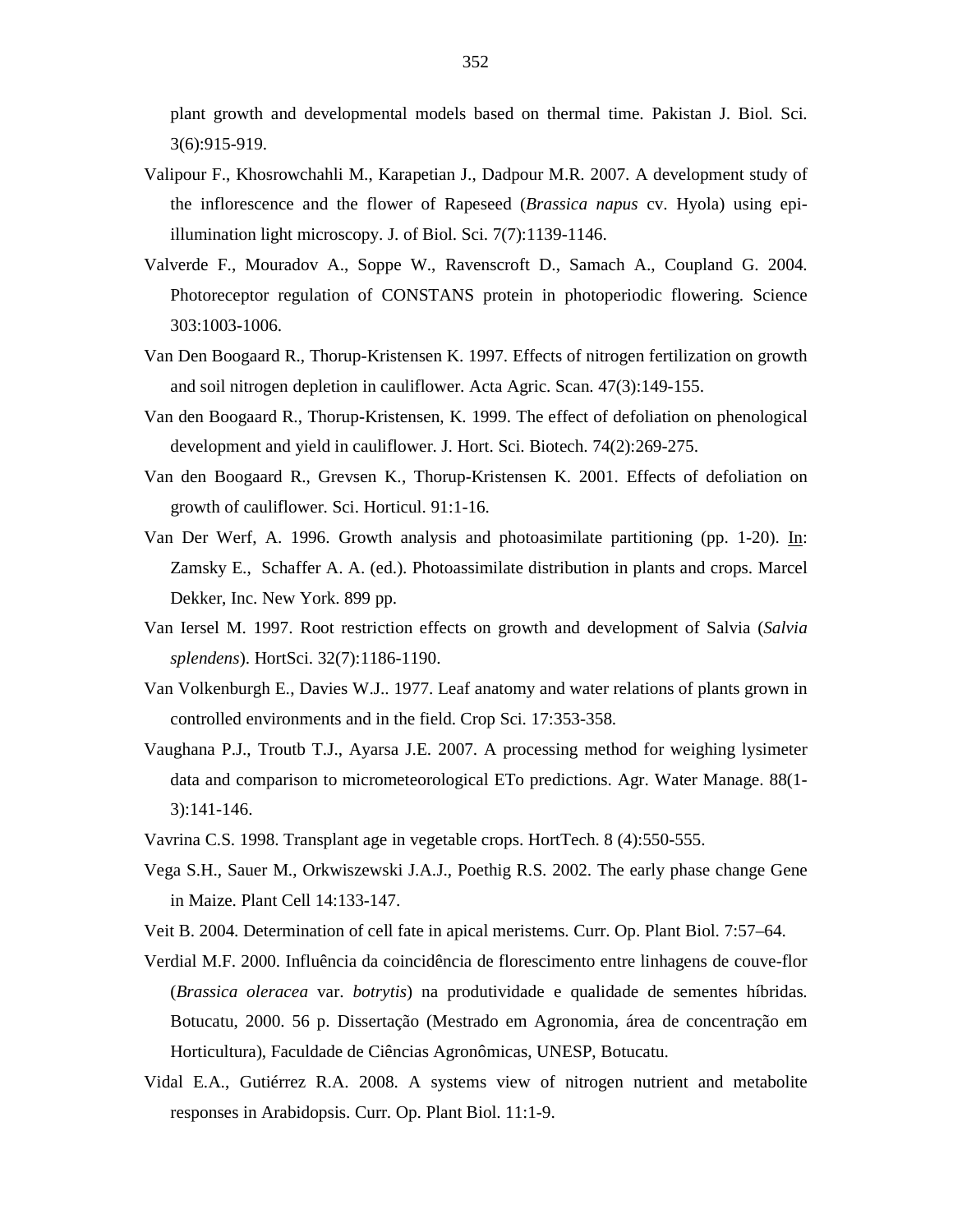plant growth and developmental models based on thermal time. Pakistan J. Biol. Sci. 3(6):915-919.

- Valipour F., Khosrowchahli M., Karapetian J., Dadpour M.R. 2007. A development study of the inflorescence and the flower of Rapeseed (*Brassica napus* cv. Hyola) using epiillumination light microscopy. J. of Biol. Sci. 7(7):1139-1146.
- Valverde F., Mouradov A., Soppe W., Ravenscroft D., Samach A., Coupland G. 2004. Photoreceptor regulation of CONSTANS protein in photoperiodic flowering. Science 303:1003-1006.
- Van Den Boogaard R., Thorup-Kristensen K. 1997. Effects of nitrogen fertilization on growth and soil nitrogen depletion in cauliflower. Acta Agric. Scan. 47(3):149-155.
- Van den Boogaard R., Thorup-Kristensen, K. 1999. The effect of defoliation on phenological development and yield in cauliflower. J. Hort. Sci. Biotech. 74(2):269-275.
- Van den Boogaard R., Grevsen K., Thorup-Kristensen K. 2001. Effects of defoliation on growth of cauliflower. Sci. Horticul. 91:1-16.
- Van Der Werf, A. 1996. Growth analysis and photoasimilate partitioning (pp. 1-20). In: Zamsky E., Schaffer A. A. (ed.). Photoassimilate distribution in plants and crops. Marcel Dekker, Inc. New York. 899 pp.
- Van Iersel M. 1997. Root restriction effects on growth and development of Salvia (*Salvia splendens*). HortSci. 32(7):1186-1190.
- Van Volkenburgh E., Davies W.J.. 1977. Leaf anatomy and water relations of plants grown in controlled environments and in the field. Crop Sci. 17:353-358.
- Vaughana P.J., Troutb T.J., Ayarsa J.E. 2007. A processing method for weighing lysimeter data and comparison to micrometeorological ETo predictions. Agr. Water Manage. 88(1- 3):141-146.
- Vavrina C.S. 1998. Transplant age in vegetable crops. HortTech. 8 (4):550-555.
- Vega S.H., Sauer M., Orkwiszewski J.A.J., Poethig R.S. 2002. The early phase change Gene in Maize. Plant Cell 14:133-147.
- Veit B. 2004. Determination of cell fate in apical meristems. Curr. Op. Plant Biol. 7:57–64.
- Verdial M.F. 2000. Influência da coincidência de florescimento entre linhagens de couve-flor (*Brassica oleracea* var. *botrytis*) na produtividade e qualidade de sementes híbridas. Botucatu, 2000. 56 p. Dissertação (Mestrado em Agronomia, área de concentração em Horticultura), Faculdade de Ciências Agronômicas, UNESP, Botucatu.
- Vidal E.A., Gutiérrez R.A. 2008. A systems view of nitrogen nutrient and metabolite responses in Arabidopsis. Curr. Op. Plant Biol. 11:1-9.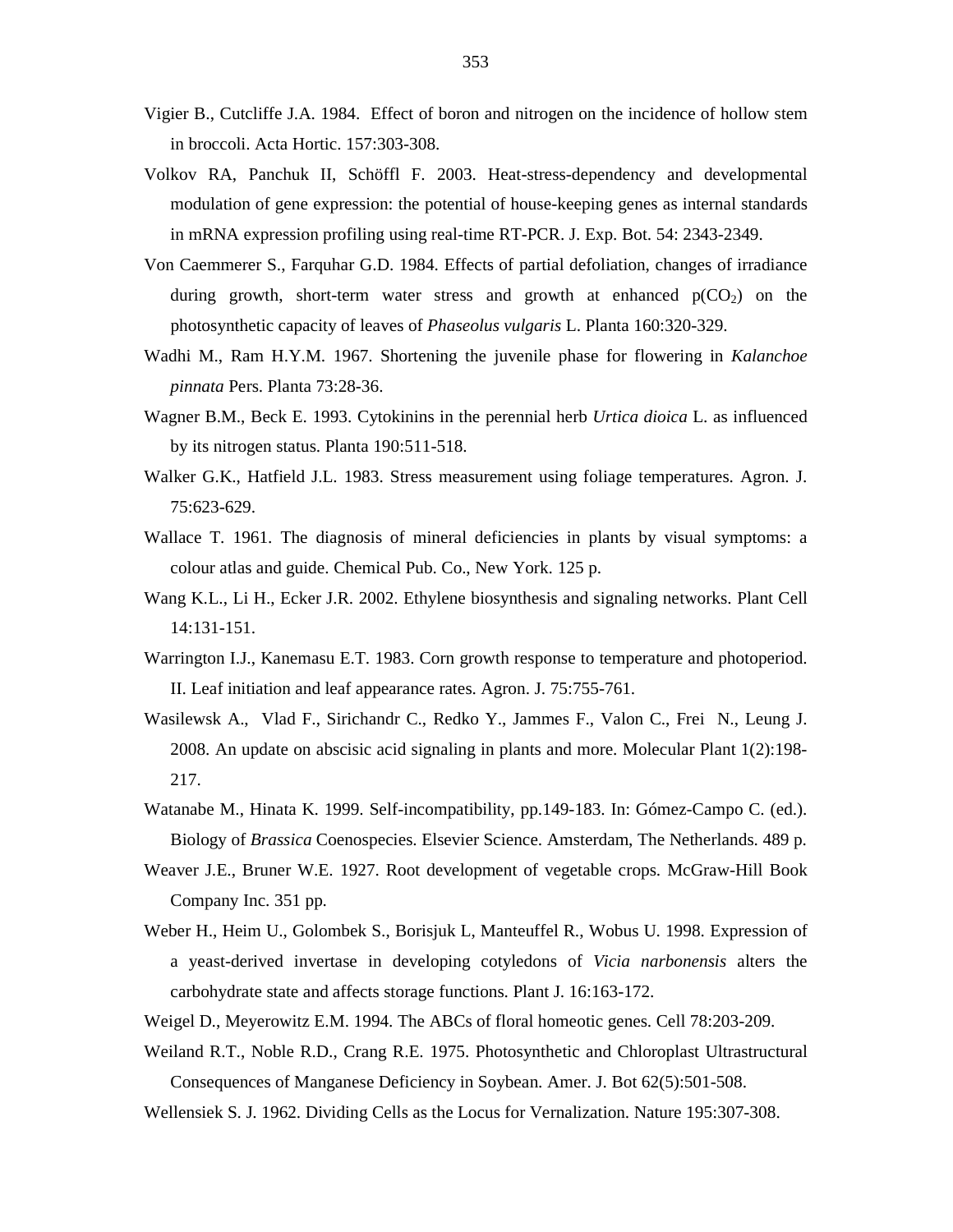- Vigier B., Cutcliffe J.A. 1984. Effect of boron and nitrogen on the incidence of hollow stem in broccoli. Acta Hortic. 157:303-308.
- Volkov RA, Panchuk II, Schöffl F. 2003. Heat-stress-dependency and developmental modulation of gene expression: the potential of house-keeping genes as internal standards in mRNA expression profiling using real-time RT-PCR. J. Exp. Bot. 54: 2343-2349.
- Von Caemmerer S., Farquhar G.D. 1984. Effects of partial defoliation, changes of irradiance during growth, short-term water stress and growth at enhanced  $p(CO_2)$  on the photosynthetic capacity of leaves of *Phaseolus vulgaris* L. Planta 160:320-329.
- Wadhi M., Ram H.Y.M. 1967. Shortening the juvenile phase for flowering in *Kalanchoe pinnata* Pers. Planta 73:28-36.
- Wagner B.M., Beck E. 1993. Cytokinins in the perennial herb *Urtica dioica* L. as influenced by its nitrogen status. Planta 190:511-518.
- Walker G.K., Hatfield J.L. 1983. Stress measurement using foliage temperatures. Agron. J. 75:623-629.
- Wallace T. 1961. The diagnosis of mineral deficiencies in plants by visual symptoms: a colour atlas and guide. Chemical Pub. Co., New York. 125 p.
- Wang K.L., Li H., Ecker J.R. 2002. Ethylene biosynthesis and signaling networks. Plant Cell 14:131-151.
- Warrington I.J., Kanemasu E.T. 1983. Corn growth response to temperature and photoperiod. II. Leaf initiation and leaf appearance rates. Agron. J. 75:755-761.
- Wasilewsk A., Vlad F., Sirichandr C., Redko Y., Jammes F., Valon C., Frei N., Leung J. 2008. An update on abscisic acid signaling in plants and more. Molecular Plant 1(2):198- 217.
- Watanabe M., Hinata K. 1999. Self-incompatibility, pp.149-183. In: Gómez-Campo C. (ed.). Biology of *Brassica* Coenospecies. Elsevier Science. Amsterdam, The Netherlands. 489 p.
- Weaver J.E., Bruner W.E. 1927. Root development of vegetable crops. McGraw-Hill Book Company Inc. 351 pp.
- Weber H., Heim U., Golombek S., Borisjuk L, Manteuffel R., Wobus U. 1998. Expression of a yeast-derived invertase in developing cotyledons of *Vicia narbonensis* alters the carbohydrate state and affects storage functions. Plant J. 16:163-172.
- Weigel D., Meyerowitz E.M. 1994. The ABCs of floral homeotic genes. Cell 78:203-209.
- Weiland R.T., Noble R.D., Crang R.E. 1975. Photosynthetic and Chloroplast Ultrastructural Consequences of Manganese Deficiency in Soybean. Amer. J. Bot 62(5):501-508.

Wellensiek S. J. 1962. Dividing Cells as the Locus for Vernalization. Nature 195:307-308.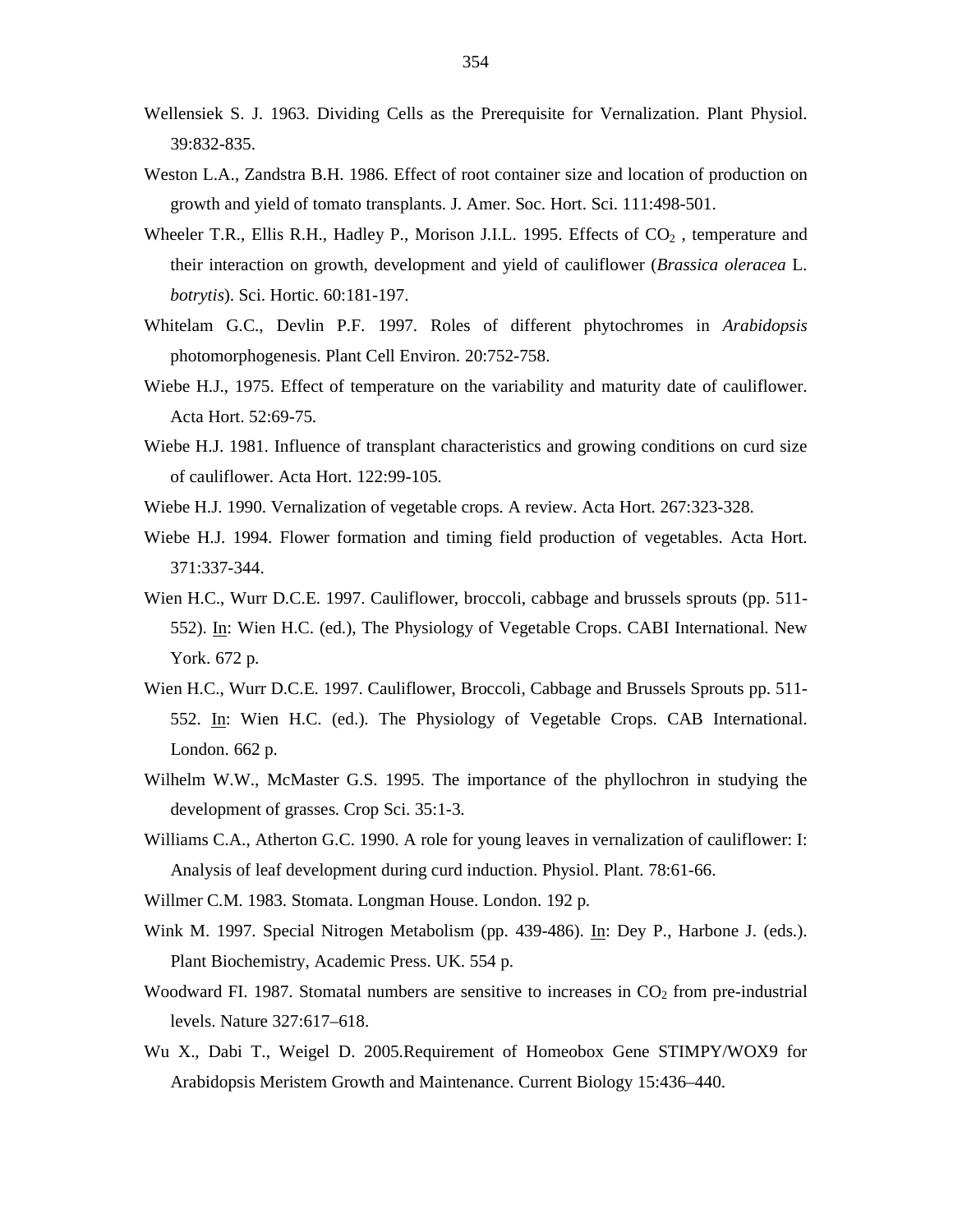- Wellensiek S. J. 1963. Dividing Cells as the Prerequisite for Vernalization. Plant Physiol. 39:832-835.
- Weston L.A., Zandstra B.H. 1986. Effect of root container size and location of production on growth and yield of tomato transplants. J. Amer. Soc. Hort. Sci. 111:498-501.
- Wheeler T.R., Ellis R.H., Hadley P., Morison J.I.L. 1995. Effects of  $CO<sub>2</sub>$ , temperature and their interaction on growth, development and yield of cauliflower (*Brassica oleracea* L. *botrytis*). Sci. Hortic. 60:181-197.
- Whitelam G.C., Devlin P.F. 1997. Roles of different phytochromes in *Arabidopsis* photomorphogenesis. Plant Cell Environ. 20:752-758.
- Wiebe H.J., 1975. Effect of temperature on the variability and maturity date of cauliflower. Acta Hort. 52:69-75.
- Wiebe H.J. 1981. Influence of transplant characteristics and growing conditions on curd size of cauliflower. Acta Hort. 122:99-105.
- Wiebe H.J. 1990. Vernalization of vegetable crops. A review. Acta Hort. 267:323-328.
- Wiebe H.J. 1994. Flower formation and timing field production of vegetables. Acta Hort. 371:337-344.
- Wien H.C., Wurr D.C.E. 1997. Cauliflower, broccoli, cabbage and brussels sprouts (pp. 511- 552). In: Wien H.C. (ed.), The Physiology of Vegetable Crops. CABI International. New York. 672 p.
- Wien H.C., Wurr D.C.E. 1997. Cauliflower, Broccoli, Cabbage and Brussels Sprouts pp. 511- 552. In: Wien H.C. (ed.). The Physiology of Vegetable Crops. CAB International. London. 662 p.
- Wilhelm W.W., McMaster G.S. 1995. The importance of the phyllochron in studying the development of grasses. Crop Sci. 35:1-3.
- Williams C.A., Atherton G.C. 1990. A role for young leaves in vernalization of cauliflower: I: Analysis of leaf development during curd induction. Physiol. Plant. 78:61-66.
- Willmer C.M. 1983. Stomata. Longman House. London. 192 p.
- Wink M. 1997. Special Nitrogen Metabolism (pp. 439-486). In: Dey P., Harbone J. (eds.). Plant Biochemistry, Academic Press. UK. 554 p.
- Woodward FI. 1987. Stomatal numbers are sensitive to increases in  $CO<sub>2</sub>$  from pre-industrial levels. Nature 327:617–618.
- Wu X., Dabi T., Weigel D. 2005.Requirement of Homeobox Gene STIMPY/WOX9 for Arabidopsis Meristem Growth and Maintenance. Current Biology 15:436–440.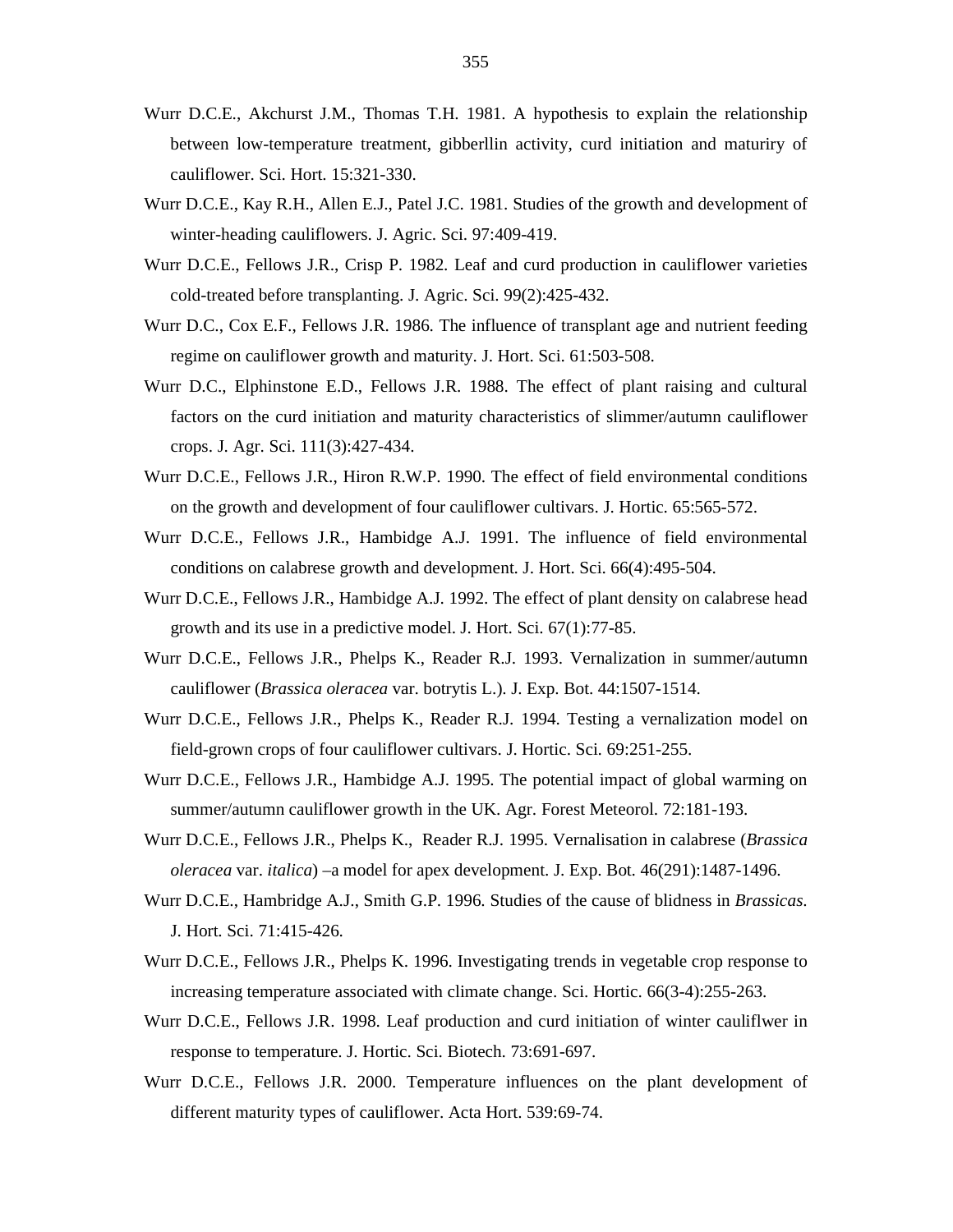- Wurr D.C.E., Akchurst J.M., Thomas T.H. 1981. A hypothesis to explain the relationship between low-temperature treatment, gibberllin activity, curd initiation and maturiry of cauliflower. Sci. Hort. 15:321-330.
- Wurr D.C.E., Kay R.H., Allen E.J., Patel J.C. 1981. Studies of the growth and development of winter-heading cauliflowers. J. Agric. Sci. 97:409-419.
- Wurr D.C.E., Fellows J.R., Crisp P. 1982. Leaf and curd production in cauliflower varieties cold-treated before transplanting. J. Agric. Sci. 99(2):425-432.
- Wurr D.C., Cox E.F., Fellows J.R. 1986. The influence of transplant age and nutrient feeding regime on cauliflower growth and maturity. J. Hort. Sci. 61:503-508.
- Wurr D.C., Elphinstone E.D., Fellows J.R. 1988. The effect of plant raising and cultural factors on the curd initiation and maturity characteristics of slimmer/autumn cauliflower crops. J. Agr. Sci. 111(3):427-434.
- Wurr D.C.E., Fellows J.R., Hiron R.W.P. 1990. The effect of field environmental conditions on the growth and development of four cauliflower cultivars. J. Hortic. 65:565-572.
- Wurr D.C.E., Fellows J.R., Hambidge A.J. 1991. The influence of field environmental conditions on calabrese growth and development. J. Hort. Sci. 66(4):495-504.
- Wurr D.C.E., Fellows J.R., Hambidge A.J. 1992. The effect of plant density on calabrese head growth and its use in a predictive model. J. Hort. Sci. 67(1):77-85.
- Wurr D.C.E., Fellows J.R., Phelps K., Reader R.J. 1993. Vernalization in summer/autumn cauliflower (*Brassica oleracea* var. botrytis L.). J. Exp. Bot. 44:1507-1514.
- Wurr D.C.E., Fellows J.R., Phelps K., Reader R.J. 1994. Testing a vernalization model on field-grown crops of four cauliflower cultivars. J. Hortic. Sci. 69:251-255.
- Wurr D.C.E., Fellows J.R., Hambidge A.J. 1995. The potential impact of global warming on summer/autumn cauliflower growth in the UK. Agr. Forest Meteorol. 72:181-193.
- Wurr D.C.E., Fellows J.R., Phelps K., Reader R.J. 1995. Vernalisation in calabrese (*Brassica oleracea* var. *italica*) –a model for apex development. J. Exp. Bot. 46(291):1487-1496.
- Wurr D.C.E., Hambridge A.J., Smith G.P. 1996. Studies of the cause of blidness in *Brassicas*. J. Hort. Sci. 71:415-426.
- Wurr D.C.E., Fellows J.R., Phelps K. 1996. Investigating trends in vegetable crop response to increasing temperature associated with climate change. Sci. Hortic. 66(3-4):255-263.
- Wurr D.C.E., Fellows J.R. 1998. Leaf production and curd initiation of winter cauliflwer in response to temperature. J. Hortic. Sci. Biotech. 73:691-697.
- Wurr D.C.E., Fellows J.R. 2000. Temperature influences on the plant development of different maturity types of cauliflower. Acta Hort. 539:69-74.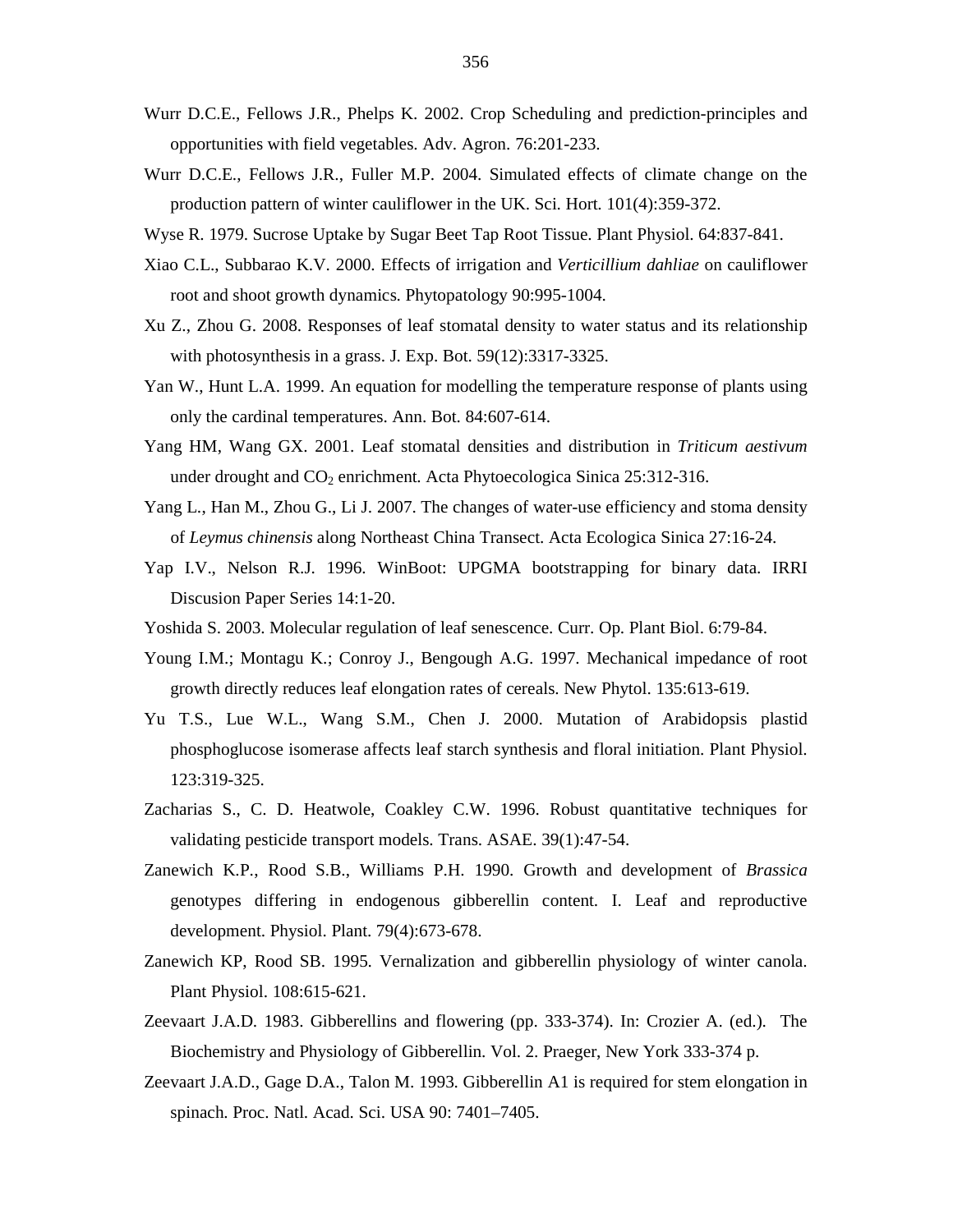- Wurr D.C.E., Fellows J.R., Phelps K. 2002. Crop Scheduling and prediction-principles and opportunities with field vegetables. Adv. Agron. 76:201-233.
- Wurr D.C.E., Fellows J.R., Fuller M.P. 2004. Simulated effects of climate change on the production pattern of winter cauliflower in the UK. Sci. Hort. 101(4):359-372.
- Wyse R. 1979. Sucrose Uptake by Sugar Beet Tap Root Tissue. Plant Physiol. 64:837-841.
- Xiao C.L., Subbarao K.V. 2000. Effects of irrigation and *Verticillium dahliae* on cauliflower root and shoot growth dynamics. Phytopatology 90:995-1004.
- Xu Z., Zhou G. 2008. Responses of leaf stomatal density to water status and its relationship with photosynthesis in a grass. J. Exp. Bot. 59(12):3317-3325.
- Yan W., Hunt L.A. 1999. An equation for modelling the temperature response of plants using only the cardinal temperatures. Ann. Bot. 84:607-614.
- Yang HM, Wang GX. 2001. Leaf stomatal densities and distribution in *Triticum aestivum* under drought and CO<sub>2</sub> enrichment. Acta Phytoecologica Sinica 25:312-316.
- Yang L., Han M., Zhou G., Li J. 2007. The changes of water-use efficiency and stoma density of *Leymus chinensis* along Northeast China Transect. Acta Ecologica Sinica 27:16-24.
- Yap I.V., Nelson R.J. 1996. WinBoot: UPGMA bootstrapping for binary data. IRRI Discusion Paper Series 14:1-20.
- Yoshida S. 2003. Molecular regulation of leaf senescence. Curr. Op. Plant Biol. 6:79-84.
- Young I.M.; Montagu K.; Conroy J., Bengough A.G. 1997. Mechanical impedance of root growth directly reduces leaf elongation rates of cereals. New Phytol. 135:613-619.
- Yu T.S., Lue W.L., Wang S.M., Chen J. 2000. Mutation of Arabidopsis plastid phosphoglucose isomerase affects leaf starch synthesis and floral initiation. Plant Physiol. 123:319-325.
- Zacharias S., C. D. Heatwole, Coakley C.W. 1996. Robust quantitative techniques for validating pesticide transport models. Trans. ASAE. 39(1):47-54.
- Zanewich K.P., Rood S.B., Williams P.H. 1990. Growth and development of *Brassica*  genotypes differing in endogenous gibberellin content. I. Leaf and reproductive development. Physiol. Plant. 79(4):673-678.
- Zanewich KP, Rood SB. 1995. Vernalization and gibberellin physiology of winter canola. Plant Physiol. 108:615-621.
- Zeevaart J.A.D. 1983. Gibberellins and flowering (pp. 333-374). In: Crozier A. (ed.). The Biochemistry and Physiology of Gibberellin. Vol. 2. Praeger, New York 333-374 p.
- Zeevaart J.A.D., Gage D.A., Talon M. 1993. Gibberellin A1 is required for stem elongation in spinach. Proc. Natl. Acad. Sci. USA 90: 7401–7405.